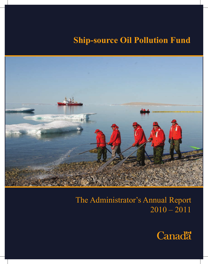

## The Administrator's Annual Report 2010 – 2011

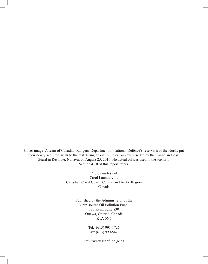Cover image: A team of Canadian Rangers, Department of National Defence's reservists of the North, put their newly acquired skills to the test during an oil spill clean-up exercise led by the Canadian Coast Guard in Resolute, Nunavut on August 25, 2010. No actual oil was used in the scenario. Section 4.10 of this report refers.

> Photo courtesy of Carol Launderville Canadian Coast Guard, Central and Arctic Region Canada

> > Published by the Administrator of the Ship-source Oil Pollution Fund 180 Kent, Suite 830 Ottawa, Ontario, Canada K1A 0N5

> > > Tel: (613) 991-1726 Fax: (613) 990-5423

http://www.ssopfund.gc.ca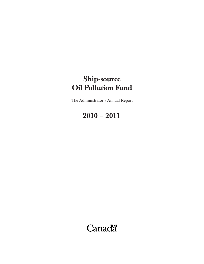The Administrator's Annual Report

## $2010 - 2011$

# Canadä<sup>t</sup>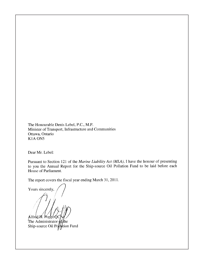The Honourable Denis Lebel, P.C., M.P. Minister of Transport, Infrastructure and Communities Ottawa, Ontario K1A ON5

Dear Mr. Lebel:

Pursuant to Section 121 of the Marine Liability Act (MLA), I have the honour of presenting to you the Annual Report for the Ship-source Oil Pollution Fund to be laid before each House of Parliament.

The report covers the fiscal year ending March 31, 2011.

Yours sincerely, Alfred H. Popp!QC The Administrator  $\oint$  $the$ Ship-source Oil Polytion Fund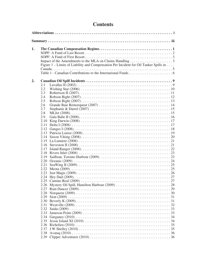## **Contents**

| 1. |              |                                                                                       |  |  |  |
|----|--------------|---------------------------------------------------------------------------------------|--|--|--|
|    |              |                                                                                       |  |  |  |
|    |              |                                                                                       |  |  |  |
|    |              |                                                                                       |  |  |  |
|    |              | Figure 1 – Limits of Liability and Compensation Per Incident for Oil Tanker Spills in |  |  |  |
|    |              |                                                                                       |  |  |  |
|    |              |                                                                                       |  |  |  |
| 2. |              |                                                                                       |  |  |  |
|    | 2.1          |                                                                                       |  |  |  |
|    | 2.2          |                                                                                       |  |  |  |
|    | 2.3          |                                                                                       |  |  |  |
|    | 2.4          |                                                                                       |  |  |  |
|    | 2.5          |                                                                                       |  |  |  |
|    | 2.6          |                                                                                       |  |  |  |
|    | 2.7          |                                                                                       |  |  |  |
|    | 2.8          |                                                                                       |  |  |  |
|    | 2.9          |                                                                                       |  |  |  |
|    |              |                                                                                       |  |  |  |
|    | 2.10<br>2.11 |                                                                                       |  |  |  |
|    |              |                                                                                       |  |  |  |
|    |              |                                                                                       |  |  |  |
|    |              |                                                                                       |  |  |  |
|    |              |                                                                                       |  |  |  |
|    |              |                                                                                       |  |  |  |
|    |              |                                                                                       |  |  |  |
|    |              |                                                                                       |  |  |  |
|    |              |                                                                                       |  |  |  |
|    |              |                                                                                       |  |  |  |
|    |              |                                                                                       |  |  |  |
|    |              |                                                                                       |  |  |  |
|    |              |                                                                                       |  |  |  |
|    | 2.23         |                                                                                       |  |  |  |
|    |              |                                                                                       |  |  |  |
|    |              |                                                                                       |  |  |  |
|    | 2.26         |                                                                                       |  |  |  |
|    | 2.27         |                                                                                       |  |  |  |
|    | 2.28         |                                                                                       |  |  |  |
|    | 2.29         |                                                                                       |  |  |  |
|    | 2.30         |                                                                                       |  |  |  |
|    | 2.31         |                                                                                       |  |  |  |
|    | 2.32         |                                                                                       |  |  |  |
|    | 2.33         |                                                                                       |  |  |  |
|    | 2.34         |                                                                                       |  |  |  |
|    | 2.35         |                                                                                       |  |  |  |
|    | 2.36         |                                                                                       |  |  |  |
|    | 2.37         |                                                                                       |  |  |  |
|    | 2.38         |                                                                                       |  |  |  |
|    | 2.39         |                                                                                       |  |  |  |
|    |              |                                                                                       |  |  |  |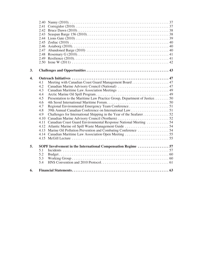| 3.                           |      |                                                                          |  |
|------------------------------|------|--------------------------------------------------------------------------|--|
| $\boldsymbol{\mathcal{A}}$ . |      |                                                                          |  |
|                              | 4.1  |                                                                          |  |
|                              | 4.2  |                                                                          |  |
|                              | 4.3  |                                                                          |  |
|                              | 4.4  |                                                                          |  |
|                              | 4.5  | Presentation to the Maritime Law Practice Group, Department of Justice50 |  |
|                              | 4.6  |                                                                          |  |
|                              | 4.7  |                                                                          |  |
|                              | 4.8  |                                                                          |  |
|                              | 4.9  |                                                                          |  |
|                              | 4.10 |                                                                          |  |
|                              | 4.11 | Canadian Coast Guard Environmental Response National Meeting 54          |  |
|                              | 4.12 |                                                                          |  |
|                              | 4.13 |                                                                          |  |
|                              |      |                                                                          |  |
|                              | 4.15 |                                                                          |  |
| 5.                           |      | SOPF Involvement in the International Compensation Regime 57             |  |
|                              | 5.1  |                                                                          |  |
|                              | 5.2  |                                                                          |  |
|                              | 5.3  |                                                                          |  |
|                              | 5.4  |                                                                          |  |
| 6.                           |      |                                                                          |  |
|                              |      |                                                                          |  |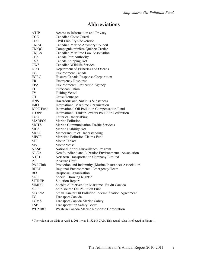## **Abbreviations**

| <b>ATIP</b>      | Access to Information and Privacy                       |
|------------------|---------------------------------------------------------|
| <b>CCG</b>       | <b>Canadian Coast Guard</b>                             |
| <b>CLC</b>       | Civil Liability Convention                              |
| <b>CMAC</b>      | Canadian Marine Advisory Council                        |
| <b>CMQC</b>      | Compagnie minière Québec Cartier                        |
| <b>CMLA</b>      | <b>Canadian Maritime Law Association</b>                |
| <b>CPA</b>       | <b>Canada Port Authority</b>                            |
| <b>CSA</b>       | Canada Shipping Act                                     |
| <b>CWS</b>       | Canadian Wildlife Service                               |
| <b>DFO</b>       | Department of Fisheries and Oceans                      |
| EC               | <b>Environment Canada</b>                               |
| <b>ECRC</b>      | Eastern Canada Response Corporation                     |
| ER               | <b>Emergency Response</b>                               |
| EPA              | <b>Environmental Protection Agency</b>                  |
| EU               | European Union                                          |
| <b>FV</b>        | <b>Fishing Vessel</b>                                   |
| <b>GT</b>        | <b>Gross Tonnage</b>                                    |
| <b>HNS</b>       | <b>Hazardous and Noxious Substances</b>                 |
| <b>IMO</b>       | <b>International Maritime Organization</b>              |
| <b>IOPC</b> Fund | <b>International Oil Pollution Compensation Fund</b>    |
| <b>ITOPF</b>     | <b>International Tanker Owners Pollution Federation</b> |
| LOU              | Letter of Undertaking                                   |
| <b>MARPOL</b>    | Marine Pollution                                        |
| <b>MCTS</b>      | Marine Communication Traffic Services                   |
| MLA              | Marine Liability Act                                    |
| MOU              | Memorandum of Understanding                             |
| <b>MPCF</b>      | Maritime Pollution Claims Fund                          |
| MT               | <b>Motor Tanker</b>                                     |
| <b>MV</b>        | Motor Vessel                                            |
| <b>NASP</b>      | National Aerial Surveillance Program                    |
| <b>NLEA</b>      | Newfoundland and Labrador Environmental Association     |
| <b>NTCL</b>      | Northern Transportation Company Limited                 |
| PC               | Pleasure Craft                                          |
| P&I Club         | Protection and Indemnity (Marine Insurance) Association |
| <b>REET</b>      | Regional Environmental Emergency Team                   |
| RO               | <b>Response Organization</b>                            |
| <b>SDR</b>       | Special Drawing Rights*                                 |
| <b>SITREP</b>    | <b>Situation Report</b>                                 |
| <b>SIMEC</b>     | Société d'Intervention Maritime, Est du Canada          |
| <b>SOPF</b>      | Ship-source Oil Pollution Fund                          |
| <b>STOPIA</b>    | Small Tanker Oil Pollution Indemnification Agreement    |
| TC               | <b>Transport Canada</b>                                 |
| <b>TCMS</b>      | <b>Transport Canada Marine Safety</b>                   |
| <b>TSB</b>       | <b>Transportation Safety Board</b>                      |
| <b>WCMRC</b>     | Western Canada Marine Response Corporation              |

\* The value of the SDR at April 1, 2011, was \$1.52243 CAD. This actual value is reflected in Figure 1.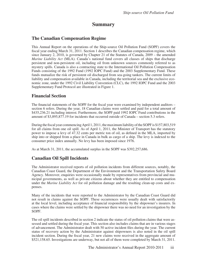## **Summary**

## **The Canadian Compensation Regime**

This Annual Report on the operations of the Ship-source Oil Pollution Fund (SOPF) covers the fiscal year ending March 31, 2011. Section 1 describes the Canadian compensation regime, which since January 2, 2010, is governed by Chapter 21 of the Statutes of Canada, 2009 – the amended *Marine Liability Act* (MLA). Canada's national fund covers all classes of ships that discharge persistent and non-persistent oil, including oil from unknown sources commonly referred to as mystery spills. Canada is also a contracting state to the International Oil Pollution Compensation Funds consisting of the 1992 Fund (1992 IOPC Fund) and the 2003 Supplementary Fund. These funds mutualize the risk of persistent oil discharged from sea-going tankers. The current limits of liability and compensation available in Canada, including the territorial sea and the exclusive economic zone, under the 1992 Civil Liability Convention (CLC), the 1992 IOPC Fund and the 2003 Supplementary Fund Protocol are illustrated in Figure 1.

## **Financial Section**

The financial statements of the SOPF for the fiscal year were examined by independent auditors  $$ section 6 refers. During the year, 18 Canadian claims were settled and paid for a total amount of \$435,236.21 including interest. Furthermore, the SOPF paid 1992 IOPC Fund contributions in the amount of \$3,895,877.19 for incidents that occurred outside of Canada – section 5.3 refers.

During the fiscal year commencing April 1, 2011, the maximum liability of the SOPF is \$157,803,519 for all claims from one oil spill. As of April 1, 2011, the Minister of Transport has the statutory power to impose a levy of 47.32 cents per metric ton of oil, as defined in the MLA, imported by ship into or shipped from a place in Canada in bulk as cargo of a ship. The levy is indexed to the consumer price index annually. No levy has been imposed since 1976.

As at March 31, 2011, the accumulated surplus in the SOPF was \$392,257,686.

## **Canadian Oil Spill Incidents**

The Administrator received reports of oil pollution incidents from different sources, notably, the Canadian Coast Guard, the Department of the Environment and the Transportation Safety Board Agency. Moreover, enquiries were occasionally made by representatives from provincial and municipal governments, as well as private citizens about whether they are entitled to compensation under the *Marine Liability Act* for oil pollution damage and the resulting clean-up costs and expenses.

Many of the incidents that were reported to the Administrator by the Canadian Coast Guard did not result in claims against the SOPF. These occurrences were usually dealt with satisfactorily at the local level, including acceptance of financial responsibility by the shipowner's insurers. In cases where the claims were settled by the shipowner there was no need for an investigation by the SOPF.

The oil spill incidents described in section 2 indicate the status of oil pollution claims that were assessed and settled during the fiscal year. This section also includes claims that are in various stages of advancement. The Administrator dealt with 50 active incident files during the year. The current status of recovery action by the Administrator against shipowners is also noted in the oil spill incident section. During the fiscal year, 21 new claims were received in the aggregate amount of \$521,158.65. Investigations are underway, but not all of them were completed by March 31, 2011.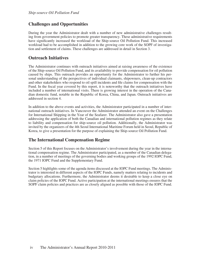## **Challenges and Opportunities**

During the year the Administrator dealt with a number of new administrative challenges resulting from government policies to promote greater transparency. These administrative requirements have significantly increased the workload of the Ship-source Oil Pollution Fund. This increased workload had to be accomplished in addition to the growing core work of the SOPF of investigation and settlement of claims. These challenges are addressed in detail in Section 3.

## **Outreach Initiatives**

The Administrator continues with outreach initiatives aimed at raising awareness of the existence of the Ship-source Oil Pollution Fund, and its availability to provide compensation for oil pollution caused by ships. This outreach provides an opportunity for the Administrator to further his personal understanding of the perspectives of individual claimants, shipowners, clean-up contractors and other stakeholders who respond to oil spill incidents and file claims for compensation with the Fund. In the fiscal year covered by this report, it is noteworthy that the outreach initiatives have included a number of international visits. There is growing interest in the operation of the Canadian domestic fund, notable in the Republic of Korea, China, and Japan� Outreach initiatives are addressed in section 4�

In addition to the above events and activities, the Administrator participated in a number of international outreach initiatives. In Vancouver the Administrator attended an event on the Challenges for International Shipping in the Year of the Seafarer. The Administrator also gave a presentation addressing the application of both the Canadian and international pollution regimes as they relate to liability and compensation for ship-source oil pollution. Additionally, the Administrator was invited by the organizers of the 4th Seoul International Maritime Forum held in Seoul, Republic of Korea, to give a presentation for the purpose of explaining the Ship-source Oil Pollution Fund.

## **The International Compensation Regime**

Section 5 of this Report focuses on the Administrator's involvement during the year in the international compensation regime. The Administrator participated, as a member of the Canadian delegation, in a number of meetings of the governing bodies and working groups of the 1992 IOPC Fund, the 1971 IOPC Fund and the Supplementary Fund.

Section 5 highlights some of the agenda items discussed at the IOPC Fund meetings. The Administrator is interested in different aspects of the IOPC Funds, namely matters relating to incidents and budgetary allocations� Furthermore, the Administrator deems it desirable to keep a close eye on claim policies of the IOPC Fund� Active participation at the international meetings ensures that the SOPF claim policies and practices are as closely aligned as possible with those of the IOPC Fund�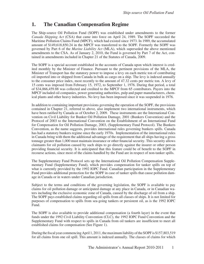## **1.** The Canadian Compensation Regime

The Ship-source Oil Pollution Fund (SOPF) was established under amendments to the former *Canada Shipping Act* (CSA) that came into force on April 24, 1989. The SOPF succeeded the Maritime Pollution Claims Fund (MPCF), which had existed since 1973. In 1989, the accumulated amount of \$149,618,850.24 in the MPCF was transferred to the SOPF. Formerly the SOPF was governed by Part 6 of the *Marine Liability Act* (MLA), which superseded the above mentioned amendments to the CSA. As of January 2, 2010, the Fund is governed by Part 7 of the Act, contained in amendments included in Chapter 21 of the Statutes of Canada, 2009.

The SOPF is a special account established in the accounts of Canada upon which interest is credited monthly by the Minister of Finance. Pursuant to the pertinent provisions of the MLA, the Minister of Transport has the statutory power to impose a levy on each metric ton of contributing oil imported into or shipped from Canada in bulk as cargo on a ship. The levy is indexed annually to the consumer price index, most recently to the amount of 47.32 cents per metric ton. A levy of 15 cents was imposed from February 15, 1972, to September 1, 1976. During that period, a total of \$34,866,459.88 was collected and credited to the MPCF from 65 contributors. Payers into the MPCF included oil companies, power generating authorities, pulp and paper manufacturers, chemical plants and other heavy industries. No levy has been imposed since it was suspended in 1976.

In addition to containing important provisions governing the operation of the SOPF, the provisions contained in Chapter 21, referred to above, also implement two international instruments, which have been ratified by Canada as of October 2, 2009. These instruments are the International Convention on Civil Liability for Bunker Oil Pollution Damage, 2001 (Bunkers Convention) and the Protocol of 2003 to the International Convention on the Establishment of an International Fund for Compensation for Oil Pollution Damage, 2003, (Supplementary Fund Protocol). The Bunkers Convention, as the name suggests, provides international rules governing bunkers spills� Canada has had a statutory bunkers regime since the early 1970s. Implementation of the international rules in Canada bring with them the additional advantage of the requirement that all ships having a gross tonnage greater than 1,000 must maintain insurance or other financial security. This security allows claimants for oil pollution caused by such ships to go directly against the insurer or other person providing financial security. It is anticipated that this feature could be of benefit to the SOPF in recourse actions, since most of the claims handled by the Fund are in respect of non-tanker spills.

The Supplementary Fund Protocol sets up the International Oil Pollution Compensation Supplementary Fund (Supplementary Fund), which provides compensation for tanker spills on top of what is currently provided by the 1992 IOPC Fund. Canadian participation in the Supplementary Fund provides additional protection for the SOPF in case of tanker spills that cause pollution damage in Canada or in waters under Canadian jurisdiction.

Subject to the terms and conditions of the governing legislation, the SOPF is available to pay claims for oil pollution damage or anticipated damage at any place in Canada, or in Canadian waters including the exclusive economic zone of Canada, caused by the discharge of oil from a ship. The SOPF pays established claims regarding oil spills from all classes of ships. It is not limited for purposes of compensation to spills from sea-going tankers or persistent oil, as is the 1992 IOPC Fund.

The SOPF is also available to provide additional compensation (a fourth layer) in the event that funds under the 1992 Civil Liability Convention (CLC), the 1992 IOPC Fund Convention and the Supplementary Fund with respect to spills in Canada from oil tankers are insufficient to meet all established claims for compensation (See Figure 1).

During the fiscal year commencing April 1, 2011, the maximum liability of the SOPF is \$157,803,519 for all claims from one oil spill. This amount is indexed annually. The classes of claims for which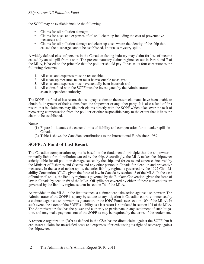the SOPF may be available include the following:

- Claims for oil pollution damage;
- Claims for costs and expenses of oil spill clean-up including the cost of preventative measures; and
- Claims for oil pollution damage and clean-up costs where the identity of the ship that caused the discharge cannot be established, known as mystery spills.

A widely defined class of persons in the Canadian fishing industry may claim for loss of income caused by an oil spill from a ship. The present statutory claims regime set out in Part 6 and 7 of the MLA, is based on the principle that the polluter should pay� It has as its four cornerstones the following elements:

- 1. All costs and expenses must be reasonable;
- 2. All clean-up measures taken must be reasonable measures;
- 3. All costs and expenses must have actually been incurred; and
- 4. All claims filed with the SOPF must be investigated by the Administrator as an independent authority.

The SOPF is a fund of last resort, that is, it pays claims to the extent claimants have been unable to obtain full payment of their claims from the shipowner or any other party. It is also a fund of first resort, that is, claimants may file their claims directly with the SOPF which takes over the task of recovering compensation from the polluter or other responsible party to the extent that it fines the claim to be established�

Notes:

- (1) Figure 1 illustrates the current limits of liability and compensation for oil tanker spills in Canada.
- (2) Table 1 shows the Canadian contributions to the International Funds since 1989.

## **SOPF: A Fund of Last Resort**

The Canadian compensation regime is based on the fundamental principle that the shipowner is primarily liable for oil pollution caused by the ship. Accordingly, the MLA makes the shipowner strictly liable for oil pollution damage caused by the ship, and for costs and expenses incurred by the Minister of Fisheries and Oceans and any other person in Canada for clean-up and preventive measures. In the case of tanker spills, the strict liability regime is governed by the 1992 Civil Liability Convention (CLC), given the force of law in Canada by section 48 of the MLA. In the case of bunker oil spills, the liability regime is governed by the Bunkers Convention, given the force of law in Canada by section 69 of the MLA. Oil spills not covered by either of these conventions are governed by the liability regime set out in section 76 of the MLA�

As provided in the MLA, in the first instance, a claimant can take action against a shipowner. The Administrator of the SOPF is a party by statute to any litigation in Canadian courts commenced by a claimant against a shipowner, its guarantor, or the IOPC Funds (see section 109 of the MLA). In such event, the extent of the SOPF's liability as a last resort is stipulated in section 101 of the MLA. The Administrator also has the power and authority to participate in any settlement of such litigation, and may make payments out of the SOPF as may be required by the terms of the settlement�

A response organization (RO) as defined in the CSA has no direct claim against the SOPF, but it can assert a claim for unsatisfied costs and expenses after exhausting its right of recovery against the shipowner.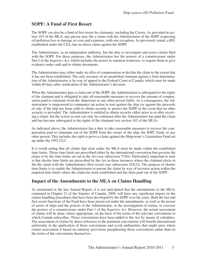## **SOPF: A Fund of First Resort**

The SOPF can also be a fund of first resort for claimants, including the Crown. As provided in section 103 of the MLA, any person may file a claim with the Administrator of the SOPF respecting oil pollution loss or damage or costs and expenses, with one exception� As previously stated, a RO, established under the CSA, has no direct claim against the SOPF.

The Administrator, as an independent authority, has the duty to investigate and assess claims filed with the SOPF. For these purposes, the Administrator has the powers of a commissioner under Part I of the *Inquiries Act*, which includes the power to summon witnesses, to require them to give evidence under oath and to obtain documents.

The Administrator may either make an offer of compensation or decline the claim to the extent that it has not been established. The only recourse of an unsatisfied claimant against a final determination of the Administrator is by way of appeal to the Federal Court of Canada, which must be made within 60 days after notification of the Administrator's decision.

When the Administrator pays a claim out of the SOPF, the Administrator is subrogated to the rights of the claimant and is obligated to take all reasonable measures to recover the amount of compensation paid to claimants from the shipowner or any other person liable. As a consequence, the Administrator is empowered to commence an action in rem against the ship (or against the proceeds of sale, if the ship has been sold) to obtain security to protect the SOPF in the event that no other security is provided. The Administrator is entitled to obtain security either prior to or after receiving a claim, but the action in rem can only be continued after the Administrator has paid the claim and has become subrogated to the rights of the claimant (see section 102 of the MLA).

As indicated above, the Administrator has a duty to take reasonable measures to recover the compensation paid to claimants out of the SOPF from the owner of the ship, the IOPC Fund, or any other person� This includes the right to prove a claim against the Shipowner's Limitations Fund set up under the 1992 CLC�

It is worth noting that all claims that arise under the MLA must be made within the established time limits. Those time limits are prescribed either by the international convention that governs the claim or by the time limits set out in the Act (see subsection  $77(6)$ ). Particularly important to note is that shorter time limits are prescribed by the Act in those instances where the claimant elects to file the claim with the Administrator (first resort) (see subsection  $103(2)$ ). The purpose of shorter time limits is to enable the Administrator to pursue the claim by way of recourse action within the required time limits where the claim has been established and has been paid out of the SOPF.

## **Impact of the Amendments to the MLA on Claims Handling**

As mentioned in the last Annual Report, it is not anticipated that the amendments to the MLA, contained in Chapter 21 of the Statutes of Canada, 2009, will have any significant impact on the claims handling procedures that have been developed by the SOPF over the years� Both the last and first resort functions of the Fund have been preserved under the amendments, as well as the power of arrest of ships and the powers of the Administrator, in the investigation of claims, to exercise the powers of a commissioner under Part 1 of the *Inquiries Act*� However, the actual assessment of claims will be done, where appropriate, on the basis of the terms of the relevant conventions to which Canada subscribes. Those conventions have been added to the Act by means of schedules. The assessment of claims by direct reference to the pertinent conventions will benefit international uniformity in the application of those conventions and avoid ambiguities that might arise where claims assessment is based on statutory provisions paraphrasing those conventions rather than on the terms of the conventions themselves.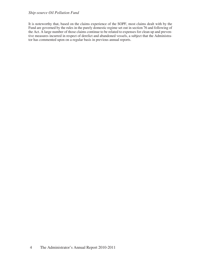It is noteworthy that, based on the claims experience of the SOPF, most claims dealt with by the Fund are governed by the rules in the purely domestic regime set out in section 76 and following of the Act. A large number of those claims continue to be related to expenses for clean up and preventive measures incurred in respect of derelict and abandoned vessels, a subject that the Administrator has commented upon on a regular basis in previous annual reports.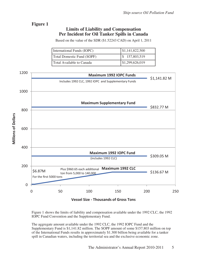## **Figure 1**

**Millions of Dollars**

## **Limits of Liability and Compensation Per Incident for Oil Tanker Spills in Canada**

Based on the value of the SDR (\$1.52243 CAD) on April 1, 2011

| International Funds (IOPC)        | \$1,141,822,500 |
|-----------------------------------|-----------------|
| <b>Total Domestic Fund (SOPF)</b> | \$157,803,519   |
| Total Available to Canada         | \$1,299,626,019 |



**Vessel Size - Thousands of Gross Tons**

Figure 1 shows the limits of liability and compensation available under the 1992 CLC, the 1992 IOPC Fund Convention and the Supplementary Fund.

The aggregate amount available under the 1992 CLC, the 1992 IOPC Fund and the Supplementary Fund is \$1,141.82 million. The SOPF amount of some \$157.803 million on top of the International Funds results in approximately \$1�300 billion being available for a tanker spill in Canadian waters, including the territorial sea and the exclusive economic zone.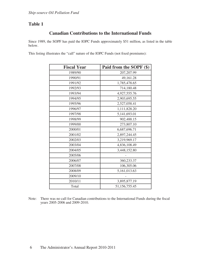## **Table 1**

## **Canadian Contributions to the International Funds**

Since 1989, the SOPF has paid the IOPC Funds approximately \$51 million, as listed in the table below.

This listing illustrates the "call" nature of the IOPC Funds (not fixed premiums):

| <b>Fiscal Year</b> | Paid from the SOPF (\$) |
|--------------------|-------------------------|
| 1989/90            | 207, 207. 99            |
| 1990/91            | 49,161.28               |
| 1991/92            | 1,785,478.65            |
| 1992/93            | 714,180.48              |
| 1993/94            | 4,927,555.76            |
| 1994/95            | 2,903,695.55            |
| 1995/96            | 2,527,058.41            |
| 1996/97            | 1,111,828.20            |
| 1997/98            | 5,141,693.01            |
| 1998/99            | 902,488.15              |
| 1999/00            | 273,807.10              |
| 2000/01            | 6,687,696.71            |
| 2001/02            | 2,897,244.45            |
| 2002/03            | 3,219,969.17            |
| 2003/04            | 4,836,108.49            |
| 2004/05            | 3,448,152.80            |
| 2005/06            |                         |
| 2006/07            | 360,233.37              |
| 2007/08            | 106,305.06              |
| 2008/09            | 5,161,013.63            |
| 2009/10            |                         |
| 2010/11            | 3,895,877.19            |
| Total              | 51,156,755.45           |

Note: There was no call for Canadian contributions to the International Funds during the fiscal years 2005-2006 and 2009-2010.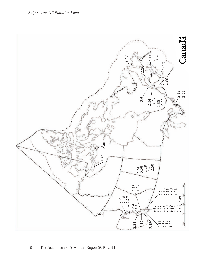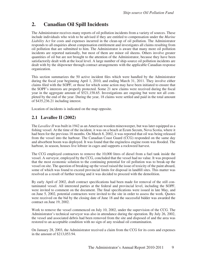## **2� Canadian Oil Spill Incidents**

The Administrator receives many reports of oil pollution incidents from a variety of sources. These include individuals who wish to be advised if they are entitled to compensation under the *Marine Liability Act* for costs and expenses incurred in the clean-up of oil pollution. The Administrator responds to all enquiries about compensation entitlement and investigates all claims resulting from oil pollution that are submitted to him. The Administrator is aware that many more oil pollution incidents are reported nationally, but most of them are minor oil sheens. Others involve greater quantities of oil but are not brought to the attention of the Administrator, because they have been satisfactorily dealt with at the local level� A large number of ship-source oil pollution incidents are dealt with by the shipowner through contract arrangements with the applicable Canadian response organization�

This section summarizes the 50 active incident files which were handled by the Administrator during the fiscal year beginning April 1, 2010, and ending March 31, 2011. They involve either claims filed with the SOPF, or those for which some action may have been initiated to ensure that the SOPF's interests are properly protected. Some 21 new claims were received during the fiscal year in the aggregate amount of \$521,158.65. Investigations are ongoing but were not all completed by the end of the year. During the year, 18 claims were settled and paid in the total amount of  $$435,236.21$  including interest.

Location of incidents is indicated on the map opposite.

## **2�1 Lavallee II (2002)**

The *Lavallee II* was built in 1942 as an American wooden minesweeper, but was later equipped as a fishing vessel. At the time of the incident, it was on a beach at Ecum Secum, Nova Scotia, where it had been for the previous 18 months. On March 8, 2002, it was reported that oil was being released from the vessel into the harbour. The Canadian Coast Guard (CCG) responded on the same day and absorbent boom was deployed. It was found that the engineless engine room was flooded. The harbour, in season, houses live lobster in cages and supports a rockweed harvest.

The CCG employed contractors to remove the 10,000 litres of diesel from a fuel tank inside the vessel. A surveyor, employed by the CCG, concluded that the vessel had no value. It was proposed that the most economic solution to the continuing potential for oil pollution was to break-up the vessel on site. The question of breaking-up the vessel raised the issue of toxicity of the paint aboard, some of which was found to exceed provincial limits for disposal in landfill sites. This matter was resolved as a result of further testing and it was decided to proceed with the demolition.

By early April of 2002, draft contract specifications had been made for removal of the still contaminated vessel� All interested parties at the federal and provincial level, including the SOPF, were invited to comment on the document. The final specifications were issued in late May, and on June 5, 2002, potential contractors were invited to the site in order to assess the work� Quotes were received on the bid by the closing date of June 18 and the successful bidder was awarded the contract on June 19, 2002.

Work to remove the vessel commenced on July 10, 2002, under the supervision of the CCG. The Administrator's technical surveyor was also in attendance during the operation. By July 26, 2002, the vessel and associated debris had been removed from the site and disposed of and the area was restored to an acceptable condition with no sign of any residual oil contamination.

On January 28, 2003, the Administrator received a claim from the CCG for its costs and expenses in the amount of  $$213,053.94$ .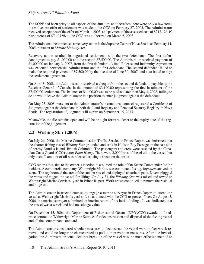The SOPF had been privy to all aspects of the situation, and therefore there were only a few items to resolve. An offer of settlement was made to the CCG on February 27, 2003. The Administrator received acceptance of the offer on March 4, 2003, and payment of the assessed cost of \$212,126.10 plus interest of \$7,404.98 to the CCG was authorized on March 6, 2003.

The Administrator commenced a recovery action in the Supreme Court of Nova Scotia on February 11, 2005, pursuant to *Marine Liability Act*�

Recovery action resulted in negotiated settlements with the two defendants. The first defendant agreed to pay \$1,000.00 and the second \$7,500.00. The Administrator received payment of \$1,000.00 on January 3, 2007, from the first defendant. A final Release and Indemnity Agreement was executed between the Administrator and the first defendant. The second defendant failed to make the required payment of  $$7,500.00$  by the due date of June 30, 2007, and also failed to sign the settlement agreement.

On April 8, 2008, the Administrator received a cheque from the second defendant, payable to the Receiver General of Canada, in the amount of  $$3,100.00$  representing the first instalment of the \$7,500.00 settlement. The balance of \$4,400.00 was to be paid no later than May 1, 2008, failing to do so would leave the Administrator in a position to enter judgment against the defendant�

On May 23, 2008, pursuant to the Administrator's instructions, counsel registered a Certificate of Judgment against the defendant in both the Land Registry and Personal Security Registry in Nova Scotia. The registration of judgment will expire on September 15, 2013.

Meanwhile, the file remains open and will be brought forward closer to the expiry date of the registration of the judgement.

## **2�2 Wishing Star (2006)**

On July 26, 2006, the Marine Communication Traffic Service in Prince Rupert was informed that the charter fishing vessel *Wishing Star* grounded and sank in Hudson Bay Passage on the east side of nearby Dundas Island, British Columbia� The passengers and crew were rescued by the Canadian Coast Guard (CCG) cutter *Point Henry*. There were 2,000 litres of diesel oil in the vessel, but only a small amount of oil was released causing a sheen on the water.

CCG reports that, due to the owner's inaction, it assumed the role of On-Scene Commander for the incident. A commercial company, Wainwright Marine, was contracted. Its tug, *Ingenika*, arrived on scene. The tug boomed the area of the sunken vessel and deployed absorbent pads. Divers plugged the vents and rigged the vessel for lifting� On July 31, the *Wishing Star* was raised and towed to Wainwright Marine Services' yard in Prince Rupert. Work crews continued to remove the residual and bilge oil.

The Administrator instructed counsel to engage a marine surveyor in Prince Rupert to attend the vessel at Wainwright Marine's yard and, also, to meet with the CCG response officer. On August 3, 2006, the marine surveyor submitted an interim report of his initial findings. It was indicated that the vessel was a wreck and had no salvage value.

On December 15, 2006, the Department of Fisheries and Oceans (DFO)/CCG awarded a fixedprice contract to Wainwright Marine Services for deconstruction and disposal of the fishing vessel and all the contaminants onboard.

The Administrator considered whether measures to deconstruct the vessel were in fact wreck removal and could no longer be characterized as pollution prevention measures. After due investigation, the Administrator concluded that break-up of the vessel was the most effective method to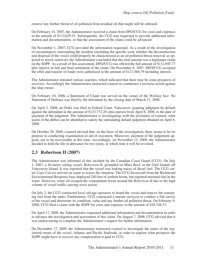remove any further threat of oil pollution from residual oil that might still be onboard.

On February 14, 2007, the Administrator received a claim from DFO/CCG for costs and expenses in the amount of  $$112,629.51$ . Subsequently, the CCG was requested to provide additional information and documentation, so that the assessment of the claim could be advanced.

On November 1, 2007, CCG provided the information requested� As a result of the investigation of circumstances surrounding the incident (including the specific issue whether the deconstruction and disposal of the vessel could properly be characterized as an oil pollution threat removal, as opposed to wreck removal), the Administrator concluded that the total amount was a legitimate claim on the SOPF. As a result of this assessment, DFO/CCG was offered the full amount of \$112,945.77 plus interest in full and final settlement of the claim. On November 8, 2007, DFO/CCG accepted the offer and transfer of funds were authorized in the amount of  $$121,566.79$  including interest.

The Administrator initiated various searches, which indicated that there may be some prospects of recovery. Accordingly the Administrator instructed counsel to commence a recourse action against the ship-owner.

On February 10, 2008, a Statement of Claim was served on the owner of the *Wishing Star*� No Statement of Defence was filed by the defendant by the closing date of March 11, 2008.

On April 2, 2008, an Order was filed in Federal Court, Vancouver, granting judgment by default against the defendant in the amount of \$123,772.20, plus interest from April 8, 2008, to the date of payment of the judgment. The Administrator is investigating, with the assistance of counsel, what assets of the debtor can be identified to satisfy the outstanding default judgment obtained on April 8, 2008.

On October 28, 2009, counsel advised that, on the basis of the investigation, there seems to be no purpose in conducting examination in aid of execution. Moreover, payment of the judgement appears not to be recoverable at this time� Accordingly, on November 12, 2009, the Administrator decided to hold the file in abeyance for two years, at which time it will be revisited.

## **2�3 Robertson II (2007)**

The Administrator was informed of this incident by the Canadian Coast Guard (CCG). On July 1, 2007, a 40-metre sailing vessel, *Robertson II*, grounded on Minx Reef, in the Gulf Islands off Vancouver Island. It was reported that the vessel was leaking traces of diesel fuel. The CCG cutter *Cape Calvest* arrived on scene to assess the situation. The CCG hovercraft from the Richmond Environmental Response base deployed 240 feet of sorbent boom, but reported minimal fuel in the water. However, some oil escaped the containment boom around the *Robertson II* due to the high volume of vessel traffic causing wave action.

On July 2, the CCG contracted local salvage operators to board the vessel and remove the remaining fuel from the tanks. Furthermore, CCG contracted a marine surveyor to conduct a full survey of the vessel and determine its condition, value and any further oil pollution threat� On February 9, 2008, CCG filed a claim with the SOPF for costs and expenses in the amount of \$20,748.53.

On April 17, 2008, the Administrator requested additional information and documentation in order to advance the investigation and assessment of this claim. On August 7, 2008, CCG advised that it was endeavouring to complete the Administrator's request for further information.

On December 17, 2009, the Administrator instructed counsel to investigate the status of the registered owner of the vessel, Atlantic and Pacific Seafoods, in order to explore what prospects the SOPF might have to recover any compensation it paid to CCG.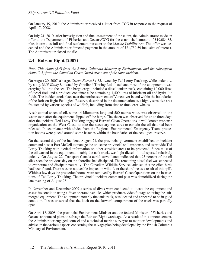On January 19, 2010, the Administrator received a letter from CCG in response to the request of April 17, 2008.

On July 21, 2010, after investigation and final assessment of the claim, the Administrator made an offer to the Department of Fisheries and Oceans/CCG for the established amount of \$19,084.85, plus interest, as full and final settlement pursuant to the *Marine Liability Act*. The offer was accepted and the Administrator directed payment in the amount of \$21,759.59 inclusive of interest. The Administrator closed the file.

## **2�4 Robson Bight (2007)**

*Note: This claim (2.4) from the British Columbia Ministry of Environment, and the subsequent claim (2.5) from the Canadian Coast Guard arose out of the same incident.*

On August 20, 2007, a barge, *Crown Forest 84-12*, owned by Ted Leroy Trucking, while under tow by a tug, M/V *Kathy L*, owned by Gowlland Towing Ltd�, listed and most of the equipment it was carrying fell into the sea. The barge cargo included a diesel tanker truck, containing 10,000 litres of diesel fuel, and a products container cube containing 1,400 litres of lubricant oil and hydraulic fluids. The incident took place near the northeastern end of Vancouver Island within the boundaries of the Robson Bight Ecological Reserve, described in the documentation as a highly sensitive area frequented by various species of wildlife, including from time to time, orca whales.

A substantial sheen of oil, some 14 kilometres long and 500 metres wide, was observed on the water soon after the equipment slipped off the barge. The sheen was observed for up to three days after the incident. Ted Leroy Trucking engaged Burrard Clean Operations, a well known response organization on the West Coast, to take the necessary measures to contain the oil that had been released. In accordance with advice from the Regional Environmental Emergency Team, protection booms were placed around some beaches within the boundaries of the ecological reserve.

On the second day of the incident, August 21, the provincial government established an incident command post at Port McNeil to manage the on-scene provincial spill response, and to provide Ted Leroy Trucking with tactical information on other sensitive areas to be protected. Since most of the oil carried in the equipment, notably the tank truck, was light diesel oil, it dispersed relatively quickly. On August 22, Transport Canada aerial surveillance indicated that 95 percent of the oil slick seen the previous day on the shoreline had dissipated. The remaining diesel fuel was expected to evaporate and dissipate naturally. The Canadian Wildlife Services advised that no oiled birds had been found. There was no noticeable impact on wildlife or the shoreline as a result of this spill. Within a few days the protection booms were removed by Burrard Clean Operations on the instructions of Ted Leroy Trucking. The provincial incident command post was demobilized during the late evening of August 23.

In November and December 2007 a series of dives were conducted to locate the equipment and assess its condition using a diver operated vehicle, which produces video footage showing the submerged equipment. The equipment, notably the tank truck, was located and appeared to be in good condition. It was observed that the latch on the forward compartment of the truck was partially open.

On April 18, 2008, the provincial Environment Minister and the federal Minister of Fisheries and Oceans announced plans to salvage the Robson Bight wreckage. As a result of this announcement, the Administrator engaged counsel and a technical marine surveyor to monitor developments and advise on the various aspects concerning the salvage plan being developed by the British Columbia Ministry of Environment.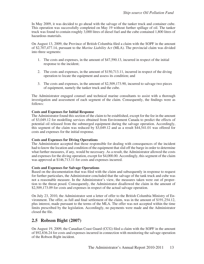In May 2009, it was decided to go ahead with the salvage of the tanker truck and container cube. This operation was successfully completed on May 19 without further spillage of oil. The tanker truck was found to contain roughly 3,000 litres of diesel fuel and the cube contained 1,800 litres of hazardous materials.

On August 13, 2009, the Province of British Columbia filed a claim with the SOPF in the amount of \$2,707,477.14, pursuant to the *Marine Liability Act* (MLA). The provincial claim was divided into three segments:

- 1. The costs and expenses, in the amount of \$47,590.13, incurred in respect of the initial response to the incident;
- 2. The costs and expenses, in the amount of \$150,713.11, incurred in respect of the diving operation to locate the equipment and assess its condition; and
- 3. The costs and expenses, in the amount of \$2,509,173.90, incurred to salvage two pieces of equipment, namely the tanker truck and the cube.

The Administrator engaged counsel and technical marine consultants to assist with a thorough investigation and assessment of each segment of the claim. Consequently, the findings were as follows:

#### **Costs and Expenses for Initial Response**

The Administrator found this section of the claim to be established, except for the fee in the amount of \$3,049.12 for modelling services obtained from Environment Canada to predict the effects of potential oil released from the submerged equipment during the salvage operation� Accordingly, this segment of the claim was reduced by  $$3,049.12$  and as a result  $$44,541.01$  was offered for costs and expenses for the initial response.

#### **Costs and Expenses for Diving Operations**

The Administrator accepted that those responsible for dealing with consequences of the incident had to know the location and condition of the equipment that slid off the barge in order to determine what further measures, if any, would be necessary. As a result, the Administrator allowed the costs and expenses for the diving operation, except for \$4,000.00. Accordingly, this segment of the claim was approved at \$146,713.11 for costs and expenses incurred.

#### **Costs and Expenses for Salvage Operations**

Based on the documentation that was filed with the claim and subsequently in response to request for further particulars, the Administrator concluded that the salvage of the tank truck and cube was not a reasonable measure. In the Administrator's view, the measures taken were out of proportion to the threat posed� Consequently, the Administrator disallowed the claim in the amount of \$2,509,173.09 for costs and expenses in respect of the actual salvage operation.

On July 23, 2010, the Administrator sent a letter of offer to the British Columbia Ministry of Environment. The offer, as full and final settlement of the claim, was in the amount of \$191,254.12, plus interest, made pursuant to the terms of the MLA� The offer was not accepted within the time limits prescribed by the legislation. Accordingly, no payments were made and the Administrator closed the file.

### **2�5 Robson Bight (2007)**

On August 19, 2009, the Canadian Coast Guard (CCG) filed a claim with the SOPF in the amount of \$92,836�24 for costs and expenses incurred in connection with monitoring the salvage operation of the Robson Bight incident�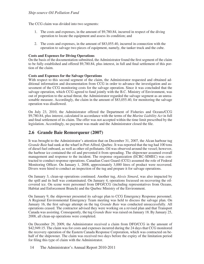The CCG claim was divided into two segments:

- 1. The costs and expenses, in the amount of \$9,780.84, incurred in respect of the diving operation to locate the equipment and assess its condition; and
- 2. The costs and expenses, in the amount of \$83,055.40, incurred in connection with the operation to salvage two pieces of equipment, namely, the tanker truck and the cube.

#### **Costs and Expenses for Diving Operations**

On the basis of the documentation submitted, the Administrator found the first segment of the claim to be fully established and offered \$9,780.84, plus interest, in full and final settlement of this portion of the claim.

#### **Costs and Expenses for the Salvage Operations**

With respect to this second segment of the claim, the Administrator requested and obtained additional information and documentation from CCG in order to advance the investigation and assessment of the CCG monitoring costs for the salvage operation. Since it was concluded that the salvage operation, which CCG agreed to fund jointly with the B.C. Ministry of Environment, was out of proportion to the actual threat, the Administrator regarded the salvage segment as an unreasonable measure. Accordingly, the claim in the amount of \$83,055.40, for monitoring the salvage operation was disallowed�

On July 23, 2010, the Administrator offered the Department of Fisheries and Oceans/CCG \$9,780�84, plus interest, calculated in accordance with the terms of the *Marine Liability Act* in full and final settlement of its claim. The offer was not accepted within the time limit prescribed by the legislation. Accordingly, no payment was made and the Administrator closed the file.

## **2�6 Grande Baie Remorqueur (2007)**

It was brought to the Administrator's attention that on December 31, 2007, the Alcan harbour tug *Grande Baie* had sunk at the wharf in Port Alfred, Quebec. It was reported that the tug had 100 tons of diesel fuel onboard, as well as other oil pollutants. Oil was observed around the vessel; however, the harbour ice contained the oil and prevented it from spreading. The shipowner assumed overall management and response to the incident. The response organization (ECRC-SIMEC) was contracted to conduct response operations� Canadian Coast Guard (CCG) assumed the role of Federal Monitoring Officer. On January 1, 2008, approximately 3,000 litres of product were recovered. Divers were hired to conduct an inspection of the tug and prepare it for salvage operations.

On January 3, clean-up operations continued� Another tug, *Alexis Simard*, was also impacted by the spill and its hull was contaminated. On January 4, operations focussed on recovering the oilcovered ice. On scene were personnel from DFO/CCG (including representatives from Oceans, Habitat and Enforcement Branch) and the Quebec Ministry of the Environment�

On January 9, the shipowner presented its salvage plan to CCG Emergency Response personnel. A Regional Environmental Emergency Team meeting was held to discuss the salvage plan. On January 16, the first salvage attempt on the tug *Grande Baie* was conducted unsuccessfully. All operations ceased� The contractor advised they were working on a revised plan and that Transport Canada was assisting. Consequently, the tug *Grande Baie* was raised on January 18. By January 25, 2008, all clean-up operations were completed.

On December 29, 2009, the Administrator received a claim from DFO/CCG in the amount of \$42,949.15. The claim was for costs and expenses incurred during the 24 days that CCG monitored the recovery operation of the Eastern Canada Response Corporation, which was contracted on behalf of the shipowner. The claim was received two days before the expiry of the limitation period for filing this type of claim with the Administrator.

14 The Administrator's Annual Report 2010-2011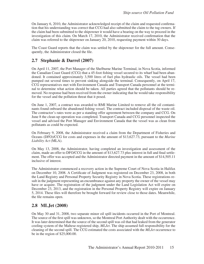On January 6, 2010, the Administrator acknowledged receipt of the claim and requested confirmation that his understanding was correct that CCG had also submitted the claim to the tug owners. If the claim had been submitted to the shipowner it would have a bearing on the way to proceed in the investigation of this claim. On March 17, 2010, the Administrator received confirmation that the claim was referred to the shipowner on January 20, 2010, requesting payment within 30 days.

The Coast Guard reports that the claim was settled by the shipowner for the full amount. Consequently, the Administrator closed the file.

### **2�7 Stephanie & Darrel (2007)**

On April 11, 2007, the Port Manager of the Shelburne Marine Terminal, in Nova Scotia, informed the Canadian Coast Guard (CCG) that a 45-foot fishing vessel secured to its wharf had been abandoned. It contained approximately 3,500 litres of fuel plus hydraulic oils. The vessel had been pumped out several times to prevent sinking alongside the terminal� Consequently, on April 17, CCG representatives met with Environment Canada and Transport Canada personnel at the terminal to determine what action should be taken. All parties agreed that the pollutants should be removed. No response had been received from the owner indicating that he would take responsibility for the vessel and the pollution threat that it posed.

On June 1, 2007, a contract was awarded to RMI Marine Limited to remove all the oil contaminants found onboard the abandoned fishing vessel. The contract included disposal of the waste oil. The contractor's rates were as per a standing offer agreement between the company and CCG. On June 8 the clean-up operation was completed. Transport Canada and CCG personnel inspected the vessel and advised the Port Manager and Environment Canada that the vessel was as clean from pollutants as could be expected.

On February 9, 2008, the Administrator received a claim from the Department of Fisheries and Oceans (DFO)/CCG for costs and expenses in the amount of \$13,627�73, pursuant to the *Marine*  Liability Act (MLA).

On May 13, 2008, the Administrator, having completed an investigation and assessment of the claim, made an offer to DFO/CCG in the amount of  $$13,627.73$  plus interest in full and final settlement. The offer was accepted and the Administrator directed payment in the amount of \$14,505.11 inclusive of interest.

The Administrator commenced a recovery action in the Supreme Court of Nova Scotia in Halifax on December 10, 2008. A Certificate of Judgment was registered on December 23, 2008, in both the Land Registry and Personal Property Security Registry in Nova Scotia� These registrations result in the judgment representing an encumbrance against any property the owner of the vessel may have or acquire. The registration of the judgment under the Land Legislation Act will expire on December 23, 2013, and the registration in the Personal Property Registry will expire on January 5, 2014. These files will therefore be brought forward for review close to those dates. Meanwhile, the file remains open.

## **2�8 MLJet (2008)**

On May 30 and 31, 2008, two separate minor oil spill incidents occurred in the Port of Montreal. The source of the first spill was unknown, so the Montreal Port Authority dealt with the occurrence. It was later determined that the source of the second spill was oil that had leaked from the generator cooling system of the Maltese-registered ship, *MLJet*. The ship assumed full responsibility for the cleaning of the second spill. The CCG estimated the costs associated with the *MLJet* occurrence to be in the region of  $$25,000.00$ .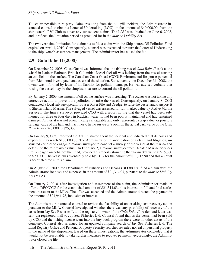To secure possible third-party claims resulting from the oil spill incident, the Administrator instructed counsel to obtain a Letter of Undertaking (LOU), in the amount of \$40,000.00, from the shipowner's P&I Club to cover any subsequent claims. The LOU was obtained on June 6, 2008, and it reflects the limitation period as provided for in the *Marine Liability Act*.

The two year time limitation for claimants to file a claim with the Ship-source Oil Pollution Fund expired on April 1, 2010. Consequently, counsel was instructed to return the Letter of Undertaking to the shipowner's assurance management. The Administrator has closed the file.

## **2�9 Gala Babe II (2008)**

On December 29, 2008, Coast Guard was informed that the fishing vessel *Gala Babe II* sank at the wharf in Ladner Harbour, British Columbia. Diesel fuel oil was leaking from the vessel causing an oil slick on the surface. The Canadian Coast Guard (CCG) Environmental Response personnel from Richmond investigated and assessed the situation. Subsequently, on December 31, 2008, the owner was informed by letter of his liability for pollution damage� He was advised verbally that raising the vessel may be the simplest measure to control the oil pollution.

By January 7, 2009, the amount of oil on the surface was increasing. The owner was not taking any corrective action to prevent the pollution, or raise the vessel� Consequently, on January 8, CCG contracted a local salvage operator, Fraser River Pile and Dredge, to raise the vessel and transport it to Shelter Island Marina. The salvaged vessel was assessed for fair market value by Active Marine Services. The firm's surveyor provided CCG with a report noting that the vessel had been submerged for three or four days in brackish water. It had been poorly maintained and had sustained damage. Further, it was not economically salvageable and only represented scrap value, or possible salvage value of the hull and machinery. In the surveyor's opinion the actual cash value of the *Gala Babe II* was \$20,000 to \$25,000.

On January 9, CCG informed the Administrator about the incident and indicated that its costs and expenses may reach \$100,000.00. The Administrator, in anticipation of a claim and litigation, instructed counsel to engage a marine surveyor to conduct a survey of the vessel at the marina and determine the fair market value. On February 2, a marine surveyor from Oceatec Marine Services Ltd., engaged on behalf of the Fund, provided his report estimating the fair market value at \$15,000 to  $$20,000$ . The vessel was eventually sold by CCG for the amount of  $$11,715.90$  and this amount is accounted for in this claim.

On August 20, 2009, the Department of Fisheries and Oceans (DFO)/CCG filed a claim with the Administrator for costs and expenses in the amount of \$21,314�03, pursuant to the *Marine Liability*  Act (MLA).

On January 7, 2010, after investigation and assessment of the claim, the Administrator made an offer to DFO/CCG for the established amount of  $$21,314.03$ , plus interest, in full and final settlement, pursuant to the MLA. The offer was accepted and the Administrator directed the payment in the amount of  $$21,941.78$ , inclusive of interest.

The Administrator instructed counsel to review the feasibility of undertaking cost recovery action pursuant to the MLA� Counsel investigated whether there was any possibility of recovery of the costs from Jay Sea Fisheries Ltd., the registered owner of the *Gala Babe II*. A demand letter was sent via registered mail to Jay Sea Fisheries Ltd� Counsel found that as the vessel had been sold by CCG and the fishing license went into the buy back program there were no other assets of the company. Counsel also arranged for an updated company search of Jay Sea Fisheries Ltd. The Land Registry Office and Personal Property Security searches revealed no real or personal property in the name of the shipowner. Based on these investigations, the Administrator concluded that it would not be reasonable to take further measures to recover payment. Accordingly, the Administrator closed the file.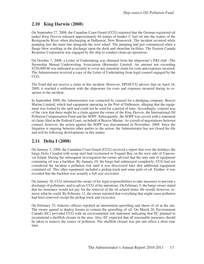## **2�10 King Darwin (2008)**

On September 27, 2008, the Canadian Coast Guard (CCG) reported that the German registered oil tanker *King Darwin* released approximately 64 tonnes of bunker C fuel oil into the waters of the Restigouche River when discharging at Dalhousie, New Brunswick. The incident occurred while pumping into the main line alongside the west wharf. The pumping had just commenced when a flange blew resulting in the discharge upon the dock and shoreline facilities. The Eastern Canada Response Corporation was engaged by the ship to conduct clean-up operations�

On October 7, 2008, a Letter of Undertaking was obtained from the shipowner's P&I club –The Steamship Mutual Underwriting Association (Bermuda) Limited� An amount not exceeding \$250,000.00 was indicated as security to cover any potential claim for costs and expenses incurred. The Administrator received a copy of the Letter of Undertaking from legal counsel engaged by the CCG.

The Fund did not receive a claim in this incident. However, DFO/CCG advises that on April 16, 2009, it reached a settlement with the shipowner for costs and expenses incurred during its response to the incident.

In September 2009, the Administrator was contacted by counsel for a dredging company, Beaver Marine Limited, which had equipment operating in the Port of Dalhousie, alleging that the equipment was fouled by the spill and could not be used for a period of time. Accordingly, counsel was of the view that there might be a claim against the owner of the *King Darwin*, the International Oil Pollution Compensation Fund and the SOPF. Subsequently, the SOPF was served with a statement of claim, filed in the Federal Court, on behalf of Beaver Marine. As a result of negotiations between counsel, however, the action against the SOPF was discontinued in November, 2008. Since the litigation is ongoing between other parties to the action, the Administrator has not closed his file and will be following developments in this matter.

## **2�11 Delta I (2008)**

On January 3, 2008, the Canadian Coast Guard (CCG) received a report that over the holidays the barge *Delta I* loaded with scrap steel had overturned in Toquart Bay on the west side of Vancouver Island. During the subsequent investigation the owner advised that the only unit of equipment containing oil was a backhoe. By January 10, the barge had submerged completely. CCG had not considered the incident a pollution risk until it was discovered later that additional equipment contained oil. This other equipment included a pickup truck and some pails of oil. Further, it was revealed that the backhoe was actually a full-size excavator.

On January 30, CCG informed the owner of his legal responsibilities to take measures to prevent a discharge of pollutants, and to advise CCG of his intentions. On February 5, the barge owner stated that his insurance would not pay for the removal of the oil related items� He would, however, remove what he could. By February 12, the owner reported that everything that might cause pollution had been removed except the pickup truck and excavator.

On February 25, fisheries officers reported an intermittent upwelling and sheen of oil at the site. The owner agreed to deploy booms to contain the upwelling of oil. On March 20, Environment Canada (EC) provided CCG with an environmental risk statement indicating that EC planned to recommend a shellfish closure in the area. Also, EC expected that all reasonable measures should be taken to remove the source of pollution. The shellfish closure was put into effect a short time later.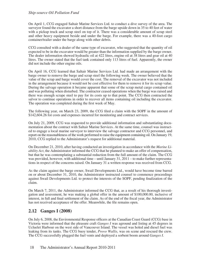On April 1, CCG engaged Saltair Marine Services Ltd. to conduct a dive survey of the area. The surveyor found the excavator a short distance from the barge upside down in 35 to 40 feet of water with a pickup truck and scrap steel on top of it. There was a considerable amount of scrap steel and other heavy equipment beside and under the barge. For example, there was a 40-foot cargo container/trailer under the barge along with other debris.

CCG consulted with a dealer of the same type of excavator, who suggested that the quantity of oil expected to be in the excavator would be greater than the information supplied by the barge owner. The dealer information showed hydraulic oil at 422 litres, engine oil at 38 litres and gear oil at 40 litres. The owner stated that the fuel tank contained only 113 litres of fuel. Apparently, the owner did not include the other engine oils.

On April 16, CCG learned that Saltair Marine Services Ltd� had made an arrangement with the barge owner to remove the barge and scrap steel the following week. The owner believed that the value of the scrap and barge would cover the cost. The removal of the excavator was not included in the arrangement because it would not be cost effective for them to remove it for its scrap value. During the salvage operation it became apparent that some of the scrap metal cargo contained oil and was polluting when disturbed. The contractor ceased operations when the barge was raised and there was enough scrape steel to pay for its costs up to that point. The CCG then contracted the salvor to continue operations in order to recover all items containing oil including the excavator. The operation was completed during the first week of May.

The following year, on March  $23$ , 2009, the CCG filed a claim with the SOPF in the amount of \$142,604.26 for costs and expenses incurred for monitoring and contract services.

On July 21, 2009, CCG was requested to provide additional information and substantiating documentation about the contract with Saltair Marine Services. At the same time, counsel was instructed to engage a local marine surveyor to interview the salvage contractor and CCG personnel, and report on the reasonableness of the work performed to raise the equipment containing oil. On January 19, 2010, CCG replied to the Administrator's request for additional material.

On December 21, 2010, after having conducted an investigation in accordance with the *Marine Liability Act*, the Administrator informed the CCG that he planned to make an offer of compensation, but that he was contemplating a substantial reduction from the full amount of the claim. The CCG was provided, however, with additional time – until January 31, 2011 – to make further representations in respect of the concerns raised. On January 31 a written response was received from CCG.

As the claim against the barge owner, Swail Developments Ltd., would have become time barred on or about December 31, 2010, the Administrator instructed counsel to commence proceedings against Swail Developments Ltd. to protect the interests of the SOPF, pending finalization of the claim�

On March 7, 2011, the Administrator informed the CCG that, as a result of his thorough investigation and assessment, he was making a global offer in the amount of \$100,000.00, inclusive of interest, in full and final settlement of the claim. As of the end of the fiscal year, the Administrator has not received acceptance of the offer. Meanwhile, the file remains open.

## **2�12 Ganges I (2008)**

On July 6, 2008, the Environmental Response officers at the Canadian Coast Guard (CCG) base in Victoria were informed that the pleasure craft *Ganges I* was aground and listing at 45 degrees in Ucluelet Harbour on the west side of Vancouver Island� The vessel was holed and diesel fuel was leaking from its tanks. The CCG buoy tender, *Provo Wallis*, was on scene and rescued the crew. The CCG successfully plugged the fuel vents and deployed a sorbent boom around *Ganges I*�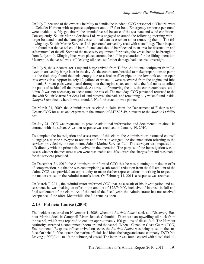On July 7, because of the owner's inability to handle the incident, CCG personnel at Victoria went to Ucluelet Harbour with response equipment and a 17-foot boat. Emergency response personnel were unable to safely get aboard the stranded vessel because of the sea state and wind conditions. Consequently, Saltair Marine Services Ltd. was engaged to attend the following morning with a larger boat and board the damaged vessel to make an assessment about removing the oil. The following day, Saltair Marine Services Ltd. personnel arrived by road with a small tug. Their inspection found that the vessel could be re-floated and should be relocated to an area for destruction and safe removal of the oil. Some of the necessary equipment for raising the vessel had to be brought in from Ladysmith. Slinging lines were placed around the hull in preparation for the lifting operation. Meanwhile, the vessel was still leaking oil because further damage had occurred overnight.

On July 9, the subcontractor's tug and barge arrived from Tofino. Additional equipment from Ladysmith arrived by barge later in the day� As the contractors boarded to make preparations to pump out the fuel, they found the tanks empty due to a broken filler pipe on the low tank and an open crossover valve� Approximately 12 gallons of waste oil were recovered from the engine and lube oil tank� Sorbent pads were placed throughout the engine space and inside the fuel tanks to collect the pools of residual oil that remained� As a result of removing the oils, the contractors were stood down. It was not necessary to deconstruct the vessel. The next day, CCG personnel returned to the site with Saltair Marine Services Ltd. and removed the pads and remaining oily waste found inside. *Ganges I* remained where it was stranded. No further action was planned.

On March 23, 2009, the Administrator received a claim from the Department of Fisheries and Oceans/CCG for costs and expenses in the amount of \$47,895�49, pursuant to the *Marine Liability Act*�

On July 21, CCG was requested to provide additional information and documentation about its contract with the salvor. A written response was received on January 19, 2010.

To complete the investigation and assessment of this claim, the Administrator instructed counsel to engage a marine surveyor to review and further investigate the documentation referring to the services provided by the contractor, Saltair Marine Services Ltd. The surveyor was requested to talk directly with the principals involved in the operation� The purpose of the investigation was to assess whether the measures taken were reasonable and, if so, were the charges fair and reasonable for the services provided.

On December 21, 2010, the Administrator informed CCG that he was planning to make an offer of compensation, but that he was contemplating a substantial reduction from the full amount of the claim. CCG was provided an opportunity to make further representations in writing in respect to the matters raised in the Administrator's letter. On February 11, 2011, a response was received.

On March 7, 2011, the Administrator informed CCG that, as a result of his investigation and assessment, he was making an offer in the amount of \$28,740.00, inclusive of interest, in full and final settlement of the claim. As of the end of the fiscal year, the Administrator has not received acceptance of the offer. Meanwhile, the file remains open.

### **2�13 Patricia Louise (2008)**

The incident occurred on November 1, 2008, when the *Patricia Louise* sank at a Discovery Harbour Marina dock in Campbell River, British Columbia. There was an upwelling oil slick from the vessel, which was reported to contain approximately 100 gallons of diesel fuel. The Harbour Authority streamed a containment boom around the vessel� When a Canadian Coast Guard (CCG) Environmental Response officer arrived on scene, the *Patricia Louise* was being raised to the surface. On behalf of the owner, the marina officials had hired the barge and crane company, DCD Pile Driving (1990) Ltd., to lift the submerged vessel. The interior was found coated with diesel fuel oil.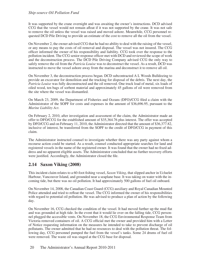It was supported by the crane overnight and was awaiting the owner's instructions. DCD advised CCG that the vessel would not remain afloat if it was not supported by the crane. It was not safe to remove the oil unless the vessel was raised and moved ashore. Meanwhile, CCG personnel requested DCD Pile Driving to provide an estimate of the cost to remove all the oil from the vessel.

On November 2, the owner advised CCG that he had no ability to deal with the raising of the vessel, or any means to pay the costs of oil removal and disposal. The vessel was not insured. The CCG officer informed the owner of his responsibility and liability. CCG took over the response to the pollution incident. The CCG senior response officer met with DCD and reviewed the scope of work and the deconstruction process. The DCD Pile Driving Company advised CCG the only way to safely remove the oil from the *Patricia Louise* was to deconstruct the vessel. As a result, DCD was instructed to move the vessel ashore away from the marina and deconstruct it to remove all oil.

On November 3, the deconstruction process began� DCD subcontracted A L Woods Bulldozing to provide an excavator for demolition and the trucking for disposal of the debris� The next day, the *Patricia Louise* was fully deconstructed and the oil removed. One truck load of metal, six loads of oiled wood, ten bags of sorbent material and approximately 45 gallons of oil were removed from the site where the vessel was dismantled.

On March 23, 2009, the Department of Fisheries and Oceans (DFO)/CCG filed a claim with the Administrator of the SOPF for costs and expenses in the amount of \$36,696.95, pursuant to the *Marine Liability Act*�

On February 2, 2010, after investigation and assessment of the claim, the Administrator made an offer to DFO/CCG for the established amount of \$35,364.76 plus interest. The offer was accepted by DFO/CCG and on February 11, 2010, the Administrator directed that the amount of \$36,377�82, inclusive of interest, be transferred from the SOPF to the credit of DFO/CCG in payment of this claim�

The Administrator instructed counsel to investigate whether there was any party against whom a recourse action could be started. As a result, counsel conducted appropriate searches for land and registered vessels in the name of the registered owner. It was found that the owner had no fixed address and no apparent eligible assets. The Administrator concluded that no further recovery efforts were justified. Accordingly, the Administrator closed the file.

## **2�14 Saxon Viking (2008)**

This incident claim relates to a 60-foot fishing vessel, *Saxon Viking*, that slipped anchor in Ucluelet Harbour, Vancouver Island, and grounded near a seaplane base. It was taking on water with the incoming tide, but there was no oil pollution. It had approximately 500 gallons of fuel oil onboard.

On November 14, 2008, the Canadian Coast Guard (CCG) auxiliary and Royal Canadian Mounted Police attended and tried to refloat the vessel. The CCG informed the owner of his responsibilities with regard to potential oil pollution. He was advised to produce a plan of action by the following day.

On November 16, CCG checked the condition of the vessel. It had moved further up the mud flat and was grounded at high tide. In the event that it would lie over on the falling tide, CCG personnel plugged the accessible vents. On November 18, the CCG Environmental Response Team from Victoria removed containers of oil. A CCG official met the owner and provided him with a Letter of Notice requesting information on the measures he intended to take to prevent discharge of oil pollutants. The owner admitted that he had no resources to deal with the pollution threat. The following day, CCG personnel pumped the fuel from the vessel's tanks. Some 24 drums of fuel oil were removed. The waste oil was staged at the CCG base for disposal.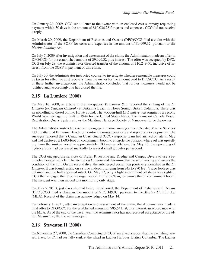On January 29, 2009, CCG sent a letter to the owner with an enclosed cost summary requesting payment within 30 days in the amount of \$10,036.28 for costs and expenses. CCG did not receive a reply.

On March 20, 2009, the Department of Fisheries and Oceans (DFO)/CCG filed a claim with the Administrator of the SOPF for costs and expenses in the amount of \$9,999.32, pursuant to the *Marine Liability Act*�

On July 7, 2009 after investigation and assessment of the claim, the Administrator made an offer to DFO/CCG for the established amount of \$9,999.32 plus interest. The offer was accepted by DFO/ CCG on July 28, the Administrator directed transfer of the amount of \$10,249.60, inclusive of interest, from the SOPF in payment of this claim�

On July 30, the Administrator instructed counsel to investigate whether reasonable measures could be taken for effective cost recovery from the owner for the amount paid to DFO/CCG. As a result of these further investigations, the Administrator concluded that further measures would not be justified and, accordingly, he has closed the file.

## **2�15 La Lumiere (2008)**

On May 10, 2008, an article in the newspaper, *Vancouver Sun*, reported the sinking of the *La Lumiere* (ex *Seaspan Chinook*) at Britannia Beach in Howe Sound, British Columbia. There was an upwelling of diesel oil into Howe Sound� The wooden-hull *La Lumiere* was originally a Second World War heritage tug built in 1944 for the United States Navy. The Transport Canada Vessel Registration Query System shows the Maritime Heritage Society of Vancouver to be the owner�

The Administrator instructed counsel to engage a marine surveyor from Oceatec Marine Services Ltd, to attend at Britannia Beach to monitor clean-up operations and report on developments. The surveyor reported that a Canadian Coast Guard (CCG) response team had arrived on site in May and had deployed a 1,600-foot oil containment boom to encircle the position where oil was upwelling from the sunken vessel – approximately 100 metres offshore. By May 15, the upwelling of hydrocarbons had decreased markedly to several small globules per second.

The CCG engaged the services of Fraser River Pile and Dredge and Canpac Divers to use a remotely operated vehicle to locate the *La Lumiere* and determine the cause of sinking and assess the condition of the hull. On the second dive, the submerged vessel was positively identified as the *La Lumiere*. It was found resting on a slope in depths ranging from 245 to 290 feet. Video footage was obtained and the hull appeared intact. On May 17, only a light intermittent oil sheen was sighted. CCG then engaged the response organization, Burrard Clean, to remove the oil containment boom. The incident was then moved to a monitoring only stage.

On May 7, 2010, just days short of being time-barred, the Department of Fisheries and Oceans (DFO)/CCG filed a claim in the amount of \$127,149.07, pursuant to the *Marine Liability Act* (MLA). Receipt of the claim was acknowledged on May 14.

On February 1, 2011, after investigation and assessment of the claim, the Administrator made a final offer to DFO/CCG for the established amount of  $$85,641.19$ , plus interest, in accordance with the MLA. As of the end of the fiscal year, the Administrator has not received acceptance of the offer. Meanwhile, the file remains open.

## **2�16 Steveston II (2008)**

On November 27, 2008, the Canadian Coast Guard (CCG) received a report that the ex-fishing vessel, *Steveston II*, had partially sunk at the wharf in Ladner Harbour, British Columbia. The Ladner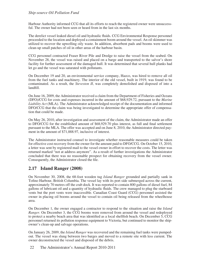Harbour Authority informed CCG that all its efforts to reach the registered owner were unsuccessful. The owner had not been seen or heard from in the last six months.

The derelict vessel leaked diesel oil and hydraulic fluids. CCG Environmental Response personnel proceeded to the location and deployed a containment boom around the vessel� An oil skimmer was utilized to recover the upwelling oily waste� In addition, absorbent pads and booms were used to clean-up small patches of oil in other areas of the harbour basin�

CCG personnel contracted Fraser River Pile and Dredge to raise the vessel from the seabed� On November 28, the vessel was raised and placed on a barge and transported to the salvor's shore facility for further assessment of the damaged hull. It was determined that several hull planks had let go and the vessel was saturated with pollutants.

On December 19 and 20, an environmental service company, Hazco, was hired to remove all oil from the fuel tanks and machinery. The interior of the old vessel, built in 1919, was found to be contaminated. As a result, the *Steveston II*, was completely demolished and disposed of into a landfill.

On June 16, 2009, the Administrator received a claim from the Department of Fisheries and Oceans (DFO)/CCG for costs and expenses incurred in the amount of \$68,929�72, pursuant to the *Marine Liability Act* (MLA). The Administrator acknowledged receipt of the documentation and informed DFO/CCG that the claim was being investigated to determine the appropriate offer of compensation that could be made.

On May 26, 2010, after investigation and assessment of the claim, the Administrator made an offer to DFO/CCG for the established amount of \$68,929.70 plus interest, as full and final settlement pursuant to the MLA. The offer was accepted and on June 8, 2010, the Administrator directed payment in the amount of \$71,888.97, inclusive of interest.

The Administrator instructed counsel to investigate whether reasonable measures could be taken for effective cost recovery from the owner for the amount paid to DFO/CCG. On October 15, 2010, a letter was sent by registered mail to the vessel owner in effort to recover the costs. The letter was returned marked "not at address anymore". As a result of further investigations the Administrator concluded that there was no reasonable prospect for obtaining recovery from the vessel owner. Consequently, the Administrator closed the file.

## **2�17 Island Ranger (2008)**

On November 30, 2008, the 68-foot wooden tug *Island Ranger* grounded and partially sank in Tofino Harbour, British Columbia. The vessel lay with its port side submerged across the current, approximately 70 metres off the crab dock. It was reported to contain 800 gallons of diesel fuel, 84 gallons of lubricant oil and a quantity of hydraulic fluids. The crew managed to plug the starboard vents but the port vents were inaccessible� Canadian Coast Guard (CCG) personnel assisted the owner in placing oil booms around the vessel to contain oil being released from the wheelhouse area.

On December 1, the owner engaged a contractor to respond to the situation and raise the *Island Ranger*. On December 3, the CCG booms were removed from around the vessel and redeployed to protect a nearby beach area that was identified as a local shellfish beach. On December 5, CCG personnel returned its pollution response equipment to Victoria, but continued to monitor the shipowner's clean-up and salvage operations�

On January 26, 2009, the *Island Ranger* was recovered and the remaining fuel tanks were pumpedout. The vessel was slung between two barges and moved to a remote site with less current. The owner deconstructed the vessel and disposed of the debris.

22 The Administrator's Annual Report 2010-2011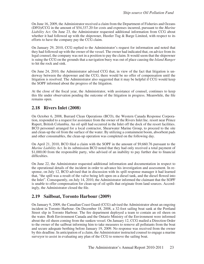On June 16, 2009, the Administrator received a claim from the Department of Fisheries and Oceans (DFO)/CCG in the amount of \$54,337�20 for costs and expenses incurred, pursuant to the *Marine*  Liability Act. On June 23, the Administrator requested additional information from CCG about whether it had followed up with the shipowner, Hustler Tug  $\&$  Barge Limited, with respect to its efforts to have the company pay the CCG claim�

On January 29, 2010, CCG replied to the Administrator's request for information and noted that they had followed-up with the owner of the vessel. The owner had indicated that, on advice from its legal counsel, the company was not in a position to pay the claim. It would seem that the shipowner is suing the CCG on the grounds that a navigation buoy was out of place causing the *Island Ranger* to hit the rock and sink�

On June 24, 2010, the Administrator advised CCG that, in view of the fact that litigation is underway between the shipowner and the CCG, there would be no offer of compensation until the litigation is resolved. The Administrator also suggested that it may be helpful if CCG would keep the SOPF informed about the progress of the litigation.

At the close of the fiscal year, the Administrator, with assistance of counsel, continues to keep this file under observation pending the outcome of the litigation in progress. Meanwhile, the file remains open.

## **2�18 Rivers Inlet (2008)**

On October 6, 2008, Burrard Clean Operations (BCO), the Western Canada Response Corporation, responded to a request for assistance from the owner of the Rivers Inlet Inc. resort near Prince Rupert, British Columbia. An oil spill had occurred in the Inlet off the dock of the resort facilities. BCO personnel arranged for a local contractor, Shearwater Marine Group, to proceed to the site and clean-up the oil from the surface of the water. By utilizing a containment boom, absorbent pads and other consumables, the clean-up operation was completed on the following day.

On April 21, 2010, BCO filed a claim with the SOPF in the amount of \$9,660.76 pursuant to the *Marine Liability Act*. In its submission BCO noted that they had only received a total payment of \$1,000.00 from the responsible party, who advised of an inability to pay further due to financial difficulties.

On June 22, the Administrator requested additional information and documentation in respect to the operational details of the incident in order to advance his investigation and assessment. In response, on July 12, BCO advised that in discussion with its spill response manager it had learned that, "the spill was a result of the valve being left open on a diesel tank, and the diesel flowed into the Inlet". Consequently, on July 14, 2010, the Administrator informed the claimant that the SOPF is unable to offer compensation for clean-up of oil spills that originate from land sources. Accordingly, the Administrator closed the file.

## **2�19 Sailboat, Toronto Harbour (2009)**

On January 9, 2009, the Canadian Coast Guard (CCG) advised the Administrator about an ongoing incident in Toronto Harbour. On December 18, 2008, a 32-foot sailing boat sank at the Portland Street slip in Toronto Harbour. The fire department deployed a team to contain an oil sheen on the water. Both Environment Canada and the Ontario Ministry of the Environment were informed about the oil sheen coming from the sunken vessel. On January 12, CCG mailed a Direction Order to the owner of the sailboat informing him to take measures to remove all pollutants from the boat and secure adequate berthing before January 19, 2009. No response was received from the owner by this deadline. In anticipation of a claim, the Administrator instructed counsel to engage a marine surveyor to assist in evaluating any plan of the CCG to remove the sailing boat.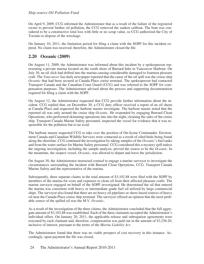On April 9, 2009, CCG informed the Administrator that as a result of the failure of the registered owner to prevent further oil pollution, the CCG removed the sunken sailboat. The boat was considered to be a constructive total loss with little or no scrap value, so CCG authorized the City of Toronto to dispose of the wreckage�

On January 10, 2011, the limitation period for filing a claim with the SOPF for this incident expired. No claim was received; therefore, the Administrator closed the file.

## **2�20 Oceanic (2009)**

On August 11, 2009, the Administrator was informed about this incident by a spokesperson representing a private marina located on the south shore of Burrard Inlet in Vancouver Harbour. On July 30, an oil slick had drifted into the marina causing considerable damaged to fourteen pleasure craft. The *Vancouver Sun* daily newspaper reported that the cause of the oil spill was the cruise ship *Oceanic* that had been secured at Canada Place cruise terminal. The spokesperson had contacted Transport Canada and the Canadian Coast Guard (CCG) and was referred to the SOPF for compensation purposes� The Administrator advised about the process and supporting documentation required for filing a claim with the SOPF.

On August 12, the Administrator requested that CCG provide further information about the incident. CCG replied that, on December 30, a CCG duty officer received a report of an oil sheen at Canada Place and requested the harbour master investigate. The harbour master noted that the reported oil was only around the cruise ship *Oceanic*. He responded by engaging Burrard Clean Operations, who performed skimming operations late into the night, cleaning the sides of the cruise ship. Transport Canada Marine Safety personnel, inspected the vessel for evidence that it was responsible for the pollution but to no avail.

The harbour master requested CCG to take over the position of On-Scene Commander. Environment Canada and Canadian Wildlife Services were contacted as a result of oiled birds being found along the shoreline. CCG continued the investigation by taking samples of the *Oceanic*'s fuel tanks and from the water surface for Marine Safety personnel. CCG considered this a mystery spill unless the ongoing investigation, including the sample analysis, proved the source to be the *Oceanic*� In the meantime, the suspect vessel, *Oceanic*, was allowed to depart and leave the jurisdiction.

On August 30, the Administrator instructed counsel to engage a marine surveyor to investigate the circumstances surrounding the incident with Burrard Clean Operations, CCG, Transport Canada Marine Safety and the representative of the marina.

Subsequently, three separate claims in the total amount of \$3,102.88 were filed with the SOPF by members of the marina for costs and expenses to clean oil from their affected pleasure crafts. The marine surveyor engaged on behalf of the SOPF investigated. He determined the oil that entered the marina was consistent with heavy or intermediate grade fuel oil utilized by large commercial ships. The surveyor also found that there are no heavy oil pipelines or shore-based sources of heavy oil near the Canada Place cruise ship terminal. The surveyor offered an opinion that the most probable source of the spilled oil was the M.V. *Oceanic*.

As a result of the investigation of the three claims, the Administrator concluded that the full aggregate amount of \$3,102.88 was established. Each of the three claimants accepted the Administrator's individual offers. On January 20, 2011, the applicable release and subrogation agreements were executed by each claimant and, therefore, compensation was paid out in the amount of \$3,256.20, inclusive of interest, pursuant to the terms of the *Marine Liability Act*.

The Administrator found that there was no viable prospect of cost recovery in this instance. Accordingly, upon payment the file was closed.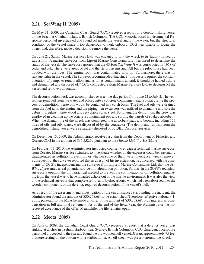# **2�21 SeaWing II (2009)**

On May 31, 2009, the Canadian Coast Guard (CCG) received a report of a derelict fishing vessel on the beach at Chatham Islands, British Columbia� The CCG Victoria-based Environmental Response personnel investigated and found oil inside the vessel and on the water, but the structural condition of the vessel made it too dangerous to work onboard� CCG was unable to locate the owner and, therefore, made a decision to remove the vessel.

On June 21, Saltair Marine Services Ltd. was engaged to tow the wreck to its facility in nearby Ladysmith. A marine surveyor from Lipsett Marine Consultants Ltd. was hired to determine the status of the vessel. The surveyor reported that the 45-foot *Sea Wing II* was constructed in 1968 of cedar and oak. There were areas of rot and the stern was missing. All but the pilot house had been flooded with the tides. The engine room was contaminated with oil. Furthermore, there was no salvage value in the vessel. The surveyor recommended that since "this vessel requires the constant operation of pumps to remain afloat and as it has contaminants aboard, it should be hauled ashore and dismantled and disposed of." CCG contracted Saltair Marine Services Ltd. to deconstruct the vessel and remove pollutants.

The deconstruction work was accomplished over a nine-day period from June 22 to July 2. The vessel was removed from the water and placed into a concrete containment pad, so that during the process of demolition, waste oils would be contained in a catch basin� The fuel and oils were drained from the fuel tank, the engine and the piping� An excavator was utilized to dismantle and sort the debris, fibreglass, waste wood and recyclable scrap steel. Following the demolition, the crew was employed in cleaning up the concrete containment pad and sorting the barrels of soaked absorbent. When the dismantling of the wreck was completed, the absorbent pads and booms, including 175 litres of oils and oily water, were disposed of by the contractor. The debris and rubbish from the demolished fishing vessel were separately disposed of by DBL Disposal Services.

On December 15, 2009, the Administrator received a claim from the Department of Fisheries and Oceans/CCG in the amount of \$35,552.69 pursuant to the *Marine Liability Act* (MLA).

On February 11, 2010, the Administrator instructed counsel to engage a technical marine surveyor, from Oceatec Marine Services Limited, to investigate whether all the expenses could be reasonably characterized as pollution prevention, or whether some of them were, in essence, wreck removal� Subsequently, the surveyor reported that as a result of his investigation, he concurred with the comments of CCG's independent marine surveyor from Lipsett Marine Consultants Ltd� that the *Sea Wing II* presented a real potential source of hydrocarbon pollution. Further, in the SOPF's technical surveyor's opinion, the only practical method to prevent the continuation of oil pollution emanating from the vessel was to have it hauled ashore out of the marine environment. It was also the view of the technical surveyor that complete removal of hydrocarbons, which had been absorbed into the wooden components of the derelict, required deconstruction of the vessel's hull.

As a result of the assessment and investigation of the circumstances surrounding the incident, the administrator found the amount of \$30,268.68, to be established. Therefore, effective February 1, 2011, pursuant to the MLA he made an offer in the amount of \$30,268�68, plus interest, as compensation in full and final settlement. As of the end of the fiscal year, the Administrator has not received acceptance of the offer. Meanwhile, the file remains open.

## **2�22 Meota (2009)**

On June 6, 2009, the Canadian Coast Guard (CCG) received a report that a derelict vessel was sinking at anchor in Tsehum Harbour near Sydney, British Columbia. CCG Emergency Response personnel proceeded to the site and found the old wooden hull vessel, *Meota*, approximately 75 feet offshore resting on the bottom with a starboard list. An oil sheen was present around the wreck.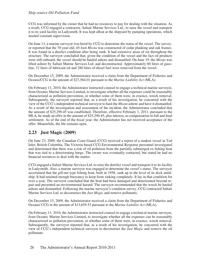CCG was informed by the owner that he had no resources to pay for dealing with the situation� As a result, CCG engaged a contractor, Saltair Marine Services Ltd�, to raise the vessel and transport it to its yard facility in Ladysmith. It was kept afloat at the shipyard by pumping operations, which needed constant supervision�

On June 13, a marine surveyor was hired by CCG to determine the status of the vessel. The surveyor reported that the 70 year-old, 45-foot *Meota* was constructed of cedar planking and oak frames. It was found in a derelict condition after being sunk. It had extensive areas of rot throughout the structure. The surveyor concluded that, given the condition of the vessel and the fact oil products were still onboard, the vessel should be hauled ashore and dismantled� On June 19, the *Meota* was lifted ashore by Saltair Marine Services Ltd. and deconstructed. Approximately 60 litres of gasoline, 12 litres of lubricant oil and 280 litres of diesel fuel were removed from the vessel�

On December 15, 2009, the Administrator received a claim from the Department of Fisheries and Oceans/CCG in the amount of \$27,564.01 pursuant to the *Marine Liability Act* (MLA).

On February 11, 2010, the Administrator instructed counsel to engage a technical marine surveyor, from Oceatec Marine Services Limited, to investigate whether all the expenses could be reasonably characterized as pollution prevention, or whether some of them were, in essence, wreck removal. Subsequently, the surveyor reported that, as a result of his investigation, he concurred with the view of the CCG's independent technical surveyor to haul the *Meota* ashore and have it dismantled� As a result of the investigation and assessment of the incident, the Administrator concluded that the amount of \$25,290.45 was established. Therefore, effective February 1, 2011, pursuant to the MLA, he made an offer in the amount of \$25,290.45, plus interest, as compensation in full and final settlement. As of the end of the fiscal year, the Administrator has not received acceptance of the offer. Meanwhile, the file remains open.

## **2�23 Just Magic (2009)**

On June 23, 2009, the Canadian Coast Guard (CCG) received a report of a sunken vessel in Tod Inlet, British Columbia. The Victoria-based CCG Environmental Response personnel investigated and determined that there was a risk of oil pollution from the partially submerged ex-fishing boat that was tied to a deteriorating barge. The owner was eventually contacted, but stated he had no financial resources to deal with the matter.

CCG engaged a Saltair Marine Services Ltd. to raise the derelict vessel and transport it to its facility in Ladysmith. Also, a marine surveyor was engaged to determine the vessel's status. The surveyor ascertained that the gill-net type fishing boat, built in 1958, sank up to the level of its deck amidship. It had retained enough buoyancy to keep from sinking completely. It lay in that condition for over a year. The surveyor concluded that the boat had been damaged and deteriorated beyond repair and presented an environmental hazard. The surveyor recommended that the wreck be hauled ashore and dismantled. Following the marine surveyor's condition survey, CCG contracted Saltair Marine Services Ltd. to deconstruct the *Just Magic* and remove pollutants.

On December 15, 2009, the Administrator received a claim from the Department of Fisheries and Oceans/ CCG in the amount of \$13,659.53 pursuant to the *Marine Liability Act* (MLA).

On February 11, 2010, the Administrator instructed counsel to engage a technical marine surveyor, from Oceatec Marine Services Limited, to investigate whether all the expenses can be reasonably characterized as pollution prevention, or whether some of them were, in essence, wreck removal. Subsequently, the surveyor reported that, as a result of his investigation, he concurred with the view of CCG's independent technical surveyor to deconstruct the *Just Magic* and remove the oil pollutants.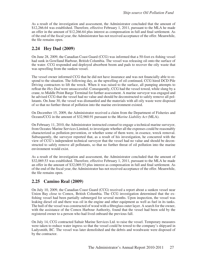As a result of the investigation and assessment, the Administrator concluded that the amount of  $$12,266.64$  was established. Therefore, effective February 1, 2011, pursuant to the MLA he made an offer in the amount of \$12,266.64 plus interest as compensation in full and final settlement. As of the end of the fiscal year, the Administrator has not received acceptance of the offer. Meanwhile, the file remains open.

### **2�24 Hey Dad (2009)**

On June 28, 2009, the Canadian Coast Guard (CCG) was informed that a 50-foot ex-fishing vessel had sunk in Gowlland Harbour, British Columbia. The vessel was releasing oil onto the surface of the water. CCG responded and deployed absorbent boom and pads to recover the oily waste that was upwelling from the sunken vessel.

The vessel owner informed CCG that he did not have insurance and was not financially able to respond to the situation. The following day, as the upwelling of oil continued, CCG hired DCD Pile Driving contractors to lift the wreck. When it was raised to the surface, all pumping attempts to refloat the *Hey Dad* were unsuccessful. Consequently, CCG had the vessel towed, while slung by a crane, to Middle Point Barge Terminal for further assessment� A marine surveyor was engaged and he advised CCG that the vessel had no value and should be deconstructed to safely remove all pollutants. On June 30, the vessel was dismantled and the materials with all oily waste were disposed of so that no further threat of pollution into the marine environment existed�

On December 15, 2009, the Administrator received a claim from the Department of Fisheries and Oceans/CCG in the amount of \$32,960�91 pursuant to the *Marine Liability Act* (MLA)�

On February 11, 2010, the Administrator instructed counsel to engage a technical marine surveyor, from Oceatec Marine Services Limited, to investigate whether all the expenses could be reasonably characterized as pollution prevention, or whether some of them were, in essence, wreck removal� Subsequently, the surveyor reported that, as a result of his investigation, he concurred with the view of CCG's independent technical surveyor that the vessel had no value and should be deconstructed to safely remove all pollutants, so that no further threat of oil pollution into the marine environment would exist.

As a result of the investigation and assessment, the Administrator concluded that the amount of \$32,069.53 was established. Therefore, effective February 1, 2011, pursuant to the MLA he made an offer in the amount of \$32,069.53 plus interest as compensation in full and final settlement. As of the end of the fiscal year, the Administrator has not received acceptance of the offer. Meanwhile, the file remains open.

## **2�25 Camino Real (2009)**

On July 10, 2009, the Canadian Coast Guard (CCG) received a report about a sunken vessel near Union Bay close to Comox, British Columbia. The CCG investigation determined that the exfishing vessel had been partially submerged for several months. Upon inspection, the vessel was leaking diesel oil and there was oil in the engine and other equipment as well as fuel in its tanks. The hull of the vessel was constructed of wood with a fibreglass outer layer. A search for the owner, with the assistance of the Comox Harbour Authority, found that the vessel had been sold by the registered owner to a person who had lived onboard the previous fall.

On July 14, CCG contracted Saltair Marine Services Ltd. to raise the vessel. Temporary measures were taken to reduce water ingress so that the vessel could be towed to the company's shipyard in Ladysmith, BC. The vessel was later demolished and the debris and woodwaste were disposed of by the contractor.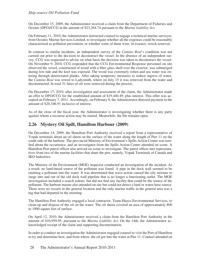On December 15, 2009, the Administrator received a claim from the Department of Fisheries and Oceans (DFO)/CCG in the amount of \$23,264.74 pursuant to the *Marine Liability Act*.

On February 11, 2010, the Administrator instructed counsel to engage a technical marine surveyor, from Oceatec Marine Services Limited, to investigate whether all the expenses could be reasonably characterized as pollution prevention, or whether some of them were, in essence, wreck removal�

In contrast to similar incidents, an independent survey of the *Camino Real's* condition was not carried out prior to the decision to deconstruct the vessel. In the absence of an independent survey, CCG was requested to advise on what basis the decision was taken to deconstruct the vessel� On November 9, 2010, CCG responded that the CCG Environmental Response personnel on site observed the vessel, constructed of wood with a fiber glass shell over the exterior, was submerged during low tide and the keel was exposed. The wood was extremely rotten and sea water was entering through deteriorated planks. After taking temporary measures to reduce ingress of water, the *Camino Real* was towed to Ladysmith, where on July 15 it was removed from the water and deconstructed. In total 51 litres of oil were removed during the process.

On December 17, 2010, after investigation and assessment of the claim, the Administrator made an offer to DFO/CCG for the established amount of \$19,440.49, plus interest. This offer was accepted on February 7, 2011� Accordingly, on February 8, the Administrator directed payment in the amount of \$20,346.91 inclusive of interest.

As of the close of the fiscal year, the Administrator is investigating whether there is any party against whom a recourse action may be started. Meanwhile, the file remains open.

## **2�26 Mystery Oil Spill, Hamilton Harbour (2009)**

On December 14, 2009, the Hamilton Port Authority received a report from a representative of Vopak terminals about an oil sheen on the surface of the water along the length of Pier 11 on the south side of the harbour. The provincial Ministry of Environment's Spills Action Centre was notified about the occurrence, and an investigator from the Spills Action Centre attended on scene. A Hamilton Port patrol officer also arrived on scene to investigate. The patrol officer met representatives from two of the marine facilities that share the pier, namely, Vopak Terminals of Canada and IKO Industries.

The Ministry of the Environment (MOE) inspector conducted an investigation of the incident. As a result, no land-based source of the pollutant was found� A pipe in the dock wall seemed to be emitting a pollutant into the water. It was determined that wave action caused the oily mixture to surge into and out of the old dock wall pipeline that is no longer a functioning outlet. The MOE investigation included a search ashore, but did not find any facility that could be the source of the pollutant. The harbour master also attended on site but could not detect a land or water-base source. There were no vessels in the general location and the only marine traffic in the general area was a tug that had departed in the morning.

The Hamilton Port Authority engaged a local contractor, Team-Hazco Environmental Services, to clean-up and dispose of the oil on the water. The oil sheen covered an area of approximately 800 to 1000 square feet of surface.

On April 12, 2010, the Administrator received a claim from the Hamilton Port Authority in the amount of \$10,959.95, pursuant to the *Marine Liability Act*. On the 14th, the Administrator acknowledged receipt of the claim and supporting documentation.

In order to conduct an investigation the Administrator engaged counsel to visit the Port of Hamilton to try and determine how, and from where, the oil got into the water at Pier 11. Counsel attended on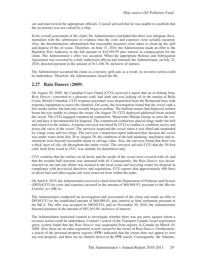site and interviewed the appropriate officials. Counsel advised that he was unable to establish that the occurrence was not caused by a ship.

In his overall assessment of the claim, the Administrator concluded that there was adequate documentation with the submission of evidence that the costs and expenses were actually incurred. Also, the documentation substantiated that reasonable measures were taken to clean-up the spill and dispose of the oil waste. Therefore, on June 23, 2010, the Administrator made an offer to the Hamilton Port Authority in the full amount of \$10,959.95 plus interest in compensation for the claim. The Administrator's offer was accepted. When the appropriate Release and Subrogation Agreement was executed by a duly authorized official and returned, the Administrator, on July 22, 2010, directed payment in the amount of  $$11,106.78$ , inclusive of interest.

The Administrator accepted the claim as a mystery spill and, as a result, no recourse action could be undertaken. Therefore, the Administrator closed the file.

### **2�27 Rain Dancer (2009)**

On August 20, 2009, the Canadian Coast Guard (CCG) received a report that an ex-fishing boat, *Rain Dancer*, converted to a pleasure craft, had sunk and was leaking oil in the marina at Bella Coola, British Columbia. CCG response personnel were dispatched from the Richmond base with response equipment to assess the situation. On scene, the investigation found that the vessel sank a few weeks earlier, but had only recently began to pollute� The harbour master had deployed sorbent boom but was unable to contact the owner. On August 29, CCG deployed additional boom around the vessel. The CCG engaged commercial contractors, Shearwater Marine Group, to raise the vessel and have it deconstructed for disposal. The commercial contractors placed slings under the hull and raised it to the surface. A marine surveyor was hired by CCG to conduct a condition survey and assess the valve of the vessel. The surveyor inspected the vessel when it was lifted and suspended by a large crane and two slings� The surveyor's inspection report indicated that, because the vessel was under water from July 28 to August 29, the condition of the hull planking, machinery and instruments were beyond reasonable repair or salvage value� Also, the surveyor found that there was a thick layer of oily silt throughout the entire vessel. The surveyor advised CCG that the 39-foot craft, built from wood in 1921, was suitable for demolition only.

CCG confirms that the surface on all decks and the inside of the vessel were covered with oil, and that the wooden hull structure was saturated with oil� Consequently, the *Rain Dancer* was deconstructed on site and oily debris was trucked to the local waste and recycling centre for disposal in compliance with provincial directives and regulations. CCG reports that approximately 400 litres of diesel fuel and other engine oils were removed from within the tanks�

On April 6, 2010, the Administrator received a claim from the Department of Fisheries and Oceans (DFO)/CCG for costs and expenses incurred in the amount of \$60,988�93, pursuant to the *Marine*  Liability Act (MLA).

The Administrator conducted an investigation and assessment of the claim and made an offer to DFO/CCG for the established amount of \$60,988.93, plus interest as final settlement pursuant to the MLA. The offer was accepted by DFO/CCG, and on November 30, 2010, the Administrator directed payment in the amount of \$63,365.00, inclusive of interest.

The Administrator instructed counsel to investigate whether there was any party against whom a recourse action could be undertaken. Counsel's search of the Transport Canada vessel registration query system found that the *Rain Dancer* was suspended from registry in Canada on March 10, 2008� Also, there are no other registered vessels owned by the owner of *Rain Dancer*� Furthermore, a search of the personal property registry (PPR) indicated that the owner does not appear to own any real property, and there are no chattels shown in the PPR search. Consequently, the Adminis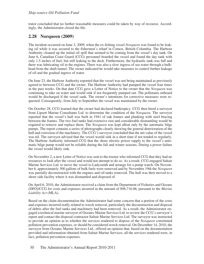trator concluded that no further reasonable measures could be taken by way of recourse� Accordingly, the Administrator closed the file.

# **2�28 Norqueen (2009)**

The incident occurred on June 3, 2009, when the ex-fishing vessel *Norqueen* was found to be leaking oil while it was secured to the fishermen's wharf in Comox, British Columbia. The Harbour Authority cleaned up the initial oil spill that seemed to be coming from the vessel's day tank. On June 6, Canadian Coast Guard (CCG) personnel boarded the vessel and found the day tank with only 1.5 inches of fuel, but still leaking to the deck. Furthermore, the hydraulic tank was full and there was lubricating oil in the engines. There was also a slow ingress of sea water through a bulkhead from the shaft tunnel. The owner indicated he would take measures to control further leakage of oil and the gradual ingress of water�

On June 23, the Harbour Authority reported that the vessel was not being maintained as previously agreed to between CCG and the owner. The Harbour Authority had pumped the vessel four times in the past weeks� On that date CCG gave a Letter of Notice to the owner that the *Norqueen* was continuing to take on water and would sink if not frequently pumped out. The pollutants onboard would be discharged if the vessel sank. The owner's intentions for corrective measures were requested. Consequently, from July to September the vessel was maintained by the owner.

On October 28, CCG learned that the owner had declared bankruptcy� CCG then hired a surveyor from Lipsett Marine Consultants Ltd� to determine the condition of the *Norqueen*� The surveyor reported that the vessel's hull was built in 1941 of oak frames and planking with steel bracing between the frames. The two fuel tanks had extensive rust and considerable dismantling would be required to remove and replace them. The *Norqueen* was kept afloat only by the automatic bilge pumps. The report contains a series of photographs clearly showing the general deterioration of the hull and corrosion of the machinery. The CCG's surveyor concluded that the net value of the vessel was nil. The surveyor advised that the vessel would sink in a short time if not tended to regularly. The Harbour Authority informed CCG that the shore electric power supply to the vessel's automatic bilge pump would not be reliable during the fall and winter seasons. During a power failure the vessel would likely sink�

On November 2, a new Letter of Notice was sent to the trustee who informed CCG that they had no resources to look after the vessel and would not attempt to do so� As a result, CCG engaged Saltair Marine Services Ltd. to move the vessel to Ladysmith and arrange for a pump watch. On November 6, approximately 300 gallons of bulk fuels were removed and by November 19th the *Norqueen* was partially deconstructed with the engines and oil tanks removed. The hull was then moved to a shore side facility where it was dismantled and disposed of.

On April 6, 2010, the Administrator received a claim from the Department of Fisheries and Oceans (DFO)/CCG for costs and expenses incurred in the amount of \$96,716�06, pursuant to the *Marine*  Liability Act (MLA).

Based on the claim documentation the Administrator had some concern that a portion of the costs and expenses incurred really related to wreck removal, particularly the deconstruction and disposal of debris after the fuel tanks and machinery had been removed. As a result, the Administrator engaged a technical marine surveyor of Oceatec Marine Services Ltd. to review the CCG's surveyor's report and contact the disposal contractor Saltair Marine Services Ltd. The surveyor was instructed to provide an opinion as to whether the services rendered to dispose of the *Norqueen* constituted pollution prevention expenses, or should be considered wreck removal. On December 14, 2010, the surveyor from Oceatec Marine Services Ltd., offered an opinion that, based on the documentation provided and information obtained from Saltair Marine Services, all the services rendered were, in fact, pollution prevention expenses.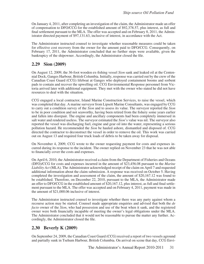On January 4, 2011, after completing an investigation of the claim, the Administrator made an offer of compensation to DFO/CCG for the established amount of \$92,378�57, plus interest, as full and final settlement pursuant to the MLA. The offer was accepted and on February 8, 2011, the Administrator directed payment of \$97,131.63, inclusive of interest, in accordance with the Act.

The Administrator instructed counsel to investigate whether reasonable measures could be taken for effective cost recovery from the owner for the amount paid to DFO/CCG. Consequently, on February 17, 2011, the Administrator concluded that no further steps were available, given the bankruptcy of the shipowner. Accordingly, the Administrator closed the file.

## **2�29 Sion (2009)**

On August 12, 2009, the 36-foot wooden ex-fishing vessel *Sion* sank and leaked oil at the Centennial Dock, Ganges Harbour, British Columbia. Initially, response was carried out by the crew of the Canadian Coast Guard (CCG) lifeboat at Ganges who deployed containment booms and sorbent pads to contain and recover the upwelling oil� CCG Environmental Response personnel from Victoria arrived later with additional equipment. They met with the owner who stated he did not have resources to deal with the situation.

CCG engaged a local contractor, Island Marine Construction Services, to raise the vessel, which was completed that day. A marine surveyor from Lipsett Marine Consultants, was engaged by CCG to carry out a condition survey of the *Sion* and to assess its value� The surveyor reported the *Sion* to be in poor condition and not seaworthy, having been retired from the fishery some years earlier and fallen into disrepair. The engine and ancillary components had been completely immersed in salt water and rendered useless. The surveyor estimated the *Sion*'s value was nil. The surveyor also reported the vessel was discharging fuel, engine and gear oil into the water, representing a serious pollution hazard. He recommended the *Sion* be hauled ashore, dismantled and disposed of. CCG directed the contractor to deconstruct the vessel in order to remove the oil. This work was carried out on August 13 and required four truck loads of debris to be taken away for disposal�

On November 4, 2009, CCG wrote to the owner requesting payment for costs and expenses incurred during its response to the incident. The owner replied on November 23 that he was not able to financially cover the costs and expenses.

On April 6, 2010, the Administrator received a claim from the Department of Fisheries and Oceans (DFO)/CCG for costs and expenses incurred in the amount of \$23,456�08 pursuant to the *Marine Liability Act* (MLA). The Administrator acknowledged receipt of the claim on April 7 and requested additional information about the claim submission. A response was received on October 5. Having completed the investigation and assessment of the claim, the amount of \$20,167.12 was found to be established. Therefore, on December 22, 2010, pursuant to the MLA, the Administrator made an offer to  $DFO/CCG$  in the established amount of \$20,167.12, plus interest, as full and final settlement pursuant to the MLA. The offer was accepted and on February 4, 2011, payment was made in the amount of  $$21,000.06$  inclusive of interest.

The Administrator instructed counsel to investigate whether there was any party against whom a recourse action may be started� Counsel made appropriate enquiries and advised that both the *de facto* owner of the *Sion*, who had possession and use of the boat when it sank, and the registered owner were both financially incapable of meeting the owner's legal obligations under the MLA. The Administrator concluded that it would not be reasonable to pursue the matter any further. Accordingly, the Administrator closed the file.

# **2�30 Beverly K (2009)**

On September 24, 2009, the Canadian Coast Guard (CCG) received a report of two vessels aground and partially sunk in Tsehum Harbour, British Columbia. On arrival on scene that day, CCG Envi-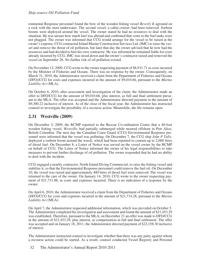ronmental Response personnel found the bow of the wooden fishing vessel *Beverly K* aground on a rock with the stern underwater. The second vessel, a cabin cruiser, had been removed. Sorbent booms were deployed around the vessel� The owner stated he had no resources to deal with the situation. He was unsure how much fuel was abroad and confirmed that vents to the fuel tanks were not plugged. The owner was informed that CCG would arrange for the vessel to be raised at the owner's expense. CCG contracted Island Marine Construction Services Ltd. (IMC) to raise the vessel and remove the threat of oil pollution, but later that day the owner advised that he now had the resources and had decided to hire his own contractor� He was informed he remained liable for costs already incurred by CCG. IMC was stood down and the owner's contractor raised and removed the vessel on September 26. No further risk of oil pollution existed.

On November 12, 2009, CCG wrote to the owner requesting payment of \$8,931�71 as costs incurred by the Minister of Fisheries and Oceans. There was no response by the owner. Consequently, on March 31, 2010, the Administrator received a claim from the Department of Fisheries and Oceans (DFO)/CCG for costs and expenses incurred in the amount of \$9,010�66, pursuant to the *Marine*  Liability Act (MLA).

On October 6, 2010, after assessment and investigation of the claim, the Administrator made an offer to DFO/CCG for the amount of \$9,010.66, plus interest, as full and final settlement pursuant to the MLA. The offer was accepted and the Administrator directed payment in the amount of \$9,300.22 inclusive of interest. As of the close of the fiscal year, the Administrator has instructed counsel to investigate the possibility of a recourse action. Meanwhile, the file remains open.

### **2�31 Westville (2009)**

On December 5, 2009, the RCMP reported to the Rescue Co-ordination Centre that a 40-foot wooden fishing vessel, *Westville*, had partially submerged while moored offshore in Port Alice, British Columbia. The next day the Canadian Coast Guard (CCG) Environmental Response personnel were informed that the vessel was polluting. On December 7, the CCG ship *John P Tully*, deployed a sorbent boom around the wreck, which had been reported to contain up to 2,000 litres of diesel fuel. On December 8, a Letter of Notice was served on the vessel owner by the RCMP on behalf of CCG. The Letter of Notice informed the owner of his legal responsibilities to take measures to prevent further discharge of oil pollution. The owner responded that he had no ability to deal with the incident�

CCG engaged a nearby contractor, North Island Diving Commercial, to raise the fishing vessel and stabilize it, so that the Environmental Response personnel could remove the fuel oil. On December 10, the vessel was raised and approximately 400 litres of diesel fuel were removed� The vessel was returned to the care of the owner. On January 14, 2010, CCG wrote to the owner requesting payment of \$21,731.88, as costs and expenses incurred. There is no indication of a response by the owner.

On April 6, 2010, the Administrator received a claim from the Department of Fisheries and Oceans (DFO)/CCG for costs and expenses incurred in the amount of \$21,714�28, pursuant to the *Marine*  Liability Act (MLA).

On April 7, the Administrator requested additional information, which was provided on October 5� The Administrator completed his investigation and assessment and found the amount of \$21,453.29 was established. Therefore, pursuant to the MLA, on December 21 an offer was made to DFO/CCG in the amount of \$21,453.29, plus interest, as compensation in full and final settlement. The offer was accepted and on January 18, 2011, the Administrator directed payment of \$22,158.30 inclusive of interest�

The Administrator instructed counsel to investigate whether that there was any party against whom a recourse action could be started. As a result, counsel conducted Vessel Registry and Personal

32 The Administrator's Annual Report 2010-2011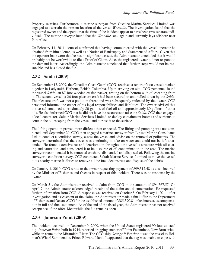Property searches. Furthermore, a marine surveyor from Oceatec Marine Services Limited was engaged to ascertain the present location of the vessel *Westville*. The investigation found that the registered owner and the operator at the time of the incident appear to have been two separate individuals. The marine surveyor found that the *Westville* sank again and currently lays offshore near Port Alice.

On February 14, 2011, counsel confirmed that having communicated with the vessel operator he obtained from him a letter, as well as a Notice of Bankruptcy and Statement of Affairs� Given that the operator has sworn that he has no significant assets, the Administrator concluded that it would probably not be worthwhile to file a Proof of Claim. Also, the registered owner did not respond to the demand letter. Accordingly, the Administrator concluded that further steps would not be reasonable and has closed the file.

### **2�32 Saida (2009)**

On September 17, 2009, the Canadian Coast Guard (CCG) received a report of two vessels sunken together in Ladysmith Harbour, British Columbia� Upon arriving on site, CCG personnel found the vessel *Saida*, an 87-foot wooden ex-fish packer, resting on the bottom with oil escaping from it. The second vessel, a 26-foot pleasure craft had been secured to and pulled down by the *Saida*. The pleasure craft was not a pollution threat and was subsequently refloated by the owner. CCG personnel informed the owner of his legal responsibilities and liabilities� The owner advised that the vessel contained approximately 80 gallons of fuel oil and approximately 80 gallons of other oils. He also informed CCG that he did not have the resources to raise the *Saida*. CCG then engaged a local contractor, Saltair Marine Services Limited, to deploy containment booms and sorbents to contain the oil escaping from the vessel, and to raise it to the surface.

The lifting operation proved more difficult than expected. The lifting and pumping was not completed until September 20� CCG then engaged a marine surveyor from Lipsett Marine Consultants Ltd, to conduct a condition survey, assess the vessel and advise on the removal of pollutants. The surveyor determined that the vessel was continuing to take on water and could not be left unattended. He found extensive rot and deterioration throughout the vessel's structure with oil coating and saturation, and considered it to be a source of oil contamination in the area. The marine surveyor recommended it be removed on shore, dismantled and disposed of. Following the marine surveyor's condition survey, CCG contracted Saltair Marine Services Limited to move the vessel to its nearby marine facilities to remove all the fuel, deconstruct and dispose of the debris�

On January 4, 2010, CCG wrote to the owner requesting payment of \$99,317�48 as costs incurred by the Minister of Fisheries and Oceans in respect of this incident� There was no response by the owner.

On March 31, the Administrator received a claim from CCG in the amount of \$94,567.57. On April 7, the Administrator acknowledged receipt of the claim and documentation. He requested further information from CCG. A response was received on October 5. On February 1, 2011, after investigation and assessment of the claim, the Administrator made a final offer to the Department of Fisheries and Oceans/CCG for the established amount of \$85,390�81, plus interest, as compensation in full and final settlement. As of the end of the fiscal year, the Administrator has not received acceptance of the offer. Meanwhile, the file remains open.

### **2�33 Jameson Point (2009)**

The incident occurred on December 9, 2009, when the United States registered 90-foot ex-steel tug, *Jameson Point*, built in 1944, reported dragging anchor off Point Escuminac, New Brunswick, while en route to the Miramichi River. The CCG ship *George R Pearkes* towed the vessel to Holman's Wharf Summerside, Prince Edward Island. It appeared that the tug was unable to cope with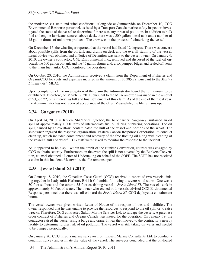the moderate sea state and wind conditions� Alongside at Summerside on December 10, CCG Environmental Response personnel, assisted by a Transport Canada marine safety inspector, investigated the status of the vessel to determine if there was any threat of pollution. In addition to bulk fuel and engine lubricants secured above deck, there was a 500 gallon diesel tank and a number of 45 gallon drums of unknown products. The crew was in the process of winterizing the vessel.

On December 15, the wharfinger reported that the vessel had listed 12 degrees. There was concern about possible spills from the oil tank and drums on deck and the overall stability of the vessel. Legal advice was obtained and a Notice of Detention was sent to the vessel owner. On January 6, 2010, the owner's contractor, GNL Environmental Inc�, removed and disposed of the fuel oil onboard, the 500 gallon oil tank and the 45 gallon drums and, also, pumped bilges and sealed off vents to the main fuel tanks. CCG monitored the operation.

On October 20, 2010, the Administrator received a claim from the Department of Fisheries and Oceans/CCG for costs and expenses incurred in the amount of \$3,385�22, pursuant to the *Marine*  Liability Act (MLA).

Upon completion of the investigation of the claim the Administrator found the full amount to be established. Therefore, on March 17, 2011, pursuant to the MLA an offer was made in the amount of \$3,385.22, plus interest, as full and final settlement of this claim. As of the end of the fiscal year, the Administrator has not received acceptance of the offer. Meanwhile, the file remains open.

## **2�34 Garganey (2010)**

On April 14, 2010, in Rivière St-Charles, Québec, the bulk carrier, *Garganey*, sustained an oil spill of approximately 1,000 litres of intermediate fuel oil during bunkering operations. The oil spill, caused by an overflow, contaminated the hull of the vessel and portions of the wharf. The shipowner engaged the response organization, Eastern Canada Response Corporation, to conduct clean-up, which included containment and recovery of the free floating oil along with cleaning of the vessel's hull and wharf. CCG staff were tasked to monitor the response to the incident.

As it appeared to be a spill within the ambit of the Bunker Convention, counsel was engaged by CCG to obtain security. Furthermore, in the event the spill is not covered by the Bunkers Convention, counsel obtained a Letter of Undertaking on behalf of the SOPF. The SOPF has not received a claim in this incident. Meanwhile, the file remains open.

# **2�35 Jessie Island XI (2010)**

On January 18, 2010, the Canadian Coast Guard (CCG) received a report of two vessels sinking together in Ladysmith Harbour, British Columbia, following a severe wind storm. One was a 30-foot sailboat and the other a 55-foot ex-fishing vessel – *Jessie Island XI*. The vessels sank in approximately 30 feet of water. The owner who owned both vessels advised CCG Environmental Response personnel that there was oil onboard the *Jessie Island XI*. CCG deployed a containment boom�

The vessel owner was given written Letter of Notice of his responsibilities and liabilities. The owner responded that he was unable to provide the resources to respond to the oil spill or to raise wrecks. Therefore, CCG contracted Saltair Marine Services Ltd. to salvage the vessels. A purchase order contract of Fisheries and Oceans Canada was issued for the operation� On January 19, the contractor raised the vessel using a barge and crane. It was then moved to the contractor's nearby facility to determine further risk of oil pollution. The vessel was still taking on water and needed to be pumped periodically.

On January 20, CCG hired a marine surveyor from Lipsett Marine Consultants Ltd. to conduct a condition survey and estimate the value of the vessel. The surveyor concluded that the oil-fouled

34 The Administrator's Annual Report 2010-2011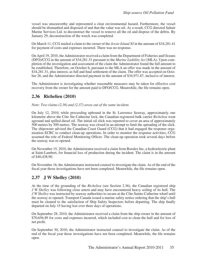vessel was unseaworthy and represented a clear environmental hazard� Furthermore, the vessel should be dismantled and disposed of and that the value was nil� As a result, CCG directed Saltair Marine Services Ltd. to deconstruct the vessel to remove all the oil and dispose of the debris. By January 29, deconstruction of the wreck was completed.

On March 11, CCG mailed a claim to the owner of the *Jessie Island XI* in the amount of \$34,281.41 for payment of costs and expenses incurred. There was no response.

On April 19, 2010, the Administrator received a claim from the Department of Fisheries and Oceans (DFO)/CCG in the amount of \$34,281.31 pursuant to the *Marine Liability Act* (MLA). Upon completion of the investigation and assessment of the claim the Administrator found the full amount to be established. Therefore, on October 6, pursuant to the MLA an offer was made in the amount of \$34,281.31, plus interest, as full and final settlement of the claim. The offer was accepted on October 26, and the Administrator directed payment in the amount of \$34,971.87, inclusive of interest.

The Administrator is investigating whether reasonable measures may be taken for effective cost recovery from the owner for the amount paid to DFO/CCG. Meanwhile, the file remains open.

## **2�36 Richelieu (2010)**

*Note: Two claims (2.36) and (2.37) arose out of the same incident.*

On July 12, 2010, while proceeding upbound in the St� Lawrence Seaway, approximately one kilometre above the Côte Ste-Catherine lock, the Canadian registered bulk carrier *Richelieu* went aground and spilled diesel oil. The initial oil slick was reported to cover an area of approximately 500 metres by 500 metres. The seaway was closed in an attempt to limit the spreading of the slick. The shipowner advised the Canadian Coast Guard (CCG) that it had engaged the response organization ECRC to conduct clean-up operations. In order to monitor the response activities, CCG assumed the role of Federal Monitoring Officer. The clean-up operation took several days before the seaway was re-opened.

On November 15, 2010, the Administrator received a claim from Boralex Inc, a hydroelectric plant at Saint-Lambert, for financial loss of production during the incident. The claim is in the amount of \$40,438.90.

On November 16, the Administrator instructed counsel to investigate the claim� As of the end of the fiscal year those investigations have not been completed. Meanwhile, the file remains open.

# **2�37 J W Shelley (2010)**

At the time of the grounding of the *Richelieu* (see Section 2�36), the Canadian registered ship *J W Shelley* was following close astern and may have encountered heavy soiling of its hull. The *J W Shelley* was instructed by seaway authorities to secure at the Côte Sainte-Catherine wharf until the seaway re-opened� Transport Canada issued a marine safety notice ordering that the ship's hull must be cleaned to the satisfaction of Ship Safety Inspectors before departing. The ship finally departed on July 15 having lost over three days of operations.

On September 28, 2010, the Administrator received a claim from the ship owner in the amount of \$70,656.89 for costs and expenses incurred, which included cost to clean the hull and for loss of net profit.

On September 30, 2010, the Administrator instructed counsel to investigate the claim� As of the end of the fiscal year those investigations have not been completed. Meanwhile, the file remains open.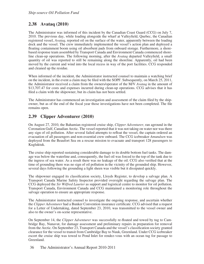# **2�38 Avataq (2010)**

The Administrator was informed of this incident by the Canadian Coast Guard (CCG) on July 7, 2010. The previous day, while loading alongside the wharf at Valleyfield, Quebec, the Canadian registered vessel, *Avataq*, reported oil on the surface of the water, apparently between the loading dock and the vessel. The crew immediately implemented the vessel's action plan and deployed a floating containment boom using oil absorbent pads from onboard storage. Furthermore, a shorebased response team assembled by Transport Canada and Environment Canada commenced shoreline clean-up operations. The following morning, after the *Avataq* departed Valleyfield, a small quantity of oil was reported to still be remaining along the shoreline. Apparently, oil had been moved by the current and wind into the local recess in way of the port facilities. CCG responded and cleaned up the residue.

When informed of the incident, the Administrator instructed counsel to maintain a watching brief on the incident, in the event a claim may be filed with the SOPF. Subsequently, on March 25, 2011, the Administrator received a claim from the owners/operator of the M/V *Avataq* in the amount of \$13,707.47 for costs and expenses incurred during clean-up operations. CCG advises that it has filed a claim with the shipowner, but its claim has not been settled.

The Administrator has commenced an investigation and assessment of the claim filed by the shipowner, but as of the end of the fiscal year those investigations have not been completed. The file remains open.

# **2�39 Clipper Adventurer (2010)**

On August 27, 2010, the Bahamian registered cruise ship, *Clipper Adventurer*, ran aground in the Coronation Gulf, Canadian Arctic. The vessel reported that it was not taking on water nor was there any sign of oil pollution. After several failed attempts to refloat the vessel, the captain ordered an evacuation of all passengers and non-essential crew onboard� The CCG icebreaker *Amundsen* was deployed from the Beaufort Sea on a rescue mission to evacuate and transport 128 passengers to Kugluktuk�

The cruise ship reported sustaining considerable damage to its double bottom fuel tanks. The damage was below the waterline and, consequently, the fuel oil was forced to the top of the tank due to the ingress of sea water. As a result there was no leakage of the oil. CCG also verified that at the time of grounding there was no sign of oil pollution in the vicinity of the grounded ship. However, several days following the grounding a light sheen was visible but it dissipated quickly.

The shipowner engaged its classification society, Lloyds Register, to develop a salvage plan. A Transport Canada Marine Safety Inspector provided oversight regarding the salvage plan� The CCG deployed the *Sir Wilfred Laurier* as support and logistical centre to monitor for oil pollution� Transport Canada, Environment Canada and CCG maintained a monitoring role throughout the salvage operation to ensure an appropriate response.

The Administrator instructed counsel to investigate the ongoing response, and ascertain whether the *Clipper Adventurer* had a Bunker Convention insurance certificate. CCG advised that a request for a Letter of Undertaking, dated September 23, 2010, was transmitted to the vessel owner and also to the owner's on-scene representative.

On September 14, the *Clipper Adventurer* was successfully re-floated and towed by tug to Cambridge Bay, Nunavut, for damage assessment and preliminary repairs in preparation for removal from the Arctic. On September 23, Transport Canada and the vessel's classification society granted clearance for the vessel to transit from Cambridge Bay to Nuuk, Greenland. Under CCG icebreaker escort the cruise ship was towed to Pond Inlet for rendez-vous with an ocean tug for passage to Greenland.

36 The Administrator's Annual Report 2010-2011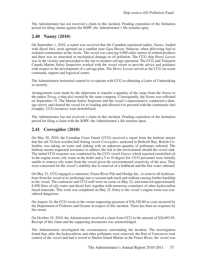The Administrator has not received a claim in this incident. Pending expiration of the limitation period for filing claims against the SOPF, the Administrator's file remains open.

# **2�40 Nanny (2010)**

On September 1, 2010, a report was received that the Canadian registered tanker, *Nanny*, loaded with diesel fuel, went aground on a sandbar near Gjoa Haven, Nunavut, when delivering fuel to isolated communities in the Arctic. The vessel was carrying 9,000 cubic metres of refined products and there was no structural or mechanical damage or oil pollution� The CCG ship *Henry Larsen* was in the vicinity and proceeded to the site to monitor salvage operation. The CCG and Transport Canada Marine Safety Inspectors worked with the vessel owner to provide advice and guidance with respect to the development of a salvage plan. The *Henry Larsen* served as the CCG on-scene command, support and logistical centre.

The Administrator instructed counsel to co-operate with CCG in obtaining a Letter of Undertaking as security.

Arrangements were made by the shipowner to transfer a quantity of the cargo from the *Nanny* to the tanker *Tuvaq*, a ship also owned by the same company. Consequently, the *Nanny* was refloated on September 15. The Marine Safety Inspector and the vessel's representative conducted a damage survey and cleared the vessel for re-loading and allowed it to proceed with the community fuel resupply. CCG resources were demobilized.

The Administrator has not received a claim in this incident. Pending expiration of the limitation period for filing a claim with the SOPF, the Administrator's file remains open.

## **2�41 Corregidor (2010)**

On May 20, 2010, the Canadian Coast Guard (CCG) received a report from the harbour master that the old 70-foot wooden hull fishing vessel *Corregidor*, anchored in Bedwell Bay, British Columbia, was taking on water and sinking with an unknown quantity of pollutants onboard� The harbour master requested assistance to address the risk to the environment should the vessel sink. The initial CCG response was conducted by the CCG vessel *Osprey* which reported emulsified oil in the engine room, oily water in the holds and a 5 to 10 degree list. CCG personnel were initially unable to remove oily water from the vessel given the environmental sensitivity of the area. They were concerned for the vessel's stability due to removal of a bulkhead and the free water onboard.

On May 21, CCG engaged a contractor, Fraser River Pile and Dredge Inc., to remove all hydrocarbons from the vessel at its anchorage into a vacuum tank truck and without causing further hardship to the vessel. The contractor and CCG staff were on scene on May 22, and removed approximately 8,500 litres of oily water and diesel fuel, together with numerous containers of other hydrocarbon based materials. This work was completed on May 22. Entry to the vessel's engine room was considered dangerous.

On August 16, the CCG wrote to the owner requesting payment of \$26,320.80 as costs incurred by the Department of Fisheries and Oceans in respect of this incident� There has been no response by the owner.

On October 18, 2010, the Administrator received a claim from CCG in the amount of \$26,893.95. Receipt of this claim and the supporting documents was acknowledged.

The Administrator investigated the circumstances surrounding the incident. The investigation found that, after the hydrocarbons and other pollutants were removed, the Port of Vancouver took control of the vessel and had it towed to Shelter Island Marine in the Fraser River; the vessel was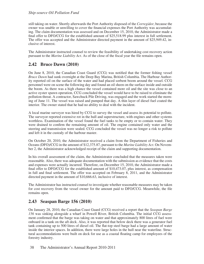still taking on water. Shortly afterwards the Port Authority disposed of the *Corregidor*, because the owner was unable or unwilling to cover the financial expenses the Port Authority was accumulating. The claim documentation was assessed and on December 15, 2010, the Administrator made a final offer to DFO/CCG for the established amount of \$25,518.99 plus interest in full settlement. The offer was accepted and the Administrator directed payment in the amount of \$25,949.42, inclusive of interest.

The Administrator instructed counsel to review the feasibility of undertaking cost recovery action pursuant to the *Marine Liability Act*. As of the close of the fiscal year the file remains open.

## **2�42 Bruce Dawn (2010)**

On June 8, 2010, the Canadian Coast Guard (CCG) was notified that the former fishing vessel *Bruce Dawn* had sunk overnight at the Deep Bay Marina, British Columbia. The Harbour Authority reported oil on the surface of the water and had placed sorbent boom around the vessel� CCG personnel were on scene the following day and found an oil sheen on the surface inside and outside the boom. As there was a high chance the vessel contained more oil and the site was close to an active oyster spawn operation, CCG concluded the vessel would have to be raised to eliminate the pollution threat. A contractor, Sawchuck Pile Driving, was engaged and the work started the morning of June 11. The vessel was raised and pumped that day. A thin layer of diesel fuel coated the interior. The owner stated that he had no ability to deal with the incident.

A local marine surveyor was hired by CCG to survey the vessel and assess its potential to pollute. The surveyor reported extensive rot in the hull and superstructure, with engines and other systems worthless. Examination of the vessel found the fuel tanks to be empty or to contain water. They were drained to confirm the remaining amount of oil. The engine contained only water and the steering and transmission were sealed. CCG concluded the vessel was no longer a risk to pollute and left it in the custody of the harbour master.

On October 20, 2010, the Administrator received a claim from the Department of Fisheries and Oceans (DFO)/CCG in the amount of \$12,375.87, pursuant to the *Marine Liability Act*. On November 2, the Administrator acknowledged receipt of the claim and supporting documentation.

In his overall assessment of the claim, the Administrator concluded that the measures taken were reasonable� Also, there was adequate documentation with the submission as evidence that the costs and expenses were actually incurred. Therefore, on December 15, 2010, the Administrator made a final offer to DFO/CCG for the established amount of \$10,473.07, plus interest, as compensation in full and final settlement. The offer was accepted on February  $\overline{8}$ , 2011, and the Administrator directed payment in the amount of \$10,666.63, inclusive of interest.

The Administrator has instructed counsel to investigate whether reasonable measures may be taken for cost recovery from the vessel owner for the amount paid to DFO/CCG. Meanwhile, the file remains open.

# **2�43 Seaspan Barge 156 (2010)**

On January 28, 2010, the Canadian Coast Guard (CCG) received a report that the *Seaspan Barge*  156 was sinking alongside a wharf in Powell River, British Columbia. The initial CCG assessment confirmed that the barge was taking on water and that approximately 800 litres of fuel were onboard in a tank on the aft deck� Also, it was reported that below deck there was a generator fuel tank containing up to 500 litres of diesel oil. The flat-top steel barge had a large amount of water inside the interior spaces. In addition, there were large holes in the hull near the waterline. Structural accommodations were built on deck for use as a coastal floating camp for employees of the forestry industry.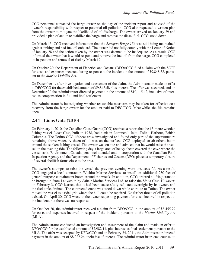CCG personnel contacted the barge owner on the day of the incident report and advised of the owner's responsibility with respect to potential oil pollution� CCG also requested a written plan from the owner to mitigate the likelihood of oil discharge� The owner arrived on January 29 and provided a plan of action to stabilize the barge and remove the diesel fuel. CCG stood down.

On March 15, CCG received information that the *Seaspan Barge 156* was still being maintained against sinking and had fuel oil onboard. The owner did not fully comply with the Letter of Notice of January 28 and the action taken by the owner was deemed to be inadequate� As a result, CCG informed the owner that it would respond and remove the fuel oil from the barge. CCG completed its inspection and removal of fuel by March 19.

On October 20, the Department of Fisheries and Oceans (DFO)/CCG filed a claim with the SOPF for costs and expenses incurred during response to the incident in the amount of \$9,848.58, pursuant to the *Marine Liability Act*.

On December 1, after investigation and assessment of the claim, the Administrator made an offer to DFO/CCG for the established amount of \$9,848.58 plus interest. The offer was accepted, and on December 20 the Administrator directed payment in the amount of \$10,115.42, inclusive of interest, as compensation in full and final settlement.

The Administrator is investigating whether reasonable measures may be taken for effective cost recovery from the barge owner for the amount paid to DFO/CCG. Meanwhile, the file remains open.

### **2�44 Lions Gate (2010)**

On February 1, 2010, the Canadian Coast Guard (CCG) received a report that the 15-metre wooden fishing vessel *Lions Gate*, built in 1938, had sunk in Lemmen's Inlet, Tofino Harbour, British Columbia. The Tofino CCG lifeboat crew investigated and found only part of the superstructure remaining above water. A sheen of oil was on the surface. CCG deployed an absorbent boom around the sunken fishing vessel. The owner was on site and advised that he would raise the vessel on the evening tide. The following day a large area of heavy sheen covered the cove where the vessel sank� Environment Canada personnel attended and in cooperation with the Canadian Food Inspection Agency and the Department of Fisheries and Oceans (DFO) placed a temporary closure of several shellfish farms close to the area.

The owner's attempts to raise the vessel the previous evening were unsuccessful. As a result, CCG engaged a local contractor, Wichito Marine Services, to install an additional 250-feet of general purpose containment boom around the wreck. In addition, CCG ordered a lifting crane to be brought in from Ladysmith by Saltair Marine Services Ltd. to raise the *Lions Gate*. However, on February 3, CCG learned that it had been successfully refloated overnight by its owner, and the fuel tanks drained. The contracted crane was stood down while en route to Tofino. The owner moved the vessel to a tidal grid where the hull could be repaired. No further threat of oil pollution existed. On April 30, CCG wrote to the owner requesting payment for costs incurred in respect to the incident, but there was no response.

On October 20, the Administrator received a claim from DFO/CCG in the amount of \$8,455.79 for costs and expenses incurred in respect of the incident, pursuant to the *Marine Liability Act*  $(MLA)$ .

The Administrator conducted an investigation and assessment of the claim and made an offer to DFO/CCG for the established amount of \$7,982.14, plus interest as final settlement pursuant to the MLA. The offer was accepted by DFO/CCG and on February 24, 2011, the Administrator directed payment in the amount of \$8,222.24, inclusive of interest. The Administrator instructed counsel to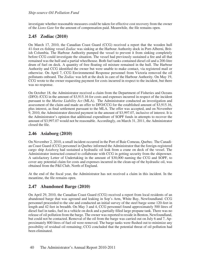investigate whether reasonable measures could be taken for effective cost recovery from the owner of the *Lions Gate* for the amount of compensation paid. Meanwhile, the file remains open.

# **2�45 Zodiac (2010)**

On March 17, 2010, the Canadian Coast Guard (CCG) received a report that the wooden hull 41-foot ex-fishing vessel *Zodiac* was sinking at the Harbour Authority dock in Port-Alberni, British Columbia. The Harbour Authority pumped the vessel to prevent it from sinking completely before CCG could investigate the situation. The vessel had previously sustained a fire and all that remained was the hull and a partial wheelhouse. Both fuel tanks contained diesel oil and a 200-litre drum of fuel on deck. A quantity of free floating oil mixture remained in the hull. The Harbour Authority and CCG identified the owner but were unable to make contact, via registered mail or otherwise� On April 7, CCG Environmental Response personnel from Victoria removed the oil pollutants onboard. The *Zodiac* was left at the dock in care of the Harbour Authority. On May 19, CCG wrote to the owner requesting payment for costs incurred in respect to the incident, but there was no response.

On October 18, the Administrator received a claim from the Department of Fisheries and Oceans (DFO) /CCG in the amount of \$3,915�16 for costs and expenses incurred in respect of the incident pursuant to the *Marine Liability Act* (MLA). The Administrator conducted an investigation and assessment of the claim and made an offer to DFO/CCG for the established amount of \$3,915.16, plus interest, as final settlement pursuant to the MLA. The offer was accepted, and on November 9, 2010, the Administrator directed payment in the amount of \$3,997.07, inclusive of interest. It is the Administrator's opinion that additional expenditure of SOPF funds in attempts to recover the amount of \$3,997.07 would not be reasonable. Accordingly, on March 31, 2011, the Administrator closed the file.

# **2�46 Asiaborg (2010)**

On November 2, 2010, a small incident occurred in the Port of Baie Comeau, Quebec. The Canadian Coast Guard (CCG) personnel in Quebec informed the Administrator that the foreign-registered cargo ship *Asiaborg* had sustained a hydraulic oil leak from a crane on deck of the vessel. The Administrator instructed counsel to collaborate with CCG in getting security from the shipowner. A satisfactory Letter of Undertaking in the amount of \$30,000 naming the CCG and SOPF, to cover any potential claim for costs and expenses incurred in the clean-up of the hydraulic oil, was obtained from the P&I Club, North of England�

At the end of the fiscal year, the Administrator has not received a claim in this incident. In the meantime, the file remains open.

# **2�47 Abandoned Barge (2010)**

On April 29, 2010, the Canadian Coast Guard (CCG) received a report from local residents of an abandoned barge that was aground and leaking in Sop's Arm, White Bay, Newfoundland, CCG personnel proceeded to the site and conducted an initial survey of the steel barge some 120-feet in length and 42 feet in breadth. On May 3 and 4, CCG personnel found approximately 500 litres of diesel fuel in tanks, fuel in a vehicle on deck and a partially filled large propane tank. There was no release of oil pollution from the barge. The owner was reported to reside in Benton, Newfoundland, but could not be contacted. Removal of the oil from the barge was carried out on July 6 and 7. Approximately 800 litres of fuel oil were removed. The barge tanks were flushed out to minimize any possibility of residual oil remaining; CCG concluded that the potential threat of oil pollution had been eliminated.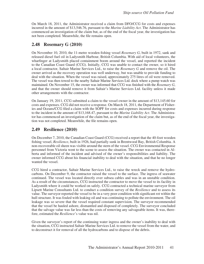On March 18, 2011, the Administrator received a claim from DFO/CCG for costs and expenses incurred in the amount of \$13,546.76, pursuant to the *Marine Liability Act*. The Administrator has commenced an investigation of the claim but, as of the end of the fiscal year, the investigation has not been completed. Meanwhile, the file remains open.

### **2�48 Rosemary G (2010)**

On November 10, 2010, the 11-metre wooden fishing vessel *Rosemary G*, built in 1972, sank and released diesel fuel oil in Ladysmith Harbour, British Columbia. With aid of local volunteers, the wharfinger at Ladysmith placed containment boom around the vessel, and reported the incident to the Canadian Coast Guard (CCG). Initially, CCG was unable to contact the owner, so it hired a local contractor, Saltair Marine Services Ltd., to raise the *Rosemary G* and remove the oil. The owner arrived as the recovery operation was well underway, but was unable to provide funding to deal with the situation. When the vessel was raised, approximately 275 litres of oil were removed. The vessel was then towed to the nearby Saltair Marine Services Ltd� dock where a pump watch was maintained. On November 15, the owner was informed that CCG was finished with the *Rosemary G*, and that the owner should remove it from Saltair's Marine Services Ltd. facility unless it made other arrangements with the contractor.

On January 19, 2011, CCG submitted a claim to the vessel owner in the amount of \$13,145�60 for costs and expenses. CCG did not receive a response. On March 18, 2011, the Department of Fisheries and Oceans/CCG filed a claim with the SOPF for costs and expenses incurred during response to the incident in the amount of \$13,168.47, pursuant to the *Marine Liability Act*. The Administrator has commenced an investigation of the claim but, as of the end of the fiscal year, the investigation was not completed. Meanwhile, the file remains open.

### **2�49 Resilience (2010)**

On December 7, 2010, the Canadian Coast Guard (CCG) received a report that the 40-foot wooden fishing vessel, *Resilience*, built in 1926, had partially sunk in Brentwood Bay, British Columbia. A non-recoverable oil sheen was visible around the stern of the vessel� CCG Environmental Response personnel from Victoria went to the scene to assess the situation� The owner was contacted in Alberta and informed of the incident and advised of the owner's responsibilities and liability. The owner informed CCG about his financial inability to deal with the situation, and that he no longer wanted the vessel.

CCG hired a contractor, Saltair Marine Services Ltd�, to raise the wreck and remove the hydrocarbons. On December 9, the contractor raised the vessel to the surface. The ingress of seawater continued. The vessel was located directly over subsea cables and was in an unstable condition. As a result of the circumstances, CCG instructed the contractor to move the vessel to its facility in Ladysmith where it could be worked on safely. CCG contracted a technical marine surveyor from Lipsett Marine Consultants Ltd� to conduct a condition survey of the *Resilience* and to assess its value. The surveyor reported the vessel to be in a very poor condition with significant rot within the hull structure. It was fouled with leaking oil and was continuing to pollute the environment. The oil leakage was so severe that the vessel required constant supervision. The surveyor recommended that the vessel be hauled ashore, dismantled and disposed of completely� The surveyor concluded that the salvage value was far less than the costs of removing any salvageable items. It was, therefore, estimated the *Resilience*'s value was nil�

Given the surveyor's report of the continuing water ingress and the owner's inability to deal with the situation, CCG instructed Saltair Marine Services Ltd� to remove the vessel from the water, and to deconstruct it for removal of all the hydrocarbons and to dispose of the debris.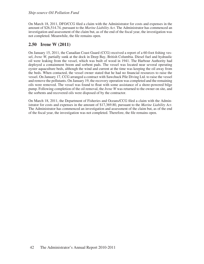On March 18, 2011, DFO/CCG filed a claim with the Administrator for costs and expenses in the amount of \$26,514.74, pursuant to the *Marine Liability Act*. The Administrator has commenced an investigation and assessment of the claim but, as of the end of the fiscal year, the investigation was not completed. Meanwhile, the file remains open.

## **2�50 Irene W (2011)**

On January 15, 2011, the Canadian Coast Guard (CCG) received a report of a 60-foot fishing vessel, *Irene W*, partially sunk at the dock in Deep Bay, British Columbia. Diesel fuel and hydraulic oil were leaking from the vessel, which was built of wood in 1941. The Harbour Authority had deployed a containment boom and sorbent pads. The vessel was located near several operating oyster aquaculture beds, although the wind and current at the time was keeping the oil away from the beds. When contacted, the vessel owner stated that he had no financial resources to raise the vessel. On January 17, CCG arranged a contract with Sawchuck Pile Diving Ltd. to raise the vessel and remove the pollutants. On January 19, the recovery operation was completed and the remaining oils were removed. The vessel was found to float with some assistance of a shore-powered bilge pump. Following completion of the oil removal, the *Irene W* was returned to the owner on site, and the sorbents and recovered oils were disposed of by the contractor.

On March 18, 2011, the Department of Fisheries and Oceans/CCG filed a claim with the Administrator for costs and expenses in the amount of \$17,369.80, pursuant to the *Marine Liability Act*. The Administrator has commenced an investigation and assessment of the claim but, as of the end of the fiscal year, the investigation was not completed. Therefore, the file remains open.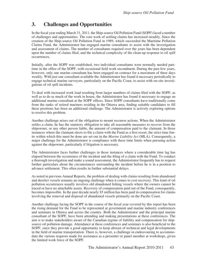# **3� Challenges and Opportunities**

In the fiscal year ending March 31, 2011, the Ship-source Oil Pollution Fund (SOPF) faced a number of challenges and opportunities. The core work of settling claims has increased steadily. Since the creation of the Ship-source Oil Pollution Fund in 1989, which succeeded the Maritime Pollution Claims Fund, the Administrator has engaged marine consultants to assist with the investigation and assessment of claims. The number of consultants required over the years has been dependent upon the number of claims filed, and the technical complexity of the clean-up response to oil spill occurrences.

Initially, after the SOPF was established, two individual consultants were normally needed parttime in the office of the SOPF, with occasional field work secondment. During the past few years, however, only one marine consultant has been engaged on contract for a maximum of three days weekly. With just one consultant available the Administrator has found it necessary periodically to engage technical marine surveyors, particularly on the Pacific Coast, to assist with on-site investigations of oil spill incidents�

To deal with increased work load resulting from larger numbers of claims filed with the SOPF, as well as to do as much of the work in house, the Administrator has found it necessary to engage an additional marine consultant at the SOPF offices. Since SOPF consultants have traditionally come from the ranks of retired mariners residing in the Ottawa area, finding suitable candidates to fill these positions has been an additional challenge. The Administrator is actively exploring options to resolve this problem�

Another challenge arises out of the obligation to mount recourse actions� When the Administrator settles a claim, he has the statutory obligation to take all reasonable measures to recover from the shipowner, or any other person liable, the amount of compensation paid to the claimant. In those instances where the claimant elects to file a claim with the Fund as a first resort, the strict time limits within which this must be done are set out in the *Marine Liability Act* (MLA). Consequently, a major challenge for the Administrator is compliance with these time limits when pursuing action against the shipowner, particularly if litigation is necessary.

The Administrator faces further challenges in those instances where a considerable time lag has elapsed between the occurrence of the incident and the filing of a claim with the Fund. To conduct a thorough investigation and make a sound assessment, the Administrator frequently has to request further particulars about the circumstances surrounding the incident before he is in a position to advance settlement. This often results in further substantial delays.

As noted in previous Annual Reports, the problem of dealing with claims resulting from abandoned and derelict vessels remains an ongoing challenge when it comes to cost recovery. This kind of oil pollution occurrences usually involves old abandoned fishing vessels where the owners cannot be traced or have no attachable assets. Recovery of compensation paid out of the Fund, consequently, becomes impossible. In the past decade nearly \$5 million has been paid in compensation for claims involving the removal and disposal of abandoned vessels primarily on the Pacific Coast.

Another challenge facing the SOPF in the course of the fiscal year covered by this report has been the rising demand for the Fund to be represented at government and marine industry conferences and seminars in Ottawa and across the country. Both the Administrator and the principal marine consultant of the SOPF, have been attending and making presentations at these conferences. The aim is to make stakeholders aware of the Canadian regime of liability and compensation for shipsource oil pollution damage. Attendance at these conferences and seminars is also beneficial to the SOPF, since they provide a good opportunity to keep abreast of technical and legal developments in the field of marine transportation. There is, however, a challenge in endeavouring to accommodate the various requests made for assistance as a presenter or panel member at workshops, given the limited work force of the SOPF.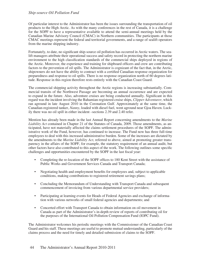Of particular interest to the Administrator has been the issues surrounding the transportation of oil products to the High Arctic� As with the many conferences in the rest of Canada, it is a challenge for the SOPF to have a representative available to attend the semi-annual meetings held by the Canadian Marine Advisory Council (CMAC) in Northern communities. The participants at those CMAC meetings represent the federal and territorial governments, and a range of sealift operators from the marine shipping industry.

Fortunately, to date, no significant ship-source oil pollution has occurred in Arctic waters. The sealift managers attribute their operational success and safety record in protecting the northern marine environment to the high classification standards of the commercial ships deployed in regions of the Arctic. Moreover, the experience and training for shipboard officers and crew are contributing factors to the prevention of oil spills. The Administrator is cognizant of the fact that, in the Arctic, shipowners do not have the ability to contract with a certified Canadian response organization for preparedness and response to oil spills� There is no response organization north of 60 degrees latitude. Response in this region therefore rests entirely with the Canadian Coast Guard.

The commercial shipping activity throughout the Arctic regions is increasing substantially. Commercial transits of the Northwest Passage are becoming an annual occurrence and are expected to expand in the future. Also, adventure cruises are being conducted annually. Significant in this regard was the incident involving the Bahamian-registered cruise ships, *Clipper Adventurer*, which ran aground in late August 2010 in the Coronation Gulf. Approximately at the same time, the Canadian-registered tanker, *Nanny*, loaded with diesel fuel, went aground near Gjoa Haven. Luckily there was no oil spill in either incident –sections 2.39 and 2.40 refer.

Mention has already been made in the last Annual Report concerning amendments to the *Marine Liability Act* contained in Chapter 21 of the Statutes of Canada, 2009. Those amendments, as anticipated, have not materially affected the claims settlement procedures of the SOPF. The administrative work of the Fund, however, has continued to increase. The Fund now has three full-time employees to deal with this increased administrative burden. Some of the increases are dictated by the amendments to the *Marine Liability Act*, referred to above, aimed at promoting greater transparency in the affairs of the SOPF, for example, the statutory requirement of an annual audit, but other factors have also contributed to this aspect of the work. The following outlines some specific challenges and opportunities encountered by the SOPF in the last fiscal year:

- Completing the re-location of the SOPF offices to 180 Kent Street with the assistance of Public Works and Government Services Canada and Transport Canada;
- Negotiating health and employment benefits for employees and, subject to applicable conditions, making contributions to registered retirement savings plans;
- Concluding the Memorandum of Understanding with Transport Canada and subsequent commencement of invoicing from various departmental service providers;
- Participating at learning events for Heads of Federal Agencies and exchange of information with various networks of small federal agencies and departments; and
- Concerted effort with Transport Canada to obtain information on oil movement in Canada as part of the Administrator's in-depth review of reports of contributing oil for the purposes of the International Oil Pollution Compensation Fund (IOPC Fund).

The Administrator welcomes his periodic meetings with the Commissioner of the Canadian Coast Guard and his staff. These meetings are useful to promote mutual understanding, particularly of the claims process and the need for timely and detailed submission of claims to the SOPF.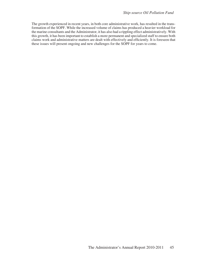The growth experienced in recent years, in both core administrative work, has resulted in the transformation of the SOPF. While the increased volume of claims has produced a heavier workload for the marine consultants and the Administrator, it has also had a rippling effect administratively. With this growth, it has been important to establish a more permanent and specialized staff to ensure both claims work and administrative matters are dealt with effectively and efficiently. It is foreseen that these issues will present ongoing and new challenges for the SOPF for years to come.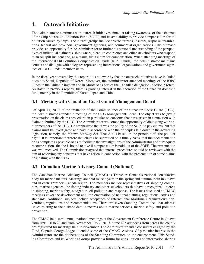# **4� Outreach Initiatives**

The Administrator continues with outreach initiatives aimed at raising awareness of the existence of the Ship-source Oil Pollution Fund (SOPF) and its availability to provide compensation for oil pollution caused by ships. The interest groups include private citizens, insurers, response organizations, federal and provincial government agencies, and commercial organizations� This outreach provides an opportunity for the Administrator to further his personal understanding of the perspectives of individual claimants, shipowners, clean-up contractors and other stakeholders who respond to an oil spill incident and, as a result, file a claim for compensation. When attending meetings of the International Oil Pollution Compensation Funds (IOPC Funds), the Administrator maintains contact and dialogue with delegates representing international organizations and government agencies of IOPC Funds' member states.

In the fiscal year covered by this report, it is noteworthy that the outreach initiatives have included a visit to Seoul, Republic of Korea� Moreover, the Administrator attended meetings of the IOPC Funds in the United Kingdom and in Morocco as part of the Canadian delegation –section 5 refers. As stated in previous reports, there is growing interest in the operation of the Canadian domestic fund, notably in the Republic of Korea, Japan and China.

# **4�1 Meeting with Canadian Coast Guard Management Board**

On April 13, 2010, at the invitation of the Commissioner of the Canadian Coast Guard (CCG), the Administrator attended a meeting of the CCG Management Board� The object was to give a presentation on the claims procedure, in particular on concerns that have arisen in connection with claims submitted by the CCG. The Administrator welcomed the opportunity of dialoguing with senior members of the CCG. He emphasized that it was the policy of the SOPF to pay claims, but that claims must be investigated and paid in accordance with the principles laid down in the governing legislation, namely, the *Marine Liability Act*. That Act is based on the principle of "the polluter" pays"� It is important therefore that claims be submitted on a timely basis, that the documentation be as complete as possible so as to facilitate the investigations of the Administrator and subsequent recourse actions that he is bound to take if compensation is paid out of the SOPF. The presentation was well received. The Commissioner agreed that internal procedures should be reviewed with the aim of resolving any concerns that have arisen in connection with the presentation of some claims originating with the CCG�

# **4�2 Canadian Marine Advisory Council (National)**

The Canadian Marine Advisory Council (CMAC) is Transport Canada's national consultative body for marine matters. Meetings are held twice a year, in the spring and autumn, both in Ottawa and in each Transport Canada region. The members include representatives of shipping companies, marine agencies, the fishing industry and other stakeholders that have a recognized interest in shipping, marine safety, navigation, oil pollution and response. The issues discussed at CMAC meetings cover the development and implementation of national statutes, regulations, codes and standards. Additional subjects include acceptance of International Maritime Organization's conventions, regulations and recommendations. There are seven Standing Committees that address issues relating to the stakeholders' concerns about marine services, marine safety and pollution prevention.

The CMAC held semi-annual national meetings at the Government Conference Centre in Ottawa from April 26 to 29 and from November 1 to 4, 2010. Some 425 attendees from across the county pre-registered for meetings held in November. The Administrator and a consultant engaged by the Fund, Captain George Legge, attended some of the CMAC sessions. Of particular interest to the Administrator are the deliberations of the Standing Committee on the environment. This Standing Committee and its Working Groups provide a forum for consultation and information sharing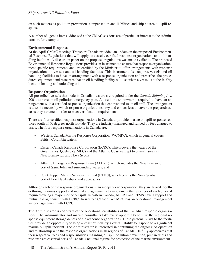on such matters as pollution prevention, compensation and liabilities and ship-source oil spill response.

A number of agenda items addressed at the CMAC sessions are of particular interest to the Administrator, for example:

### **Environmental Response**

At the April CMAC meeting, Transport Canada provided an update on the proposed Environmental Response Regulations that will apply to vessels, certified response organizations and oil handling facilities. A discussion paper on the proposed regulations was made available. The proposed Environmental Response Regulations provides an instrument to ensure that response organizations meet specific requirements and are certified by the Minister to offer arrangements with response organizations to vessels and oil handing facilities. This instrument also requires vessels and oil handling facilities to have an arrangement with a response organization and prescribes the procedures, equipment and resources that an oil handling facility will use when a vessel is at the facility location loading and unloading oil.

### **Response Organizations**

All prescribed vessels that trade in Canadian waters are required under the *Canada Shipping Act*, 2001, to have an oil pollution emergency plan. As well, the shipowner is required to have an arrangement with a certified response organization that can respond to an oil spill. The arrangement is also the means by which response organizations levy and collect fees to cover the preparedness costs they assume in order to meet certification requirements.

There are four certified response organizations in Canada to provide marine oil spill response services south of 60 degrees north latitude. They are industry-managed and funded by fees charged to users. The four response organizations in Canada are:

- Western Canada Marine Response Corporation (WCMRC), which in general covers British Columbia waters;
- Eastern Canada Response Corporation (ECRC), which covers the waters of the Great Lakes, Quebec (SIMEC) and the Atlantic Coast (except two small areas in New Brunswick and Nova Scotia);
- Atlantic Emergency Response Team (ALERT), which includes the New Brunswick port of Saint John and surrounding waters; and
- Point Tupper Marine Services Limited (PTMS), which covers the Nova Scotia port of Port Hawkesbury and approaches.

Although each of the response organizations is an independent corporation, they are linked together through various support and mutual aid agreements to supplement the resources of each other, if required during a major marine oil spill. In eastern Canada, ALERT and PTMS have a support and mutual aid agreement with ECRC. In western Canada, WCMRC has an operational management support agreement with ECRC.

The Administrator is cognizant of the operational capabilities of the Canadian response organizations. The Administrator and marine consultants take every opportunity to visit the regional response equipment storage depots of the response organizations. These personal visits to the facilities provide an opportunity to keep abreast of industry's overall ability to respond to a significant marine oil spill incident. The Administrator is interested in continuing the ongoing co-operation and relationship with the response organizations in all regions of Canada. He fully appreciates that their respective roles and responsibilities regarding oil spill pollution prevention, preparedness and response are essential parts of Canada's national regime for protection of the marine environment.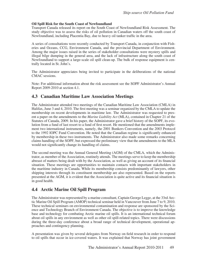### **Oil Spill Risk for the South Coast of Newfoundland**

Transport Canada released its report on the South Coast of Newfoundland Risk Assessment� The study objective was to assess the risks of oil pollution in Canadian waters off the south coast of Newfoundland, including Placentia Bay, due to heavy oil tanker traffic in the area.

A series of consultations were recently conducted by Transport Canada, in conjunction with Fisheries and Oceans, CCG, Environment Canada, and the provincial Department of Environment. Among the major issues raised in the series of stakeholder consultations were mystery spills and illegal bilge dumping in the general area, and the lack of infrastructure along the south coast of Newfoundland to support a large-scale oil spill clean-up. The bulk of response equipment is centrally located in St. John's.

The Administrator appreciates being invited to participate in the deliberations of the national CMAC sessions.

Note: For additional information about the risk assessment see the SOPF Administrator's Annual Report 2009-2010 at section 4.1.

### **4�3 Canadian Maritime Law Association Meetings**

The Administrator attended two meetings of the Canadian Maritime Law Association (CMLA) in Halifax, June 3 and 4, 2010. The first meeting was a seminar organized by the CMLA to update the membership on recent developments in maritime law. The Administrator was requested to present a paper on the amendments to the *Marine Liability Act* (MLA), contained in Chapter 21 of the Statutes of Canada, 2009. In his paper, the Administrator gave a brief history of the SOPF, its evolution from a fund of last resort to a fund of first resort. He mentioned that the amendments implement two international instruments, namely, the 2001 Bunkers Convention and the 2003 Protocol to the 1992 IOPC Fund Convention. He noted that the Canadian regime is significantly enhanced by membership in these two instruments. The Administrator also made some remarks concerning claims handling of the SOPF, but expressed the preliminary view that the amendments to the MLA would not significantly change its handling of claims.

The second meeting was the Annual General Meeting (AGM) of the CMLA, which the Administrator, as member of the Association, routinely attends� The meetings serve to keep the membership abreast of matters being dealt with by the Association, as well as giving an account of its financial situation. These meetings are opportunities to maintain contacts with important stakeholders in the maritime industry in Canada. While its membership consists predominantly of lawyers, other shipping interests through its constituent membership are also represented. Based on the reports presented at the AGM, it is evident that the Association is quite active and its financial situation is in good health.

## **4�4 Arctic Marine Oil Spill Program**

The Administrator was represented by a marine consultant, Captain George Legge, at the 33rd Arctic Marine Oil Spill Program (AMOP) technical seminar held in Vancouver from June 7 to 9, 2010. These technical seminars on environmental contamination and response are sponsored by the Science and Technology Branch of Environment Canada. The objective is to improve the knowledge base and technology for combating Arctic marine oil spills. It is an international technical forum about oil spills in any environment as well as other oil spill-related topics. There were discussions during the three-day conference about a broad range of technical development, operational approaches and contingency planning�

A presentation was given by several delegates from Norway on field research in order to respond to oil spills that occur in ice-covered waters. It was explained that Norway has joint government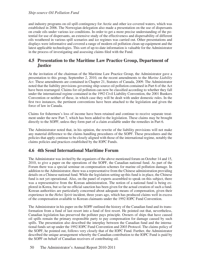and industry programs on oil spill contingency for Arctic and other ice-covered waters, which was established in 2006. The Norwegian delegation also made a presentation on the use of dispersants on crude oils under various ice conditions. In order to get a more precise understanding of the potential for use of dispersants, an extensive study of the effectiveness and dispersability of different oils weathered in various spill scenarios and ice regimes was carried out� Other presentations and displays were informative and covered a range of modern oil pollution clean-up equipment and the latest applicable technologies. This sort of up-to-date information is valuable for the Administrator in the process of investigating and assessing claims filed with the Fund.

### **4�5 Presentation to the Maritime Law Practice Group, Department of Justice**

At the invitation of the chairman of the Maritime Law Practice Group, the Administrator gave a presentation to this group, September 2, 2010, on the recent amendments to the *Marine Liability*  Act. These amendments are contained in Chapter 21, Statutes of Canada, 2009. The Administrator noted that the liability provisions governing ship-source oil pollution contained in Part 6 of the Act have been rearranged. Claims for oil pollution can now be classified according to whether they fall under the international regime contained in the 1992 Civil Liability Convention, the 2001 Bunkers Convention or neither of these, in which case they will be dealt with under domestic rules. In the first two instances, the pertinent conventions have been attached to the legislation and given the force of law in Canada.

Claims for fishermen's loss of income have been retained and continue to receive separate treatment under the new Part 7, which has been added to the legislation. These claims may be brought directly to the SOPF, unless they form part of a claim available under the remedies in Part 6.

The Administrator noted that, in his opinion, the rewrite of the liability provisions will not make any material difference to the claims handling procedures of the SOPF. These procedures and the policies that apply continue to be closely aligned with those of the international regime, notably the claims policies and practices established by the IOPC Funds�

## **4�6 4th Seoul International Maritime Forum**

The Administrator was invited by the organizers of the above mentioned forum on October 14 and 15, 2010, to give a paper on the operations of the SOPF, the Canadian national fund� As part of the Forum there was a special seminar on compensation schemes for marine oil pollution damage. In addition to the Administrator, there was a representative from the Chinese administration providing details on a Chinese national fund. While the legislation setting up this fund is in place, the Chinese fund is not yet operational. Also, on the panel of experts assembled to speak on this subject, there was a representative from the Korean administration. The notion of a national fund is being explored in Korea, but so far no official sanction has been given for the actual creation of such a fund. Korean authorities are particularly concerned about adequate means of compensation, given their experience in the *Hebei Spirit* incident, three years ago, which has produced claims well in excess of the compensation available to Korean claimants under the 1992 IOPC Fund Convention.

The Administrator in his paper on the SOPF outlined the history of the Canadian fund and its transformation from a fund of last resort into a fund of first resort. He pointed out that, nevertheless, Canadian legislation has preserved the polluter pays principle� Owners of ships that have caused oil spills remain the primary responsible party to pay compensation for damage caused by such spills. The presentation also described the interplay between the Canadian fund and the international funds set up under the 1992 IOPC Fund Convention and 2003 Protocol. The claims policy of the SOPF, he pointed out, follows very closely that of the IOPC Fund. Further, the Administrator described the unique arrangement whereby the Canadian contribution to the IOPC Fund is paid by the SOPF on behalf of Canadian receivers of contributing oil.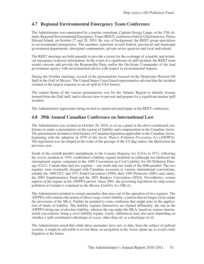## **4�7 Regional Environmental Emergency Team Conference**

The Administrator was represented by a marine consultant, Captain George Legge, at the 37th Atlantic Regional Environmental Emergency Team (REET) conference held in Charlottetown, Prince Edward Island, on October 27 and 28, 2010. By way of background, the REET group specializes in environmental emergencies. The members represent several federal, provincial and municipal government departments, aboriginal communities, private sector agencies and local individuals�

The REET meetings are held annually to provide a forum for the exchange of scientific and technical emergency response information. In the event of a significant oil spill incident, the REET team would convene and provide the Responsible Party and/or the On-Scene Commander of the lead government agency with environmental advice with respect to environmental impacts�

During the October meetings, several of the presentations focused on the Deepwater Horizon Oil Spill in the Gulf of Mexico. The United States Coast Guard representative advised that the incident resulted in the largest response to an oil spill in USA history.

The central theme of the various presentations was for the Atlantic Region to identify lessons learned from the Gulf spill, and to discuss how to prevent and prepare for a significant marine spill incident.

The Administrator appreciates being invited to attend and participate in the REET conference.

### **4�8 39th Annual Canadian Conference on International Law**

The Administrator was invited on October 28, 2010, to sit on a panel at the above mentioned conference to make a presentation on the regime of liability and compensation in the Canadian Arctic� The presentation included a brief history of Canadian legislation applicable in the Canadian Arctic, beginning with the adoption in 1970 of the *Arctic Waters Pollution Prevention Act* (AWPPA). The legislation was developed in the wake of the passage of the US flag tanker, the *Manhattan* the previous year�

South of the sixtieth parallel amendments to the *Canada Shipping Act* (CSA) in 1971, following the *Arrow* incident in 1970, established a liability regime modeled on (although not identical) the international regime contained in the 1969 Convention on Civil Liability for Oil Pollution Damage (CLC). Canada thus had two regimes – one north and one south of the 60th parallel. The two regimes were eventually merged with Canadian accession to various international conventions, notably the 1969 CLC and 1971 Fund Convention (1989), their 1992 Protocols (2001) and, lately, the 2003 Supplementary Fund and the 2001 Bunkers Convention (2010). Nevertheless, certain aspects of the regime in the AWPPA persist. Since 2001, the governing legislation for ship-source pollution in Canada is contained in the *Marine Liability Act* (MLA).

The Administrator pointed to certain anomalies that arise out of the operation of two regimes. The AWPPA still contains the notion of direct cargo owner liability, a notion that no longer exists under the provisions of the MLA. Further he pointed to some confusion that might arise in the application of limits of liability. The liability regimes themselves are framed differently, the one in the AWPPA being one of *absolute* liability, whereas the one under the MLA, based on various international conventions, being a *strict* liability regime. Lastly, differences may also arise depending on whether a spill constituted a discharge of *waste*, other than oil, or a discharge of oil.

The Administrator noted that while these anomalies have not, to date, been the subject of judicial scrutiny, it might be advisable to revisit them, as navigation in the Arctic opens up, to avoid costly litigation in the future.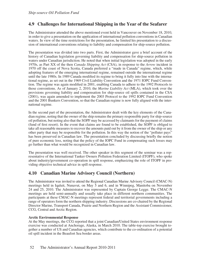# **4�9 Challenges for International Shipping in the Year of the Seafarer**

The Administrator attended the above mentioned event held in Vancouver on November 18, 2010, in order to give a presentation on the application of international pollution conventions in Canadian waters. In view of the time restrictions for the presentation, he limited his presentation to a discussion of international conventions relating to liability and compensation for ship-source pollution.

The presentation was divided into two parts. First, the Administrator gave a brief account of the history of Canadian legislation governing liability and compensation for ship-source pollution in waters under Canadian jurisdiction. He noted that when initial legislation was adopted in the early 1970s, as Part XX of the then *Canada Shipping Act* (CSA), in response to the *Arrow* incident in 1970 off the coast of Nova Scotia, Canada preferred a "made in Canada" regime, which, while adopting features of the emerging international regime, remained outside the international regime until the late 1980s. In 1989 Canada modified its regime to bring it fully into line with the international regime, as set out in the 1969 Civil Liability Convention and the 1971 IOPC Fund Convention. The regime was again modified in 2001, enabling Canada to adhere to the 1992 Protocols to those conventions� As of January 2, 2010, the *Marine Liability Act* (MLA), which took over the provisions governing liability and compensation for ship-source oil spills contained in the CSA (2001), was again amended to implement the 2003 Protocol to the 1992 IOPC Fund Convention and the 2001 Bunkers Convention, so that the Canadian regime is now fully aligned with the international regime.

In the second part of the presentation, the Administrator dealt with the key elements of the Canadian regime, noting that the owner of the ship remains the primary responsible party for ship-source oil pollution, but noting also that the SOPF may be accessed by claimants for the payment of claims (fund of first resort). In the event that claims are found to be established, the SOPF is obliged to take all reasonable measures to recover the amounts paid out by it from the owner of the ship or any other party that may be responsible for the pollution. In this way the notion of the "polluter pays" has been preserved in Canadian law. The presentation concluded by discussing briefly the notion of pure economic loss, noting that the policy of the IOPC Fund in compensating such losses may go further than what would be recognized in Canadian law�

The presentation was well received. The other speaker in this segment of the seminar was a representative of the International Tanker Owners Pollution Federation Limited (ITOPF), who spoke about industry/government co-operation in spill response, emphasizing the role of ITOPF in providing objective technical advice in spill response.

## **4�10 Canadian Marine Advisory Council (Northern)**

The Administrator was invited to attend the Regional Canadian Marine Advisory Council (CMAC-N) meetings held in Iqaluit, Nunavut, on May 5 and 6, and in Winnipeg, Manitoba on November 24 and 25, 2010. The Administrator was represented by Captain George Legge. The CMAC-N meetings are held semi-annually and usually take place in different northern communities. The participants at these CMAC-N meetings represent federal and territorial governments including a range of operators form the northern shipping industry. Discussions are co-chaired by the Regional Director Marine, Transport Canada, Prairie and Northern Region and the Assistant Commissioner, CCG, Central and Arctic Region.

### **Arctic Environmental Response**

At the May meetings, the CCG reported that a joint Canadian/United States environment response exercise was conducted at Anchorage, Alaska, in March 2010. The table-top exercise brought together a number of US and Canadian agencies, which contribute to the co-ordination of a potential oil spill incident in the Beaufort Sea border areas.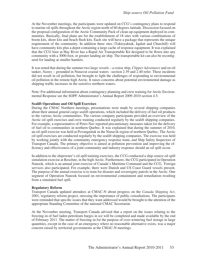At the November meetings, the participants were updated on CCG's contingency plans to respond to marine oil spills throughout the Arctic region north of 60 degrees latitude. Discussion focused on the proposal configuration of the Arctic Community Pack of clean-up equipment deployed in communities. Basically, final plans are for the establishment of 18 sites with various combinations of boom kits, shore kits and beach flush kits. Each site will have a package that represents the unique requirement of the community. In addition three sites (Tuktoyaktuk, Iqaluit and Churchill) will have community kits plus a depot containing a large cache of response equipment. It was explained that the CCG base at Hay River has a Rapid Air Transportable Kit designed to be flown into any community with a 3000-foot, or greater landing air ship. The transportable kit can also be reconfigured for landing at smaller hamlets�

It was noted that during the summer two large vessels – a cruise ship, *Clipper Adventurer* and on oil tanker, *Nanny* – grounded in Nunavut coastal waters –section 2.39 and 2.40 refer. These incidents did not result in oil pollution, but brought to light the challenges of responding to environmental oil pollution in the remote high Arctic� It raises concerns about potential environmental damage as shipping traffic increases in the sensitive northern waters.

Note: For additional information about contingency planning and crew training for Arctic Environmental Response see the SOPF Administrator's Annual Report 2009-2010 section 4.5.

#### **Sealift Operations and Oil Spill Exercises**

During the CMAC Northern meetings, presentations were made by several shipping companies about their annual general cargo sealift operations, which included the delivery of fuel oil products to the various Arctic communities. The various company participants provided an overview of the Arctic oil spill exercises and crew training conducted regularly by the sealift shipping companies. For example, a representative of Petro-Nav reported precautionary measures taken for the delivery of fuel oil to communities in northern Quebec. It was explained that during the summer of 2010, an oil spill exercise was held at Povungnituk in the Nunavik region of northern Quebec. The Arctic oil spill exercises are conducted regularly by the sealift shipping companies� The exercise was held by working jointly with the community emergency response team, and Ship Safety Inspectors of Transport Canada. The primary objective is aimed at pollution prevention and improving the efficiency and effectiveness of a joint community and industry response should an oil spill occur.

In addition to the shipowner's oil spill training exercises, the CCG conducted a ship-source oil spill simulation exercise at Resolute, in the high Arctic. Furthermore, the CCG participated in Operation Nanook, which is an annual joint exercise of Canada's Maritime Command and the CCG. Foreign services also participated. For example, there were Danish and US Coast Guard vessels present. The purpose of the annual exercise is to train for disaster and sovereignty patrols in the Arctic. One segment of Operation Nanook focused on environmental containment and remediation resulting from a simulated fuel spill.

#### **Regulatory Reform**

Transport Canada updated attendees at CMAC-N about progress on the *Canada Shipping Act*, 2001, regulatory reform project, stressing the importance of public consultations� The participants were reminded that specific issues that they want addressed would be brought to the attention of the appropriate Standing Committee of the national CMAC Secretariat.

At the November meeting, Transport Canada advised that a report on the issues relating to the freezing-in of fuel laden petroleum barges in ice will be completed and made available by the end of February 2011. The matter of freezing-in for the purpose of over-wintering fuel storage in large quantities, except in the case of an emergency where no reasonable alternative exists, was a major concern raised by territorial governments at the CMAC-N meetings.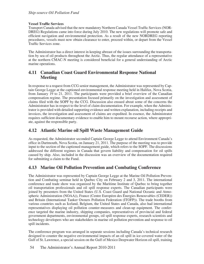### **Vessel Traffic Services**

Transport Canada advised that the new mandatory Northern Canada Vessel Traffic Services (NOR-DREG) Regulations came into force during July 2010. The new regulations will promote safe and efficient navigation and environmental protection. As a result of the new NORDREG reporting procedures, vessels must now obtain clearance to enter, proceed within, or depart from the Vessel Traffic Services zone.

The Administrator has a direct interest in keeping abreast of the issues surrounding the transportation by sea of oil products throughout the Arctic� Thus, the regular attendance of a representative at the northern CMAC-N meeting is considered beneficial for a general understanding of Arctic marine operations.

### **4�11 Canadian Coast Guard Environmental Response National Meeting**

In response to a request from CCG senior management, the Administrator was represented by Captain George Legge at the captioned environmental response meeting held in Halifax, Nova Scotia, from January 19 to 21, 2011. The participants were provided a brief overview of the Canadian compensation regime. The presentation focused primarily on the investigation and assessment of claims filed with the SOPF by the CCG. Discussion also ensued about some of the concerns the Administrator has in respect to the level of claim documentation. For example, when the Administrator is provided with detailed supporting evidence and written explanation, including receipts and invoices, the investigation and assessment of claims are expedited. In essence, the Administrator requires sufficient documentary evidence to enable him to mount recourse action, where appropriate, against the responsible party.

## **4�12 Atlantic Marine oil Spill Waste Management Guide**

As requested, the Administrator seconded Captain George Legge to attend Environment Canada's office in Dartmouth, Nova Scotia, on January 21, 2011. The purpose of the meeting was to provide input to the section of the captioned management guide, which refers to the SOPF. The discussions addressed the different regimes in Canada that govern liability and compensation for oil spills caused by ship. Also, included in the discussion was an overview of the documentation required for submitting a claim to the Fund.

## **4�13 Marine Oil Pollution Prevention and Combating Conference**

The Administrator was represented by Captain George Legge at the Marine Oil Pollution Prevention and Combating seminar held in Quebec City on February 2 and 3, 2011. The international conference and trade show was organized by the Maritime Institute of Quebec to bring together oil transportation professionals and oil spill response experts� The Canadian participants were joined by presenters from the United States (U.S. Coast Guard and National Oceanic and Atmospheric Administration (NOAA)), France (Centre Européen des Énergies Renouvables (CEDER)) and Britain (International Tanker Owners Pollution Federation (ITOFP)). The trade booths from various countries such as Iceland, Belgium, the United States and Canada, also had international representatives displaying oil pollution counter-measures and clean-up equipment. The conference targeted the marine industry, shipping companies, representatives of provincial and federal government departments, environmental groups, oil spill response experts, research scientists and technology developers who are stakeholders in marine oil pollution prevention and response to oil spill incidents.

The conference program was arranged in separate sessions including Canada's technical research designed to counter the negative environmental impacts of an oil spill in ice-covered water of the Gulf of St. Lawrence, a special session on the Gulf of Mexico Deepwater Horizon oil spill, training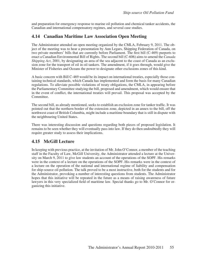and preparation for emergency response to marine oil pollution and chemical tanker accidents, the Canadian and international compensatory regimes, and several case studies.

## **4�14 Canadian Maritime Law Association Open Meeting**

The Administrator attended an open meeting organized by the CMLA, February 9, 2011. The object of the meeting was to hear a presentation by Ann Legars, Shipping Federation of Canada, on two private members' bills that are currently before Parliament. The first bill (C-469) purports to enact a Canadian Environmental Bill of Rights� The second bill (C-606) aims to amend the *Canada Shipping Act*, 2001, by designating an area of the sea adjacent to the coast of Canada as an exclusion zone for the transport of oil in oil tankers. The amendment, if it goes through, would give the Minister of Fisheries and Oceans the power to designate other exclusions zones of this kind.

A basic concern with Bill C-469 would be its impact on international treaties, especially those containing technical standards, which Canada has implemented and form the basis for many Canadian regulations. To alleviate possible violations of treaty obligations, the CMLA, in appearing before the Parliamentary Committee studying the bill, proposed and amendment, which would ensure that in the event of conflict, the international treaties will prevail. This proposal was accepted by the Committee.

The second bill, as already mentioned, seeks to establish an exclusion zone for tanker traffic. It was pointed out that the northern border of the extension zone, depicted in an annex to the bill, off the northwest coast of British Columbia, might include a maritime boundary that is still in dispute with the neighbouring United States.

There was interesting discussion and questions regarding both pieces of proposed legislation. It remains to be seen whether they will eventually pass into law� If they do then undoubtedly they will require greater study to assess their implications.

# **4�15 McGill Lecture**

In keeping with previous practice, at the invitation of Mr. John O'Connor, a member of the teaching staff in the Faculty of Law, McGill University, the Administrator attended a lecture at the University on March 9, 2011 to give law students an account of the operations of the SOPF. His remarks were in the context of a lecture on the operations of the SOPF. His remarks were in the context of a lecture on the operation of the national and international regime of liability and compensation for ship-source oil pollution. The talk proved to be a most instructive, both for the students and for the Administrator, provoking a number of interesting questions from students. The Administrator hopes that this initiative will be repeated in the future as a means of raising awareness of future lawyers in this very specialized field of maritime law. Special thanks go to Mr. O'Connor for organizing this initiative�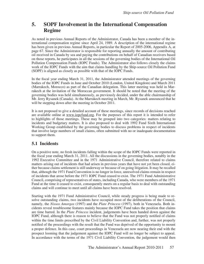# **5. SOPF Involvement in the International Compensation Regime**

As noted in previous Annual Reports of the Administrator, Canada has been a member of the international compensation regime since April 24, 1989� A description of the international regime has been given in previous Annual Reports, in particular the Report of 2005-2006, Appendix A, at page 67. Since the Administrator is responsible for reporting annually the amount of contributing oil received in Canada by sea and paying the contributions on behalf of Canadian receivers based on those reports, he participates in all the sessions of the governing bodies of the International Oil Pollution Compensation Funds (IOPC Funds). The Administrator also follows closely the claims work of the IOPC Funds with the aim that claims handling by the Ship-source Oil Pollution Fund (SOPF) is aligned as closely as possible with that of the IOPC Funds�

In the fiscal year ending March 31, 2011, the Administrator attended meetings of the governing bodies of the IOPC Funds in June and October 2010 (London, United Kingdom) and March 2011 (Marrakech, Morocco) as part of the Canadian delegation. This latter meeting was held in Marrakech at the invitation of the Moroccan government. It should be noted that the meeting of the governing bodies was held simultaneously, as previously decided, under the able chairmanship of Mr. Jerry Rysanek (Canada). At the Marrakech meeting in March, Mr. Rysanek announced that he will be stepping down after the meeting in October 2011.

It is not proposed to give a detailed account of these meetings, since records of decisions reached are available online at www.jopcfund.org. For the purposes of this report it is intended to refer to highlights of those meetings. These may be grouped into two categories: matters relating to incidents and budgetary matters. It is also proposed to deal with 1992 Fund Sixth International Working Group established by the governing bodies to discuss problems in respect of incidents that involve large numbers of small claims, often submitted with no or inadequate documentation to support them.

# **5�1 Incidents**

On a positive note, no fresh incidents falling within the scope of the IOPC Funds were reported in the fiscal year ending March 31, 2011. All the discussions in the governing bodies, notably in the 1992 Executive Committee and in the 1971 Administrative Council, therefore related to claims matters arising out of incidents that had arisen in previous years that have not yet been closed, either because claims settlement is still underway or because of on going litigation. It may be recalled that, although the 1971 Fund Convention is no longer in force, unresolved claims remain in respect of incidents that arose before the 1971 IOPC Fund ceased to exist� The 1971 Fund Administrative Council, comprising of representatives of states, including Canada, who were members of the 1971 Fund at the time it ceased to exist, consequently meets on a regular basis to deal with outstanding claims and will continue to meet until all claims have been resolved.

Starting with the 1971 Fund Administrative Council, while steady progress is being made to resolve outstanding claims, two incidents have occupied most of the deliberations of the Council, namely, the *Nissos Amorgos* (1997) and the *Plate Princess* (1997), both in Venezuela. Both incidents reveal troublesome features mainly because the IOPC Fund takes the position that claims are time barred� In the *Plate Princess* incident, judgements have been handed down against the IOPC Fund, although there is reason to believe that the Fund was not properly notified of claims within the time limits prescribed by the Civil Liability Convention and, further, was not properly notified of the proceedings with the result that the Fund was deprived of the opportunity to mount a proper defence. In this case, court proceedings in Venezuela are now nearing their end with the prospect looming that the judgement against the IOPC Fund will no longer be subject to appeal� In accordance with the terms of the 1971 Civil Liability Convention, the judgement would then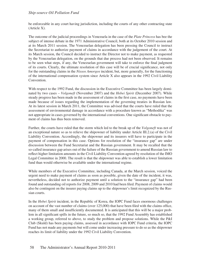be enforceable in any court having jurisdiction, including the courts of any other contracting state  $(A<sub>rt</sub>icle X).$ 

The outcome of the judicial proceedings in Venezuela in the case of the *Plate Princess* has bee the subject of intense debate in the 1971 Administrative Council, both at its October 2010 session and at its March 2011 session. The Venezuelan delegation has been pressing the Council to instruct the Secretariat to authorize payment of claims in accordance with the judgement of the court� At its March session, the Council decided to instruct the Director not to make payment, as requested by the Venezuelan delegation, on the grounds that due process had not been observed. It remains to be seen what steps, if any, the Venezuelan government will take to enforce the final judgment of its courts. Clearly, the ultimate resolution of this case will be of crucial significance, not only for the outstanding claims in the *Nissos Amorgos* incident, but, more generally, for the functioning of the international compensation system since Article X also appears in the 1992 Civil Liability Convention.

With respect to the 1992 Fund, the discussion in the Executive Committee has been largely dominated by two cases – *Volgoneft* (November 2007) and the *Hebei Spirit* (December 2007). While steady progress has been made in the assessment of claims in the first case, no payments have been made because of issues regarding the implementation of the governing treaties in Russian law. At its latest session in March 2011, the Committee was advised that the courts have ruled that the assessment of environmental damage in accordance with a procedure known as "Methodika" was not appropriate in cases governed by the international conventions. One significant obstacle to payment of claims has thus been removed.

Further, the courts have ruled that the storm which led to the break up of the *Volgoneft* was not of an exceptional nature so as to relieve the shipowner of liability under Article III.2.(a) of the Civil Liability Convention. Accordingly, the shipowner and its insurers will have to participate in the payment of compensation in this case. Options for resolution of the "insurance gap" are under discussion between the Fund Secretariat and the Russian government. It may be recalled that the so-called insurance gap arises out of the failure of the Russian government to amend Russian law to reflect higher limitation amounts in the Civil Liability Convention agreed by resolution of the IMO Legal Committee in 2000. The result is that the shipowner was able to establish a lower limitation fund than would otherwise be available under the international regime.

While members of the Executive Committee, including Canada, at the March session, voiced the urgent need to make payment of claims as soon as possible, given the date of the incident, it was, nevertheless, decided not to authorize payment until a solution to the "insurance gap" had been found and outstanding oil reports for 2008, 2009 and 2010 had been filed. Payment of claims would also be contingent on the insurer paying claims up to the shipowner's limit recognized by the Russian courts.

In the *Hebei Spirit* incident, in the Republic of Korea, the IOPC Fund faces enormous challenges on account of the vast number of claims (over  $125,000$ ) that have been filed with the claims office, many of them small and insufficiently documented. It is anticipated that this will be a major problem in all significant spills in the future, so much so, that the 1992 Fund Assembly has established a working group, referred to above, to study the problem and propose solutions. While the P&I Club (Skuld) has been paying claims, assessed in accordance with IOPC Fund criteria, the IOPC Fund has not made any payments but will come under increasing pressure to do so as the shipowner reaches its limit of liability under the 1992 Civil Liability Convention.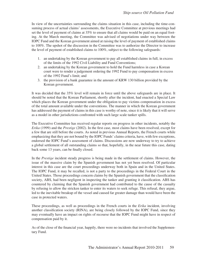In view of the uncertainties surrounding the claims situation in this case, including the time-consuming process of actual claims' assessments, the Executive Committee at previous meetings had set the level of payment of claims at 35% to ensure that all claims would be paid on an equal footing. At the March meeting, the Committee was advised of negotiations under way between the IOPC Fund and the Korean government aimed at raising the level of payment of established claims to 100%. The upshot of the discussion in the Committee was to authorize the Director to increase the level of payment of established claims to 100%, subject to the following safeguards:

- 1. an undertaking by the Korean government to pay all established claims in full, in excess of the limits of the 1992 Civil Liability and Fund Conventions;
- 2� an undertaking by the Korean government to hold the Fund harmless in case a Korean court were to render a judgement ordering the 1992 Fund to pay compensation in excess of the 1992 Fund's limit; and
- 3� the provision of a bank guarantee in the amount of KRW 130 billion provided by the Korean government.

It was decided that the  $35\%$  level will remain in force until the above safeguards are in place. It should be noted that the Korean Parliament, shortly after the incident, had enacted a Special Law which places the Korean government under the obligation to pay victims compensation in excess of the total amount available under the conventions� The manner in which the Korean government has addressed the payment of claims in this case is worthy of note, since it is likely that it will serve as a model in other jurisdictions confronted with such large scale tanker spills.

The Executive Committee has received regular reports on progress in other incidents, notably the *Erika* (1999) and the *Prestige* (2002). In the first case, most claims have been resolved, except for a few that are still before the courts. As noted in previous Annual Reports, the French courts while emphasizing that they are not bound by the IOPC Funds' claims criteria, have, with few exceptions, endorsed the IOPC Fund's assessment of claims. Discussions are now underway to try to achieve a global settlement of all outstanding claims so that, hopefully, in the near future this case, dating back some 13 years, can be finally closed.

In the *Prestige* incident steady progress is being made in the settlement of claims. However, the issue of the massive claim by the Spanish government has not yet been resolved. Of particular interest in this case are the court proceedings underway both in Spain and in the United States. The IOPC Fund, it may be recalled, is not a party to the proceedings in the Federal Court in the United States. Those proceedings concern claims by the Spanish government that the classification society, ABS, had been negligent in inspecting the tanker and granting it classification. ABS has countered by claiming that the Spanish government had contributed to the cause of the casualty by refusing to allow the stricken tanker to enter its waters to seek refuge. This refusal, they argue, led to the inevitable breakup of the vessel and caused far greater damage than would have been the case in protected waters.

These proceedings, as well as proceedings in the French courts in the *Erika* incident, involving another classification society (RINA), are being closely followed by the IOPC Fund, since they may eventually have an impact on rights of recourse that the IOPC Fund might have in respect of compensation paid by it.

As of the close of the financial year, happily, there were no incidents that involved the Supplementary Fund.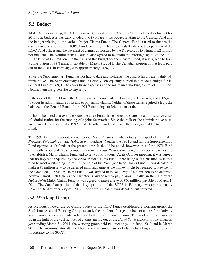# **5�2 Budget**

At its October meeting, the Administrative Council of the 1992 IOPC Fund adopted its budget for 2011. The budget is basically divided into two parts – the budget relating to the General Fund and the budget relating to the various Major Claims Funds. The General Fund is used to finance the day to day operations of the IOPC Fund, covering such things as staff salaries, the operation of the IOPC Fund offices and the payment of claims, authorized by the Director, up to a limit of £2 million per incident. The Administrative Council also agreed to maintain the working capital of the 1992 IOPC Fund at £22 million. On the basis of this budget for the General Fund, it was agreed to levy a contribution of £3.8 million, payable by March 31, 2011. The Canadian portion of that levy, paid out of the SOPF in February, was approximately £178,327.

Since the Supplementary Fund has not had to date any incidents, the costs it incurs are mainly administrative. The Supplementary Fund Assembly consequently agreed to a modest budget for its General Fund of £69,000 to cover those expenses and to maintain a working capital of £1 million. Neither item has given rise to any levy.

In the case of the 1971 Fund, the Administrative Council of that Fund agreed to a budget of £505,400 to cover its administrative costs and to pay minor claims. Neither of those items required a levy, the balance in the General Fund of the 1971 Fund being sufficient to meet them.

It should be noted that over the years the three Funds have agreed to share the administrative costs of administration for the running of a joint Secretariat� Since the bulk of the administrative costs are incurred in respect of the 1992 Fund, the other two Funds pay a flat management fee to the 1992 Fund.

The 1992 Fund also operates a number of Major Claims Funds, notably in respect of the *Erika*, *Prestige, Volgoneft 139* and *Hebei Spirit* incidents. Neither the 1971 Fund nor the Supplementary Fund operates such funds at the present time. It should be noted, however, that if the 1971 Fund eventually is obliged to pay compensation in the *Plate Princess* incident, it may become necessary to establish a Major Claims Fund and to levy contributions� At its October meeting, it was agreed that no levy was required by the *Erika* Major Claims Fund, there being sufficient monies in that fund to meet outstanding claims. In the case of the *Prestige* Major Claims Fund, it was decided to make a £5 million levy to be deferred until such time as the money might be required. Likewise, in the *Volgoneft* 139 Major Claims Fund it was agreed to make a levy of £40 million to be deferred, however, until such time as the Director is authorised to pay claims. Finally, in the case of the *Hebei Spirit* Major Claims Fund, it was agreed to make a levy of £50 million, payable by March 1, 2011. The Canadian portion of that levy, paid out of the SOPF in February, was approximately  $£2,410,516.$  A further levy of £20 million for this incident was decided, but deferred.

# **5�3 Working Group**

As previously noted, the governing bodies of the IOPC Funds established a working group, the Sixth Intersessional Working Group, to study the problem of large numbers of claims for relatively small amounts with particular reference to the proof of such claims. The working group was set up in the light of the vast number of claims arising out of the *Hebei Spirit* incident. In the financial year ending March 31, 2011, the working group held two meetings – in June, 2010 and in March 2011. The Administrator attended both sessions, since issues of claims handling are also of vital importance to the SOPF.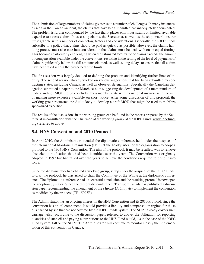The submission of large numbers of claims gives rise to a number of challenges. In many instances, as seen in the Korean incident, the claims that have been submitted are inadequately documented. The problem is further compounded by the fact that it places enormous strains on limited, available expertise to assess claims. In assessing claims, the Secretariat, as well as the shipowner's insurer must grapple with a number of competing factors and considerations. Generally, the IOPC Funds subscribe to a policy that claims should be paid as quickly as possible. However, the claims handling process must also take into consideration that claims must be dealt with on an equal footing. This becomes particularly challenging when the estimated total value of claims exceeds the amount of compensation available under the conventions, resulting in the setting of the level of payments of claims significantly below the full amounts claimed, as well as long delays to ensure that all claims have been filed within the prescribed time limits.

The first session was largely devoted to defining the problem and identifying further lines of inquiry� The second session already worked on various suggestions that had been submitted by contracting states, including Canada, as well as observer delegations. Specifically the Canadian delegation submitted a paper to the March session suggesting the development of a memorandum of understanding (MOU) to be concluded by a member state with its national insurers with the aim of making more expertise available on short notice� After some discussion of this proposal, the working group requested the Audit Body to develop a draft MOU that might be used to mobilize specialized expertise.

The results of the discussions in the working group can be found in the reports prepared by the Secretariat in consultation with the Chairman of the working group, at the IOPC Fund (www.iopcfund. org) referred to above.

# **5�4 HNS Convention and 2010 Protocol**

In April 2010, the Administrator attended the diplomatic conference, held under the auspices of the International Maritime Organization (IMO) at the headquarters of the organization to adopt a protocol to the 1997 HNS Convention. The aim of the protocol, it may be recalled, was to remove obstacles to ratification that had been identified over the years. The Convention was originally adopted in 1997 but had failed over the years to achieve the conditions required to bring it into force.

Since the Administrator had chaired a working group, set up under the auspices of the IOPC Funds, to draft the protocol, he was asked to chair the Committee of the Whole at the diplomatic conference. The diplomatic conference had a successful conclusion and the resulting protocol is now open for adoption by states. Since the diplomatic conference, Transport Canada has published a discussion paper recommending the amendment of the *Marine Liability Act* to implement the convention as modified by the protocol (TP 15093E).

The Administrator has an ongoing interest in the HNS Convention and its 2010 Protocol, since the convention has an oil component. It would provide a liability and compensation regime for those oils carried by sea that are not covered by the IOPC Funds system. The SOPF already covers such carriage. Also, according to the discussion paper, referred to above, the obligation for reporting quantities of such oil and paying contributions to the HNS Fund would, as in the case of the IOPC Fund system, fall on the SOPF. The Administrator will continue to monitor closely the implementation of this convention in Canada.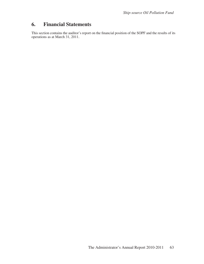# **6� Financial Statements**

This section contains the auditor's report on the financial position of the SOPF and the results of its operations as at March 31, 2011.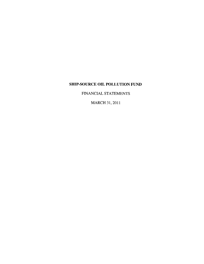FINANCIAL STATEMENTS

**MARCH 31, 2011**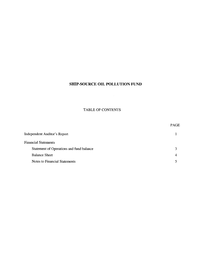## TABLE OF CONTENTS

|                                          | <b>PAGE</b> |
|------------------------------------------|-------------|
| Independent Auditor's Report             |             |
| <b>Financial Statements</b>              |             |
| Statement of Operations and fund balance | 3           |
| <b>Balance Sheet</b>                     | 4           |
| Notes to Financial Statements            |             |
|                                          |             |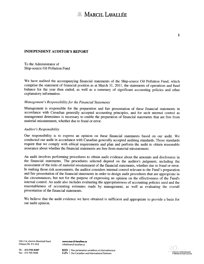

### **INDEPENDENT AUDITOR'S REPORT**

To the Administrator of Ship-source Oil Pollution Fund

We have audited the accompanying financial statements of the Ship-source Oil Pollution Fund, which comprise the statement of financial position as at March 31, 2011, the statements of operations and fund balance for the year then ended, as well as a summary of significant accounting policies and other explanatory information.

### Management's Responsibility for the Financial Statements

Management is responsible for the preparation and fair presentation of these financial statements in accordance with Canadian generally accepted accounting principles, and for such internal control as management determines is necessary to enable the preparation of financial statements that are free from material misstatement, whether due to fraud or error.

#### **Auditor's Responsibility**

Our responsibility is to express an opinion on these financial statements based on our audit. We conducted our audit in accordance with Canadian generally accepted auditing standards. Those standards require that we comply with ethical requirements and plan and perform the audit to obtain reasonable assurance about whether the financial statements are free from material misstatement.

An audit involves performing procedures to obtain audit evidence about the amounts and disclosures in the financial statements. The procedures selected depend on the auditor's judgment, including the assessment of the risks of material misstatement of the financial statements, whether due to fraud or error. In making those risk assessments, the auditor considers internal control relevant to the Fund's preparation and fair presentation of the financial statements in order to design audit procedures that are appropriate in the circumstances, but not for the purpose of expressing an opinion on the effectiveness of the Fund's internal control. An audit also includes evaluating the appropriateness of accounting policies used and the reasonableness of accounting estimates made by management, as well as evaluating the overall presentation of the financial statements.

We believe that the audit evidence we have obtained is sufficient and appropriate to provide a basis for our audit opinion.

500-214, chemin Montréal Road Ottawa ON K1L 8L8

www.marcil-lavallee.ca info@marcil-lavallee.ca

Tél.: 613 745-8387 Fax: 613 745-9584

BIID | Nos partenaires canadiens et internationaux IAPA | Our Canadian and International Partners

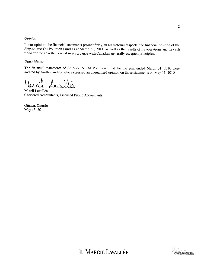#### Opinion

In our opinion, the financial statements present fairly, in all material respects, the financial position of the Ship-source Oil Pollution Fund as at March 31, 2011, as well as the results of its operations and its cash flows for the year then ended in accordance with Canadian generally accepted principles.

#### **Other Matter**

The financial statements of Ship-source Oil Pollution Fund for the year ended March 31, 2010 were audited by another auditor who expressed an unqualified opinion on those statements on May  $11$ , 2010.

 $la<sub>nh</sub>$   $\sqrt{0}$  or

Marcil Lavallée **Chartered Accountants, Licensed Public Accountants** 

Ottawa, Ontario May 13, 2011



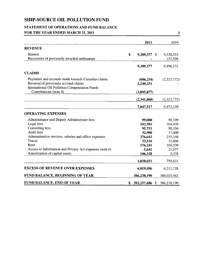# STATEMENT OF OPERATIONS AND FUND BALANCE

## FOR THE YEAR ENDED MARCH 31, 2011

|                                                         | 2011                 | 2010        |
|---------------------------------------------------------|----------------------|-------------|
| <b>REVENUE</b>                                          |                      |             |
| Interest                                                | \$<br>9,389,377 \$   | 9,338,533   |
| Recoveries of previously awarded settlements            |                      | 157,598     |
|                                                         | 9,389,377            | 9,496,131   |
| <b>CLAIMS</b>                                           |                      |             |
| Payments and accruals made towards Canadian claims      | (686, 234)           | (2,523,772) |
| Reversal of previously accrued claims                   | 2,240,251            |             |
| <b>International Oil Pollution Compensation Funds</b>   |                      |             |
| Contributions (note 8)                                  | (3,895,877)          |             |
|                                                         | (2,341,860)          | (2,523,772) |
|                                                         | 7,047,517            | 6,972,359   |
| <b>OPERATING EXPENSES</b>                               |                      |             |
| <b>Administrator and Deputy Administrator fees</b>      | 99,000               | 99,199      |
| Legal fees                                              | 102,501              | 164,439     |
| Consulting fees                                         | 95,751               | 90,104      |
| <b>Audit fees</b>                                       | 32,900               | 17,000      |
| Administrative services, salaries and office expenses   | 376,643              | 235,348     |
| Travel                                                  | 33,116               | 31,666      |
| Rent                                                    | 176,141              | 104,520     |
| Access to Information and Privacy Act expenses (note 6) | 5,641                | 11,977      |
| Amortization of capital assets                          | 106,328              | 5,378       |
|                                                         | 1,028,021            | 759,631     |
| <b>EXCESS OF REVENUE OVER EXPENSES</b>                  | 6,019,496            | 6,212,728   |
| <b>FUND BALANCE, BEGINNING OF YEAR</b>                  | 386,238,190          | 380,025,462 |
| <b>FUND BALANCE, END OF YEAR</b>                        | \$<br>392,257,686 \$ | 386,238,190 |

 $\overline{\mathbf{3}}$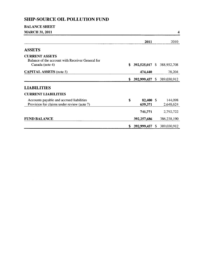# **BALANCE SHEET**

| <b>MARCH 31, 2011</b>                                                                        |         |                      |        | 4                    |
|----------------------------------------------------------------------------------------------|---------|----------------------|--------|----------------------|
|                                                                                              |         | 2011                 |        | 2010                 |
| <b>ASSETS</b>                                                                                |         |                      |        |                      |
| <b>CURRENT ASSETS</b><br>Balance of the account with Receiver General for<br>Canada (note 4) | \$      | 392,525,017 \$       |        | 388,952,708          |
| <b>CAPITAL ASSETS</b> (note 5)                                                               | 474,440 |                      | 78,204 |                      |
|                                                                                              | \$      | 392,999,457          | S.     | 389,030,912          |
| <b>LIABILITIES</b>                                                                           |         |                      |        |                      |
| <b>CURRENT LIABILITIES</b>                                                                   |         |                      |        |                      |
| Accounts payable and accrued liabilities<br>Provision for claims under review (note 7)       | \$      | 82,400 \$<br>659,371 |        | 144,098<br>2,648,624 |
|                                                                                              |         | 741,771              |        | 2,792,722            |
| <b>FUND BALANCE</b>                                                                          |         | 392,257,686          |        | 386,238,190          |
|                                                                                              | S       | 392,999,457          | \$     | 389,030,912          |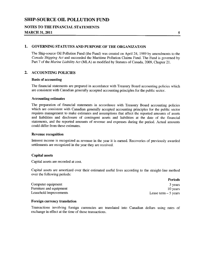# **NOTES TO THE FINANCIAL STATEMENTS**

#### **MARCH 31, 2011**

Pariode

#### 1. **GOVERNING STATUTES AND PURPOSE OF THE ORGANIZAT/ON**

The Ship-source Oil Pollution Fund (the Fund) was created on April 24, 1989 by amendments to the Canada Shipping Act and succeeded the Maritime Pollution Claims Fund. The Fund is governed by Part 7 of the *Marine Liability Act* (MLA) as modified by Statutes of Canada, 2009, Chapter 21.

#### $2.$ **ACCOUNTING POLICIES**

#### **Basis of accounting**

The financial statements are prepared in accordance with Treasury Board accounting policies which are consistent with Canadian generally accepted accounting principles for the public sector.

#### **Accounting estimates**

The preparation of financial statements in accordance with Treasury Board accounting policies which are consistent with Canadian generally accepted accounting principles for the public sector requires management to make estimates and assumptions that affect the reported amounts of assets and liabilities and disclosure of contingent assets and liabilities at the date of the financial statements, and the reported amounts of revenue and expenses during the period. Actual amounts could differ from these estimates.

#### **Revenue recognition**

Interest income is recognized as revenue in the year it is earned. Recoveries of previously awarded settlements are recognized in the year they are received.

#### **Capital assets**

Capital assets are recorded at cost.

Capital assets are amortized over their estimated useful lives according to the straight-line method over the following periods:

|                         | L VLIVUS.             |
|-------------------------|-----------------------|
| Computer equipment      | 3 years               |
| Furniture and equipment | 10 years              |
| Leasehold improvements  | Lease term $-5$ years |

#### **Foreign currency translation**

Transactions involving foreign currencies are translated into Canadian dollars using rates of exchange in effect at the time of those transactions.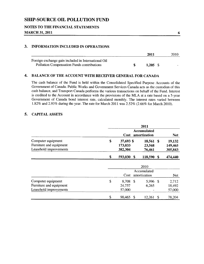## NOTES TO THE FINANCIAL STATEMENTS **MARCH 31, 2011**

## 3. INFORMATION INCLUDED IN OPERATIONS

|                                                     | 2011                | 2010                     |
|-----------------------------------------------------|---------------------|--------------------------|
| Foreign exchange gain included in International Oil |                     |                          |
| Pollution Compensation Funds contributions          | $1.205 \text{ }$ \$ | $\overline{\phantom{0}}$ |

6

#### $\boldsymbol{4}$ . **BALANCE OF THE ACCOUNT WITH RECEIVER GENERAL FOR CANADA**

The cash balance of the Fund is held within the Consolidated Specified Purpose Accounts of the Government of Canada. Public Works and Government Services Canada acts as the custodian of this cash balance, and Transport Canada performs the various transactions on behalf of the Fund. Interest is credited to the Account in accordance with the provisions of the MLA at a rate based on a 5-year Government of Canada bond interest rate, calculated monthly. The interest rates varied between 1.82% and 2.93% during the year. The rate for March 2011 was 2.52% (2.66% for March 2010).

#### 5. CAPITAL ASSETS

|                                                                         | <b>Cost</b> |                                 |                   | 2011<br><b>Accumulated</b> |            |                              |
|-------------------------------------------------------------------------|-------------|---------------------------------|-------------------|----------------------------|------------|------------------------------|
|                                                                         |             |                                 |                   | amortization               | <b>Net</b> |                              |
| Computer equipment<br>Furniture and equipment<br>Leasehold improvements | \$          | 37,693 \$<br>173,033<br>382,304 |                   | 18,561<br>23,568<br>76,461 | - \$       | 19,132<br>149,465<br>305,843 |
|                                                                         | \$          | 593,030                         | $\boldsymbol{\$}$ | 118,590                    | \$         | 474,440                      |
|                                                                         |             |                                 |                   | 2010                       |            |                              |
|                                                                         | Accumulated |                                 |                   |                            |            |                              |
|                                                                         |             | amortization<br>Cost            |                   | Net                        |            |                              |
| Computer equipment                                                      | \$          | $8,708$ \$                      |                   | 5,996 \$                   |            | 2,712                        |
| Furniture and equipment                                                 |             | 24,757                          |                   | 6,265                      |            | 18,492                       |
| Leasehold improvements                                                  |             | 57,000                          |                   |                            |            | 57,000                       |
|                                                                         | \$          | 90,465                          |                   | 12,261                     | S          | 78,204                       |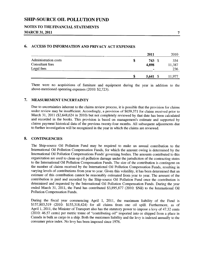## **NOTES TO THE FINANCIAL STATEMENTS MARCH 31, 2011**

#### ACCESS TO INFORMATION AND PRIVACY ACT EXPENSES 6.

|                      |    | 2011           | 2010   |
|----------------------|----|----------------|--------|
| Administration costs | S  | 743            | 354    |
| Consultant fees      |    | 4,898          | 11,387 |
| Legal fees           |    | $\blacksquare$ | 236    |
|                      | \$ | 5,641          | .977   |

There were no acquisitions of furniture and equipment during the year in addition to the above-mentioned operating expenses (2010: \$2,723).

#### 7. **MEASUREMENT UNCERTAINTY**

Due to uncertainties inherent to the claims review process, it is possible that the provision for claims under review may be insufficient. Accordingly, a provision of \$659,371 for claims received prior to March 31, 2011 (\$2,648,624 in 2010) but not completely reviewed by that date has been calculated and recorded in the books. This provision is based on management's estimate and supported by claims payment historical data of the previous twenty-four months. All subsequent adjustments due to further investigation will be recognized in the year in which the claims are reviewed.

#### **CONTINGENCIES** 8.

The Ship-source Oil Pollution Fund may be required to make an annual contribution to the International Oil Pollution Compensation Funds, for which the amount owing is determined by the International Oil Pollution Compensations Funds' governing bodies. The amounts contributed to this organization are used to clean-up oil pollution damage under the jurisdiction of the contracting states to the International Oil Pollution Compensation Funds. The size of the contribution is contingent on the number of claims received by the International Oil Pollution Compensation Funds, resulting in varying levels of contributions from year to year. Given this volatility, it has been determined that an estimate of this contribution cannot be reasonably estimated from year to year. The amount of the contribution is paid and recorded by the Ship-source Oil Pollution Fund once the contribution is determined and requested by the International Oil Pollution Compensation Funds. During the year ended March 31, 2011, the Fund has contributed \$3,895,877 (2010: \$Nil) to the International Oil Pollution Compensation Funds.

During the fiscal year commencing April 1, 2011, the maximum liability of the Fund is \$157,803,519 (2010: \$155,318,424) for all claims from one oil spill. Furthermore, as of April 1, 2011, the Minister of Transport also has the statutory power to impose a levy of 47.32 cents (2010: 46.57 cents) per metric tonne of "contributing oil" imported into or shipped from a place in Canada in bulk as cargo in a ship. Both the maximum liability and the levy is indexed annually to the consumer price index. No levy has been imposed since 1976.